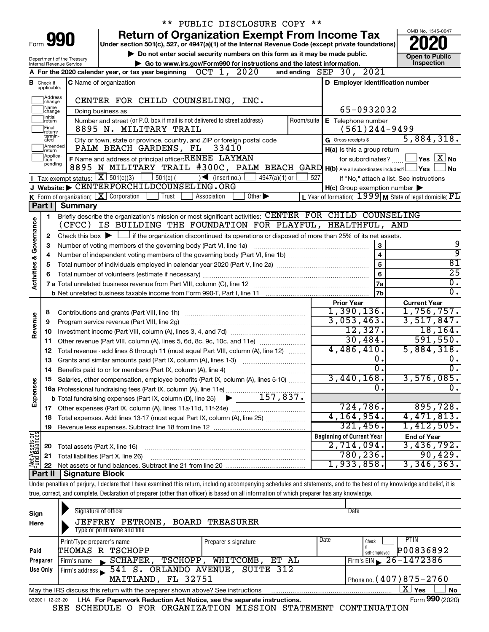|                                                                                                                                                                                   |                            |                                                                 | ** PUBLIC DISCLOSURE COPY **                                                                                                                                               |                             |            |                                     |                                                     |                                                             |
|-----------------------------------------------------------------------------------------------------------------------------------------------------------------------------------|----------------------------|-----------------------------------------------------------------|----------------------------------------------------------------------------------------------------------------------------------------------------------------------------|-----------------------------|------------|-------------------------------------|-----------------------------------------------------|-------------------------------------------------------------|
| <b>Return of Organization Exempt From Income Tax</b><br>Form 990                                                                                                                  |                            |                                                                 |                                                                                                                                                                            |                             |            |                                     |                                                     | OMB No. 1545-0047                                           |
| Under section 501(c), 527, or 4947(a)(1) of the Internal Revenue Code (except private foundations)<br>Do not enter social security numbers on this form as it may be made public. |                            |                                                                 |                                                                                                                                                                            |                             |            |                                     |                                                     |                                                             |
|                                                                                                                                                                                   |                            | Department of the Treasury                                      | Go to www.irs.gov/Form990 for instructions and the latest information.                                                                                                     |                             |            | <b>Open to Public</b><br>Inspection |                                                     |                                                             |
|                                                                                                                                                                                   |                            | Internal Revenue Service                                        | $OCT$ 1,<br>2020<br>A For the 2020 calendar year, or tax year beginning                                                                                                    |                             |            | and ending $SEP$ 30,                | 2021                                                |                                                             |
|                                                                                                                                                                                   | <b>B</b> Check if          |                                                                 | <b>C</b> Name of organization                                                                                                                                              |                             |            |                                     | D Employer identification number                    |                                                             |
|                                                                                                                                                                                   | applicable:                |                                                                 |                                                                                                                                                                            |                             |            |                                     |                                                     |                                                             |
|                                                                                                                                                                                   | Address<br>change          |                                                                 | CENTER FOR CHILD COUNSELING, INC.                                                                                                                                          |                             |            |                                     |                                                     |                                                             |
|                                                                                                                                                                                   | Name<br> change<br>Initial |                                                                 | Doing business as                                                                                                                                                          |                             |            |                                     | 65-0932032                                          |                                                             |
|                                                                                                                                                                                   | return<br>Final            |                                                                 | Number and street (or P.O. box if mail is not delivered to street address)<br>8895 N. MILITARY TRAIL                                                                       |                             | Room/suite | E Telephone number                  | $(561)$ 244-9499                                    |                                                             |
|                                                                                                                                                                                   | return/<br>termin-<br>ated |                                                                 | City or town, state or province, country, and ZIP or foreign postal code                                                                                                   |                             |            | G Gross receipts \$                 |                                                     | 5,884,318.                                                  |
|                                                                                                                                                                                   | Amended<br>Ireturn         |                                                                 | PALM BEACH GARDENS, FL<br>33410                                                                                                                                            |                             |            |                                     | H(a) Is this a group return                         |                                                             |
|                                                                                                                                                                                   | Applica-<br>Ition          |                                                                 | F Name and address of principal officer: RENEE LAYMAN                                                                                                                      |                             |            |                                     | for subordinates?                                   | $\,$ Yes $\,$ $\,$ $\rm X$ $\,$ No $\,$                     |
|                                                                                                                                                                                   | pending                    |                                                                 | 8895 N MILITARY TRAIL #300C, PALM BEACH GARD H(b) Are all subordinates included? Pes                                                                                       |                             |            |                                     |                                                     | No.                                                         |
|                                                                                                                                                                                   |                            | Tax-exempt status: $X \overline{3}$ 501(c)(3)                   | $\frac{1}{2}$ 501(c) (<br>$\sqrt{\frac{1}{1}}$ (insert no.)                                                                                                                | $4947(a)(1)$ or             | 527        |                                     |                                                     | If "No," attach a list. See instructions                    |
|                                                                                                                                                                                   |                            |                                                                 | J Website: CENTERFORCHILDCOUNSELING.ORG                                                                                                                                    |                             |            |                                     | $H(c)$ Group exemption number $\blacktriangleright$ |                                                             |
|                                                                                                                                                                                   |                            | <b>K</b> Form of organization: $\boxed{\mathbf{X}}$ Corporation | l Trust<br>Association                                                                                                                                                     | Other $\blacktriangleright$ |            |                                     |                                                     | L Year of formation: $1999$ M State of legal domicile: $FL$ |
|                                                                                                                                                                                   | Part I                     | <b>Summary</b>                                                  |                                                                                                                                                                            |                             |            |                                     |                                                     |                                                             |
|                                                                                                                                                                                   | 1.                         |                                                                 | Briefly describe the organization's mission or most significant activities: CENTER FOR CHILD COUNSELING                                                                    |                             |            |                                     |                                                     |                                                             |
| Governance                                                                                                                                                                        |                            |                                                                 | (CFCC) IS BUILDING THE FOUNDATION FOR PLAYFUL, HEALTHFUL, AND                                                                                                              |                             |            |                                     |                                                     |                                                             |
|                                                                                                                                                                                   | 2                          |                                                                 | Check this box $\blacktriangleright \Box$ if the organization discontinued its operations or disposed of more than 25% of its net assets.                                  |                             |            |                                     |                                                     |                                                             |
|                                                                                                                                                                                   | з                          |                                                                 | Number of voting members of the governing body (Part VI, line 1a)                                                                                                          |                             |            |                                     | 3                                                   | 9                                                           |
|                                                                                                                                                                                   | 4                          |                                                                 |                                                                                                                                                                            |                             |            |                                     | $\overline{\mathbf{4}}$                             | ब्र                                                         |
|                                                                                                                                                                                   | 5                          |                                                                 |                                                                                                                                                                            |                             |            |                                     | 5                                                   | $\overline{81}$                                             |
| <b>Activities &amp;</b>                                                                                                                                                           | 6                          |                                                                 |                                                                                                                                                                            |                             |            |                                     | 6                                                   | $\overline{25}$                                             |
|                                                                                                                                                                                   |                            |                                                                 |                                                                                                                                                                            |                             |            |                                     | 7a                                                  | $\overline{0}$ .                                            |
|                                                                                                                                                                                   |                            |                                                                 |                                                                                                                                                                            |                             |            |                                     | 7 <sub>b</sub>                                      | $\overline{0}$ .                                            |
|                                                                                                                                                                                   |                            |                                                                 |                                                                                                                                                                            |                             |            | <b>Prior Year</b>                   |                                                     | <b>Current Year</b>                                         |
|                                                                                                                                                                                   | 8                          |                                                                 |                                                                                                                                                                            |                             |            | 1,390,136.                          |                                                     | 1,756,757.                                                  |
| Revenue                                                                                                                                                                           | 9                          |                                                                 | Program service revenue (Part VIII, line 2g)                                                                                                                               |                             |            | 3,053,463.                          |                                                     | 3,517,847.                                                  |
|                                                                                                                                                                                   | 10                         |                                                                 |                                                                                                                                                                            |                             |            |                                     | 12,327.                                             | 18, 164.                                                    |
|                                                                                                                                                                                   | 11                         |                                                                 | Other revenue (Part VIII, column (A), lines 5, 6d, 8c, 9c, 10c, and 11e)                                                                                                   |                             |            |                                     | 30,484.                                             | 591,550.                                                    |
|                                                                                                                                                                                   | 12                         |                                                                 | Total revenue - add lines 8 through 11 (must equal Part VIII, column (A), line 12)                                                                                         |                             |            | 4,486,410.                          |                                                     | 5,884,318.                                                  |
|                                                                                                                                                                                   | 13                         |                                                                 | Grants and similar amounts paid (Part IX, column (A), lines 1-3)                                                                                                           |                             |            |                                     | 0.                                                  | υ.                                                          |
|                                                                                                                                                                                   |                            |                                                                 |                                                                                                                                                                            |                             |            |                                     | $\overline{0}$ .                                    | σ.                                                          |
|                                                                                                                                                                                   |                            |                                                                 | Salaries, other compensation, employee benefits (Part IX, column (A), lines 5-10)                                                                                          |                             |            | 3,440,168                           |                                                     | 3,576,085.                                                  |
| Expenses                                                                                                                                                                          |                            |                                                                 |                                                                                                                                                                            |                             |            |                                     | 0                                                   | Ο.                                                          |
|                                                                                                                                                                                   |                            |                                                                 |                                                                                                                                                                            |                             |            |                                     |                                                     |                                                             |
|                                                                                                                                                                                   | 17                         |                                                                 | Other expenses (Part IX, column (A), lines 11a-11d, 11f-24e)                                                                                                               |                             |            |                                     | 724,786.                                            | 895,728.                                                    |
|                                                                                                                                                                                   | 18                         |                                                                 | Total expenses. Add lines 13-17 (must equal Part IX, column (A), line 25)                                                                                                  |                             |            | 4, 164, 954.                        |                                                     | 4,471,813.                                                  |
|                                                                                                                                                                                   | 19                         |                                                                 |                                                                                                                                                                            |                             |            |                                     | 321,456.                                            | 1,412,505.                                                  |
|                                                                                                                                                                                   |                            |                                                                 |                                                                                                                                                                            |                             |            | <b>Beginning of Current Year</b>    |                                                     | <b>End of Year</b>                                          |
| Net Assets or<br>Fund Balances                                                                                                                                                    | 20                         | Total assets (Part X, line 16)                                  |                                                                                                                                                                            |                             |            | 2,714,094.                          |                                                     | 3,436,792.                                                  |
|                                                                                                                                                                                   | 21                         | Total liabilities (Part X, line 26)                             |                                                                                                                                                                            |                             |            |                                     | 780, 236.                                           | 90,429.                                                     |
|                                                                                                                                                                                   | 22                         |                                                                 |                                                                                                                                                                            |                             |            | 1,933,858.                          |                                                     | 3,346,363.                                                  |
|                                                                                                                                                                                   | Part II                    | <b>Signature Block</b>                                          |                                                                                                                                                                            |                             |            |                                     |                                                     |                                                             |
|                                                                                                                                                                                   |                            |                                                                 | Under penalties of perjury, I declare that I have examined this return, including accompanying schedules and statements, and to the best of my knowledge and belief, it is |                             |            |                                     |                                                     |                                                             |
|                                                                                                                                                                                   |                            |                                                                 | true, correct, and complete. Declaration of preparer (other than officer) is based on all information of which preparer has any knowledge.                                 |                             |            |                                     |                                                     |                                                             |
|                                                                                                                                                                                   |                            |                                                                 |                                                                                                                                                                            |                             |            |                                     |                                                     |                                                             |

| Sign     | Signature of officer                                                                                             |                      |      | Date                           |  |  |  |
|----------|------------------------------------------------------------------------------------------------------------------|----------------------|------|--------------------------------|--|--|--|
| Here     | JEFFREY PETRONE, BOARD TREASURER                                                                                 |                      |      |                                |  |  |  |
|          | Type or print name and title                                                                                     |                      |      |                                |  |  |  |
|          | Print/Type preparer's name                                                                                       | Preparer's signature | Date | PTIN.<br>Check                 |  |  |  |
| Paid     | THOMAS R TSCHOPP                                                                                                 |                      |      | P00836892<br>self-employed     |  |  |  |
| Preparer | SCHAFER, TSCHOPP,<br>Firm's name<br>$\blacksquare$                                                               | WHITCOMB,<br>ET AL   |      | Firm's EIN $\geq 26 - 1472386$ |  |  |  |
| Use Only | Firm's address 541 S. ORLANDO AVENUE, SUITE 312                                                                  |                      |      |                                |  |  |  |
|          | MAITLAND, FL 32751                                                                                               |                      |      | Phone no. (407) 875-2760       |  |  |  |
|          | $\mathbf{X}$ Yes<br><b>No</b><br>May the IRS discuss this return with the preparer shown above? See instructions |                      |      |                                |  |  |  |
|          | Form 990 (2020)<br>LHA For Paperwork Reduction Act Notice, see the separate instructions.<br>032001 12-23-20     |                      |      |                                |  |  |  |

SEE SCHEDULE O FOR ORGANIZATION MISSION STATEMENT CONTINUATION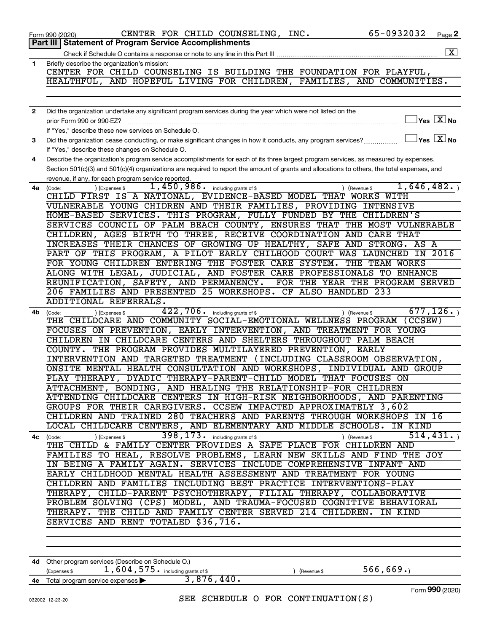|              | 65-0932032<br>CENTER FOR CHILD COUNSELING, INC.<br>Page 2<br>Form 990 (2020)                                                                      |
|--------------|---------------------------------------------------------------------------------------------------------------------------------------------------|
|              | Part III   Statement of Program Service Accomplishments                                                                                           |
|              | $\boxed{\text{X}}$                                                                                                                                |
| 1            | Briefly describe the organization's mission:                                                                                                      |
|              | CENTER FOR CHILD COUNSELING IS BUILDING THE FOUNDATION FOR PLAYFUL,                                                                               |
|              | HEALTHFUL, AND HOPEFUL LIVING FOR CHILDREN, FAMILIES, AND COMMUNITIES.                                                                            |
|              |                                                                                                                                                   |
|              |                                                                                                                                                   |
| $\mathbf{2}$ | Did the organization undertake any significant program services during the year which were not listed on the                                      |
|              | $\exists$ Yes $\boxed{\text{X}}$ No<br>prior Form 990 or 990-EZ?                                                                                  |
|              | If "Yes," describe these new services on Schedule O.                                                                                              |
| 3            | $\Box$ Yes $\boxed{\text{X}}$ No<br>Did the organization cease conducting, or make significant changes in how it conducts, any program services?  |
|              | If "Yes," describe these changes on Schedule O.                                                                                                   |
| 4            | Describe the organization's program service accomplishments for each of its three largest program services, as measured by expenses.              |
|              | Section 501(c)(3) and 501(c)(4) organizations are required to report the amount of grants and allocations to others, the total expenses, and      |
|              | revenue, if any, for each program service reported.<br>1,646,482.                                                                                 |
| 4a           | 1,450,986. including grants of \$<br>) (Expenses \$<br>) (Revenue \$<br>(Code:<br>CHILD FIRST IS A NATIONAL, EVIDENCE-BASED MODEL THAT WORKS WITH |
|              | VULNERABLE YOUNG CHIDREN AND THEIR FAMILIES, PROVIDING INTENSIVE                                                                                  |
|              | HOME-BASED SERVICES. THIS PROGRAM, FULLY FUNDED BY THE CHILDREN'S                                                                                 |
|              | SERVICES COUNCIL OF PALM BEACH COUNTY, ENSURES THAT THE MOST VULNERABLE                                                                           |
|              | CHILDREN, AGES BIRTH TO THREE, RECEIVE COORDINATION AND CARE THAT                                                                                 |
|              | INCREASES THEIR CHANCES OF GROWING UP HEALTHY, SAFE AND STRONG. AS A                                                                              |
|              | PART OF THIS PROGRAM, A PILOT EARLY CHILHOOD COURT WAS LAUNCHED IN 2016                                                                           |
|              | FOR YOUNG CHILDREN ENTERING THE FOSTER CARE SYSTEM.<br>THE TEAM WORKS                                                                             |
|              | ALONG WITH LEGAL, JUDICIAL, AND FOSTER CARE PROFESSIONALS TO ENHANCE                                                                              |
|              | REUNIFICATION, SAFETY, AND PERMANENCY.<br>FOR THE YEAR THE PROGRAM SERVED                                                                         |
|              | 206 FAMILIES AND PRESENTED 25 WORKSHOPS. CF ALSO HANDLED 233                                                                                      |
|              | ADDITIONAL REFERRALS.                                                                                                                             |
| 4b           | 677, 126.<br>$422, 706$ $\cdot$ including grants of \$<br>) (Expenses \$<br>) (Revenue \$<br>(Code:                                               |
|              | THE CHILDCARE AND COMMUNITY SOCIAL-EMOTIONAL WELLNESS PROGRAM (CCSEW)                                                                             |
|              | FOCUSES ON PREVENTION, EARLY INTERVENTION, AND TREATMENT FOR YOUNG                                                                                |
|              | CHILDREN IN CHILDCARE CENTERS AND SHELTERS THROUGHOUT PALM BEACH                                                                                  |
|              | COUNTY. THE PROGRAM PROVIDES MULTILAYERED PREVENTION, EARLY                                                                                       |
|              | INTERVENTION AND TARGETED TREATMENT (INCLUDING CLASSROOM OBSERVATION,                                                                             |
|              | ONSITE MENTAL HEALTH CONSULTATION AND WORKSHOPS, INDIVIDUAL AND GROUP                                                                             |
|              | PLAY THERAPY, DYADIC THERAPY-PARENT-CHILD MODEL THAT FOCUSES ON                                                                                   |
|              | ATTACHMENT, BONDING, AND HEALING THE RELATIONSHIP-FOR CHILDREN<br>ATTENDING CHILDCARE CENTERS IN HIGH-RISK NEIGHBORHOODS, AND PARENTING           |
|              | GROUPS FOR THEIR CAREGIVERS. CCSEW IMPACTED APPROXIMATELY 3,602                                                                                   |
|              | CHILDREN AND TRAINED 280 TEACHERS AND PARENTS THROUGH WORKSHOPS IN 16                                                                             |
|              | LOCAL CHILDCARE CENTERS, AND ELEMENTARY AND MIDDLE SCHOOLS. IN KIND                                                                               |
| 4с           | 398, 173. including grants of \$<br>514, 431.<br>) (Expenses \$<br>) (Revenue \$<br>(Code:                                                        |
|              | THE CHILD & FAMILY CENTER PROVIDES A SAFE PLACE FOR CHILDREN AND                                                                                  |
|              | FAMILIES TO HEAL, RESOLVE PROBLEMS, LEARN NEW SKILLS AND FIND THE JOY                                                                             |
|              | IN BEING A FAMILY AGAIN. SERVICES INCLUDE COMPREHENSIVE INFANT AND                                                                                |
|              | EARLY CHILDHOOD MENTAL HEALTH ASSESSMENT AND TREATMENT FOR YOUNG                                                                                  |
|              | CHILDREN AND FAMILIES INCLUDING BEST PRACTICE INTERVENTIONS-PLAY                                                                                  |
|              | THERAPY, CHILD-PARENT PSYCHOTHERAPY, FILIAL THERAPY, COLLABORATIVE                                                                                |
|              | PROBLEM SOLVING (CPS) MODEL, AND TRAUMA-FOCUSED COGNITIVE BEHAVIORAL                                                                              |
|              | THERAPY. THE CHILD AND FAMILY CENTER SERVED 214 CHILDREN. IN KIND                                                                                 |
|              | SERVICES AND RENT TOTALED \$36,716.                                                                                                               |
|              |                                                                                                                                                   |
|              |                                                                                                                                                   |
|              |                                                                                                                                                   |
|              | 4d Other program services (Describe on Schedule O.)                                                                                               |
|              | 566,669.<br>1,604,575. including grants of \$<br>(Expenses \$<br>(Revenue \$                                                                      |
| 4е           | 3,876,440.<br>Total program service expenses                                                                                                      |
|              | Form 990 (2020)<br>SEE SCHEDULE O FOR CONTINUATION(S)<br>032002 12-23-20                                                                          |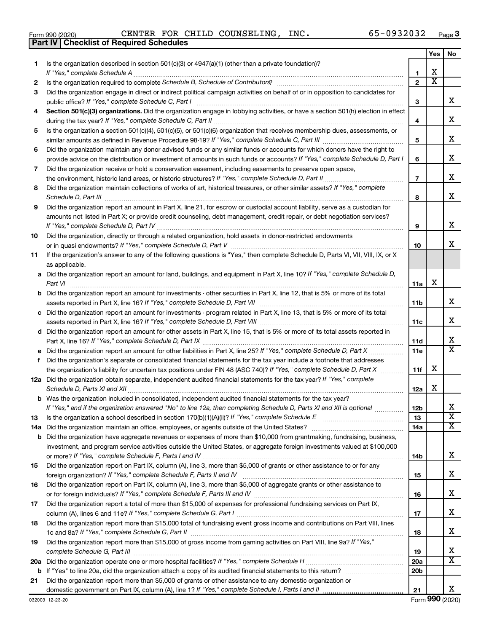| /es" to line 20a, did the organization attach a copy of its audited financial statem |
|--------------------------------------------------------------------------------------|
| the organization report more than \$5,000 of grants or other assistance to any do    |
| nestic government on Part IX, column (A), line 1? If "Yes," complete Schedule I, I   |
| 23-20                                                                                |
|                                                                                      |

|     |                                                                                                                                                                                                                                                   |                               | Yes                     | No                           |
|-----|---------------------------------------------------------------------------------------------------------------------------------------------------------------------------------------------------------------------------------------------------|-------------------------------|-------------------------|------------------------------|
| 1   | Is the organization described in section 501(c)(3) or 4947(a)(1) (other than a private foundation)?                                                                                                                                               |                               |                         |                              |
|     |                                                                                                                                                                                                                                                   | 1                             | х                       |                              |
| 2   |                                                                                                                                                                                                                                                   | $\mathbf{2}$                  | $\overline{\mathbf{X}}$ |                              |
| З   | Did the organization engage in direct or indirect political campaign activities on behalf of or in opposition to candidates for                                                                                                                   |                               |                         |                              |
|     | public office? If "Yes," complete Schedule C, Part I                                                                                                                                                                                              | 3                             |                         | X.                           |
| 4   | Section 501(c)(3) organizations. Did the organization engage in lobbying activities, or have a section 501(h) election in effect                                                                                                                  |                               |                         | х                            |
|     |                                                                                                                                                                                                                                                   | 4                             |                         |                              |
| 5   | Is the organization a section 501(c)(4), 501(c)(5), or 501(c)(6) organization that receives membership dues, assessments, or                                                                                                                      | 5                             |                         | х                            |
| 6   | Did the organization maintain any donor advised funds or any similar funds or accounts for which donors have the right to                                                                                                                         |                               |                         |                              |
|     | provide advice on the distribution or investment of amounts in such funds or accounts? If "Yes," complete Schedule D, Part I                                                                                                                      | 6                             |                         | х                            |
| 7   | Did the organization receive or hold a conservation easement, including easements to preserve open space,                                                                                                                                         |                               |                         |                              |
|     |                                                                                                                                                                                                                                                   | $\overline{7}$                |                         | х                            |
| 8   | Did the organization maintain collections of works of art, historical treasures, or other similar assets? If "Yes," complete                                                                                                                      |                               |                         |                              |
|     |                                                                                                                                                                                                                                                   | 8                             |                         | x                            |
| 9   | Did the organization report an amount in Part X, line 21, for escrow or custodial account liability, serve as a custodian for                                                                                                                     |                               |                         |                              |
|     | amounts not listed in Part X; or provide credit counseling, debt management, credit repair, or debt negotiation services?                                                                                                                         |                               |                         |                              |
|     |                                                                                                                                                                                                                                                   | 9                             |                         | x                            |
| 10  | Did the organization, directly or through a related organization, hold assets in donor-restricted endowments                                                                                                                                      |                               |                         |                              |
|     |                                                                                                                                                                                                                                                   | 10                            |                         | х                            |
| 11  | If the organization's answer to any of the following questions is "Yes," then complete Schedule D, Parts VI, VII, VIII, IX, or X                                                                                                                  |                               |                         |                              |
|     | as applicable.                                                                                                                                                                                                                                    |                               |                         |                              |
|     | a Did the organization report an amount for land, buildings, and equipment in Part X, line 10? If "Yes," complete Schedule D,                                                                                                                     |                               |                         |                              |
|     | Part VI                                                                                                                                                                                                                                           | 11a                           | х                       |                              |
|     | <b>b</b> Did the organization report an amount for investments - other securities in Part X, line 12, that is 5% or more of its total                                                                                                             |                               |                         |                              |
|     |                                                                                                                                                                                                                                                   | 11b                           |                         | х                            |
|     | c Did the organization report an amount for investments - program related in Part X, line 13, that is 5% or more of its total                                                                                                                     |                               |                         |                              |
|     |                                                                                                                                                                                                                                                   | 11c                           |                         | х                            |
|     | d Did the organization report an amount for other assets in Part X, line 15, that is 5% or more of its total assets reported in                                                                                                                   |                               |                         |                              |
|     |                                                                                                                                                                                                                                                   | 11d                           |                         | x<br>$\overline{\texttt{x}}$ |
|     |                                                                                                                                                                                                                                                   | 11e                           |                         |                              |
| f.  | Did the organization's separate or consolidated financial statements for the tax year include a footnote that addresses                                                                                                                           |                               | х                       |                              |
|     | the organization's liability for uncertain tax positions under FIN 48 (ASC 740)? If "Yes," complete Schedule D, Part X<br>12a Did the organization obtain separate, independent audited financial statements for the tax year? If "Yes," complete | 11f                           |                         |                              |
|     |                                                                                                                                                                                                                                                   | 12a                           | х                       |                              |
|     | <b>b</b> Was the organization included in consolidated, independent audited financial statements for the tax year?                                                                                                                                |                               |                         |                              |
|     | If "Yes," and if the organization answered "No" to line 12a, then completing Schedule D, Parts XI and XII is optional                                                                                                                             | 12 <sub>b</sub>               |                         | х                            |
| 13  |                                                                                                                                                                                                                                                   | 13                            |                         | $\overline{\textbf{x}}$      |
| 14a |                                                                                                                                                                                                                                                   | 14a                           |                         | x                            |
|     | <b>b</b> Did the organization have aggregate revenues or expenses of more than \$10,000 from grantmaking, fundraising, business,                                                                                                                  |                               |                         |                              |
|     | investment, and program service activities outside the United States, or aggregate foreign investments valued at \$100,000                                                                                                                        |                               |                         |                              |
|     |                                                                                                                                                                                                                                                   | 14b                           |                         | x                            |
| 15  | Did the organization report on Part IX, column (A), line 3, more than \$5,000 of grants or other assistance to or for any                                                                                                                         |                               |                         |                              |
|     |                                                                                                                                                                                                                                                   | 15                            |                         | x                            |
| 16  | Did the organization report on Part IX, column (A), line 3, more than \$5,000 of aggregate grants or other assistance to                                                                                                                          |                               |                         |                              |
|     |                                                                                                                                                                                                                                                   | 16                            |                         | x                            |
| 17  | Did the organization report a total of more than \$15,000 of expenses for professional fundraising services on Part IX,                                                                                                                           |                               |                         |                              |
|     |                                                                                                                                                                                                                                                   | 17                            |                         | x                            |
| 18  | Did the organization report more than \$15,000 total of fundraising event gross income and contributions on Part VIII, lines                                                                                                                      |                               |                         | x                            |
|     |                                                                                                                                                                                                                                                   | 18                            |                         |                              |
| 19  | Did the organization report more than \$15,000 of gross income from gaming activities on Part VIII, line 9a? If "Yes,"                                                                                                                            |                               |                         | х                            |
|     |                                                                                                                                                                                                                                                   | 19                            |                         | $\overline{\mathbf{x}}$      |
|     |                                                                                                                                                                                                                                                   | <b>20a</b><br>20 <sub>b</sub> |                         |                              |
| 21  | Did the organization report more than \$5,000 of grants or other assistance to any domestic organization or                                                                                                                                       |                               |                         |                              |
|     |                                                                                                                                                                                                                                                   | 21                            |                         | x                            |
|     | 032003 12-23-20                                                                                                                                                                                                                                   |                               |                         | Form 990 (2020)              |

**Part IV Checklist of Required Schedules**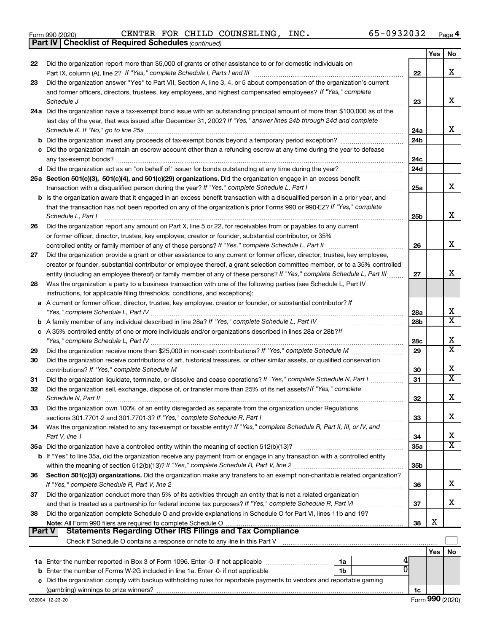|  | Form 990 (2020) |
|--|-----------------|
|  |                 |

*(continued)* **Part IV Checklist of Required Schedules**

Form 990 (2020)  $\begin{array}{cccc} \text{CENTER} \end{array}$  FOR <code>CHILD</code> <code>COUNSELING</code> , <code>INC</code> .  $\begin{array}{cccc} \text{65--0932032} \end{array}$  <code>Page</code>

|        |                                                                                                                                             |                 | Yes | No                    |
|--------|---------------------------------------------------------------------------------------------------------------------------------------------|-----------------|-----|-----------------------|
| 22     | Did the organization report more than \$5,000 of grants or other assistance to or for domestic individuals on                               |                 |     |                       |
|        |                                                                                                                                             | 22              |     | X                     |
| 23     | Did the organization answer "Yes" to Part VII, Section A, line 3, 4, or 5 about compensation of the organization's current                  |                 |     |                       |
|        | and former officers, directors, trustees, key employees, and highest compensated employees? If "Yes," complete                              |                 |     |                       |
|        |                                                                                                                                             | 23              |     | х                     |
|        | 24a Did the organization have a tax-exempt bond issue with an outstanding principal amount of more than \$100,000 as of the                 |                 |     |                       |
|        | last day of the year, that was issued after December 31, 2002? If "Yes," answer lines 24b through 24d and complete                          |                 |     |                       |
|        |                                                                                                                                             | 24a             |     | х                     |
|        |                                                                                                                                             | 24 <sub>b</sub> |     |                       |
|        | c Did the organization maintain an escrow account other than a refunding escrow at any time during the year to defease                      |                 |     |                       |
|        |                                                                                                                                             | 24c             |     |                       |
|        |                                                                                                                                             | 24d             |     |                       |
|        | 25a Section 501(c)(3), 501(c)(4), and 501(c)(29) organizations. Did the organization engage in an excess benefit                            |                 |     | х                     |
|        |                                                                                                                                             | 25a             |     |                       |
|        | <b>b</b> Is the organization aware that it engaged in an excess benefit transaction with a disqualified person in a prior year, and         |                 |     |                       |
|        | that the transaction has not been reported on any of the organization's prior Forms 990 or 990-EZ? If "Yes," complete<br>Schedule L, Part I |                 |     | х                     |
|        | Did the organization report any amount on Part X, line 5 or 22, for receivables from or payables to any current                             | 25b             |     |                       |
| 26     |                                                                                                                                             |                 |     |                       |
|        | or former officer, director, trustee, key employee, creator or founder, substantial contributor, or 35%                                     | 26              |     | х                     |
| 27     | Did the organization provide a grant or other assistance to any current or former officer, director, trustee, key employee,                 |                 |     |                       |
|        | creator or founder, substantial contributor or employee thereof, a grant selection committee member, or to a 35% controlled                 |                 |     |                       |
|        | entity (including an employee thereof) or family member of any of these persons? If "Yes," complete Schedule L, Part III                    | 27              |     | х                     |
| 28     | Was the organization a party to a business transaction with one of the following parties (see Schedule L, Part IV                           |                 |     |                       |
|        | instructions, for applicable filing thresholds, conditions, and exceptions):                                                                |                 |     |                       |
| а      | A current or former officer, director, trustee, key employee, creator or founder, or substantial contributor? If                            |                 |     |                       |
|        |                                                                                                                                             | 28a             |     | х                     |
| b      |                                                                                                                                             | 28 <sub>b</sub> |     | $\overline{\text{x}}$ |
|        | c A 35% controlled entity of one or more individuals and/or organizations described in lines 28a or 28b?If                                  |                 |     |                       |
|        |                                                                                                                                             | 28c             |     | X                     |
| 29     |                                                                                                                                             | 29              |     | $\overline{\text{x}}$ |
| 30     | Did the organization receive contributions of art, historical treasures, or other similar assets, or qualified conservation                 |                 |     |                       |
|        |                                                                                                                                             | 30              |     | х                     |
| 31     | Did the organization liquidate, terminate, or dissolve and cease operations? If "Yes," complete Schedule N, Part I                          | 31              |     | X                     |
| 32     | Did the organization sell, exchange, dispose of, or transfer more than 25% of its net assets? If "Yes," complete                            |                 |     |                       |
|        | Schedule N, Part II                                                                                                                         | 32              |     | х                     |
| 33     | Did the organization own 100% of an entity disregarded as separate from the organization under Regulations                                  |                 |     |                       |
|        |                                                                                                                                             | 33              |     | х                     |
| 34     | Was the organization related to any tax-exempt or taxable entity? If "Yes," complete Schedule R, Part II, III, or IV, and                   |                 |     |                       |
|        | Part V, line 1                                                                                                                              | 34              |     | х                     |
|        |                                                                                                                                             | 35a             |     | $\overline{\text{X}}$ |
|        | b If "Yes" to line 35a, did the organization receive any payment from or engage in any transaction with a controlled entity                 |                 |     |                       |
|        |                                                                                                                                             | 35 <sub>b</sub> |     |                       |
| 36     | Section 501(c)(3) organizations. Did the organization make any transfers to an exempt non-charitable related organization?                  |                 |     |                       |
|        |                                                                                                                                             | 36              |     | х                     |
| 37     | Did the organization conduct more than 5% of its activities through an entity that is not a related organization                            |                 |     |                       |
|        | and that is treated as a partnership for federal income tax purposes? If "Yes," complete Schedule R, Part VI                                | 37              |     | х                     |
| 38     | Did the organization complete Schedule O and provide explanations in Schedule O for Part VI, lines 11b and 19?                              |                 |     |                       |
| Part V | <b>Statements Regarding Other IRS Filings and Tax Compliance</b>                                                                            | 38              | х   |                       |
|        |                                                                                                                                             |                 |     |                       |
|        |                                                                                                                                             |                 |     |                       |
|        |                                                                                                                                             |                 | Yes | No                    |
|        | 1a<br><b>b</b> Enter the number of Forms W-2G included in line 1a. Enter -0- if not applicable<br>1b                                        |                 |     |                       |
|        | c Did the organization comply with backup withholding rules for reportable payments to vendors and reportable gaming                        |                 |     |                       |
|        |                                                                                                                                             | 1c              |     |                       |
|        |                                                                                                                                             |                 |     |                       |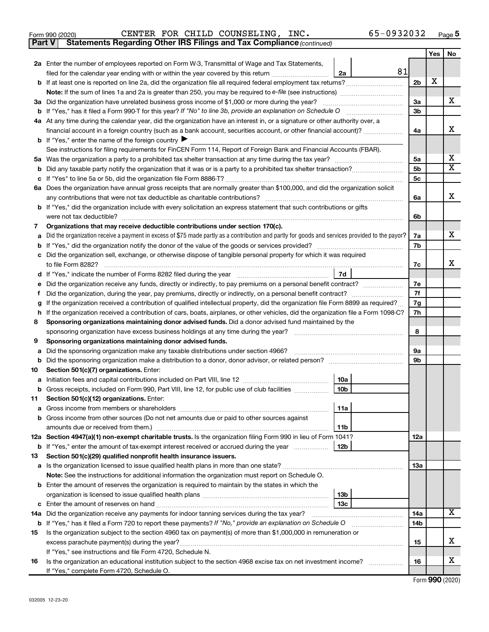| Form 990 (2020) |  |  |  |  | CENTER FOR CHILD COUNSELING, | INC. | 65-0932032 | Page |  |
|-----------------|--|--|--|--|------------------------------|------|------------|------|--|
|-----------------|--|--|--|--|------------------------------|------|------------|------|--|

**Part V Statements Regarding Other IRS Filings and Tax Compliance**

*(continued)*

|         |                                                                                                                                                 |                 | Yes | No                      |  |  |  |
|---------|-------------------------------------------------------------------------------------------------------------------------------------------------|-----------------|-----|-------------------------|--|--|--|
|         | 2a Enter the number of employees reported on Form W-3, Transmittal of Wage and Tax Statements,                                                  |                 |     |                         |  |  |  |
|         | 81<br>filed for the calendar year ending with or within the year covered by this return<br>2a                                                   |                 |     |                         |  |  |  |
| b       | If at least one is reported on line 2a, did the organization file all required federal employment tax returns?                                  | 2b              | X   |                         |  |  |  |
|         | Note: If the sum of lines 1a and 2a is greater than 250, you may be required to e-file (see instructions) <i>marroummann</i>                    |                 |     |                         |  |  |  |
|         | 3a Did the organization have unrelated business gross income of \$1,000 or more during the year?                                                | За              |     | x                       |  |  |  |
| b       |                                                                                                                                                 | 3b              |     |                         |  |  |  |
|         | 4a At any time during the calendar year, did the organization have an interest in, or a signature or other authority over, a                    |                 |     |                         |  |  |  |
|         | financial account in a foreign country (such as a bank account, securities account, or other financial account)?                                | 4a              |     | х                       |  |  |  |
|         | <b>b</b> If "Yes," enter the name of the foreign country $\blacktriangleright$                                                                  |                 |     |                         |  |  |  |
|         | See instructions for filing requirements for FinCEN Form 114, Report of Foreign Bank and Financial Accounts (FBAR).                             |                 |     |                         |  |  |  |
| 5a      |                                                                                                                                                 | 5a              |     | x                       |  |  |  |
| b       |                                                                                                                                                 | 5b              |     | $\overline{\mathbf{X}}$ |  |  |  |
|         |                                                                                                                                                 | 5с              |     |                         |  |  |  |
|         | 6a Does the organization have annual gross receipts that are normally greater than \$100,000, and did the organization solicit                  |                 |     |                         |  |  |  |
|         |                                                                                                                                                 | 6a              |     | х                       |  |  |  |
| b       | If "Yes," did the organization include with every solicitation an express statement that such contributions or gifts                            |                 |     |                         |  |  |  |
|         | were not tax deductible?                                                                                                                        | 6b              |     |                         |  |  |  |
| 7       | Organizations that may receive deductible contributions under section 170(c).                                                                   |                 |     |                         |  |  |  |
| a       | Did the organization receive a payment in excess of \$75 made partly as a contribution and partly for goods and services provided to the payor? | 7a              |     | x                       |  |  |  |
| b       |                                                                                                                                                 | 7b              |     |                         |  |  |  |
|         | Did the organization sell, exchange, or otherwise dispose of tangible personal property for which it was required                               |                 |     |                         |  |  |  |
|         | to file Form 8282?                                                                                                                              | 7c              |     | x                       |  |  |  |
| d       | 7d                                                                                                                                              |                 |     |                         |  |  |  |
|         |                                                                                                                                                 |                 |     |                         |  |  |  |
| f       |                                                                                                                                                 |                 |     |                         |  |  |  |
| g       | If the organization received a contribution of qualified intellectual property, did the organization file Form 8899 as required?                |                 |     |                         |  |  |  |
| h       | If the organization received a contribution of cars, boats, airplanes, or other vehicles, did the organization file a Form 1098-C?              | 7h              |     |                         |  |  |  |
|         | Sponsoring organizations maintaining donor advised funds. Did a donor advised fund maintained by the<br>8                                       |                 |     |                         |  |  |  |
|         |                                                                                                                                                 | 8               |     |                         |  |  |  |
| 9       | Sponsoring organizations maintaining donor advised funds.                                                                                       |                 |     |                         |  |  |  |
| а       | Did the sponsoring organization make any taxable distributions under section 4966?                                                              | <b>9a</b><br>9b |     |                         |  |  |  |
| b       |                                                                                                                                                 |                 |     |                         |  |  |  |
| 10      | Section 501(c)(7) organizations. Enter:<br>10a                                                                                                  |                 |     |                         |  |  |  |
| а       | 10 <sub>b</sub><br>Gross receipts, included on Form 990, Part VIII, line 12, for public use of club facilities                                  |                 |     |                         |  |  |  |
| b<br>11 | Section 501(c)(12) organizations. Enter:                                                                                                        |                 |     |                         |  |  |  |
|         | 11a                                                                                                                                             |                 |     |                         |  |  |  |
|         | Gross income from other sources (Do not net amounts due or paid to other sources against                                                        |                 |     |                         |  |  |  |
|         | 11b                                                                                                                                             |                 |     |                         |  |  |  |
|         | 12a Section 4947(a)(1) non-exempt charitable trusts. Is the organization filing Form 990 in lieu of Form 1041?                                  | 12a             |     |                         |  |  |  |
|         | 12b<br><b>b</b> If "Yes," enter the amount of tax-exempt interest received or accrued during the year                                           |                 |     |                         |  |  |  |
| 13      | Section 501(c)(29) qualified nonprofit health insurance issuers.                                                                                |                 |     |                         |  |  |  |
|         | a Is the organization licensed to issue qualified health plans in more than one state?                                                          | 13a             |     |                         |  |  |  |
|         | <b>Note:</b> See the instructions for additional information the organization must report on Schedule O.                                        |                 |     |                         |  |  |  |
| b       | Enter the amount of reserves the organization is required to maintain by the states in which the                                                |                 |     |                         |  |  |  |
|         | 13b                                                                                                                                             |                 |     |                         |  |  |  |
| с       | 13c                                                                                                                                             |                 |     |                         |  |  |  |
|         | 14a Did the organization receive any payments for indoor tanning services during the tax year?                                                  | 14a             |     | x                       |  |  |  |
|         | <b>b</b> If "Yes," has it filed a Form 720 to report these payments? If "No," provide an explanation on Schedule O                              |                 |     |                         |  |  |  |
| 15      | Is the organization subject to the section 4960 tax on payment(s) of more than \$1,000,000 in remuneration or                                   |                 |     |                         |  |  |  |
|         |                                                                                                                                                 |                 |     |                         |  |  |  |
|         | If "Yes," see instructions and file Form 4720, Schedule N.                                                                                      |                 |     |                         |  |  |  |
| 16      | Is the organization an educational institution subject to the section 4968 excise tax on net investment income?                                 | 16              |     | х                       |  |  |  |
|         | If "Yes," complete Form 4720, Schedule O.                                                                                                       |                 |     |                         |  |  |  |

Form (2020) **990**

l,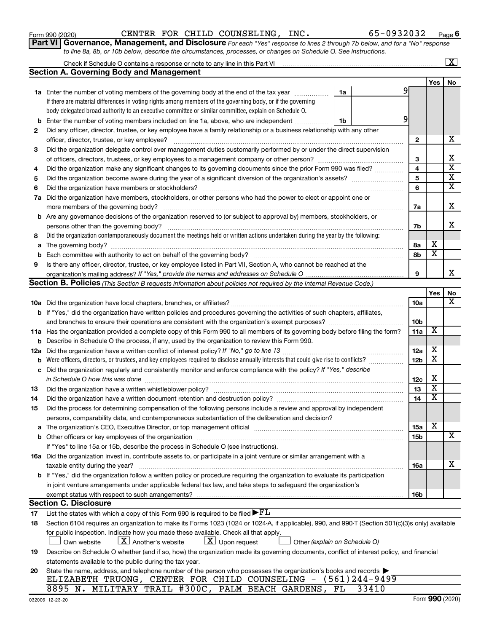032006 12-23-20

|       | 395 N. MILITARY TRAIL #300C, PALM BEACH GARDENS, FL 33410 |  |  |  |  |
|-------|-----------------------------------------------------------|--|--|--|--|
| no no |                                                           |  |  |  |  |

|  | Form 990 (2020) |
|--|-----------------|

|     | <b>Section A. Governing Body and Management</b>                                                                                                                           |                 |     |                         |
|-----|---------------------------------------------------------------------------------------------------------------------------------------------------------------------------|-----------------|-----|-------------------------|
|     |                                                                                                                                                                           |                 | Yes | No                      |
|     | <b>1a</b> Enter the number of voting members of the governing body at the end of the tax year<br>1a                                                                       | 9               |     |                         |
|     | If there are material differences in voting rights among members of the governing body, or if the governing                                                               |                 |     |                         |
|     | body delegated broad authority to an executive committee or similar committee, explain on Schedule O.                                                                     |                 |     |                         |
| b   | Enter the number of voting members included on line 1a, above, who are independent<br>1b                                                                                  | 9               |     |                         |
| 2   | Did any officer, director, trustee, or key employee have a family relationship or a business relationship with any other                                                  |                 |     |                         |
|     | officer, director, trustee, or key employee?                                                                                                                              | 2               |     | х                       |
| 3   | Did the organization delegate control over management duties customarily performed by or under the direct supervision                                                     |                 |     |                         |
|     |                                                                                                                                                                           | 3               |     | х                       |
| 4   | Did the organization make any significant changes to its governing documents since the prior Form 990 was filed?                                                          | 4               |     | $\overline{\mathtt{x}}$ |
| 5   | Did the organization become aware during the year of a significant diversion of the organization's assets?                                                                | 5               |     | $\overline{\mathbf{X}}$ |
| 6   | Did the organization have members or stockholders?                                                                                                                        | 6               |     | $\overline{\mathbf{x}}$ |
| 7a  | Did the organization have members, stockholders, or other persons who had the power to elect or appoint one or                                                            |                 |     |                         |
|     | more members of the governing body?                                                                                                                                       | 7a              |     | х                       |
|     | <b>b</b> Are any governance decisions of the organization reserved to (or subject to approval by) members, stockholders, or                                               |                 |     |                         |
|     | persons other than the governing body?                                                                                                                                    | 7b              |     | х                       |
| 8   | Did the organization contemporaneously document the meetings held or written actions undertaken during the year by the following:                                         |                 |     |                         |
| a   |                                                                                                                                                                           | 8а              | x   |                         |
| b   |                                                                                                                                                                           | 8b              | х   |                         |
| 9   | Is there any officer, director, trustee, or key employee listed in Part VII, Section A, who cannot be reached at the                                                      |                 |     |                         |
|     |                                                                                                                                                                           | 9               |     | x                       |
|     | Section B. Policies (This Section B requests information about policies not required by the Internal Revenue Code.)                                                       |                 |     |                         |
|     |                                                                                                                                                                           |                 | Yes | No                      |
|     |                                                                                                                                                                           | 10a             |     | x                       |
|     | <b>b</b> If "Yes," did the organization have written policies and procedures governing the activities of such chapters, affiliates,                                       |                 |     |                         |
|     |                                                                                                                                                                           | 10 <sub>b</sub> |     |                         |
|     | 11a Has the organization provided a complete copy of this Form 990 to all members of its governing body before filing the form?                                           | 11a             | х   |                         |
|     | <b>b</b> Describe in Schedule O the process, if any, used by the organization to review this Form 990.                                                                    |                 |     |                         |
| 12a |                                                                                                                                                                           | 12a             | х   |                         |
| b   |                                                                                                                                                                           | 12 <sub>b</sub> | x   |                         |
| с   | Did the organization regularly and consistently monitor and enforce compliance with the policy? If "Yes," describe                                                        |                 |     |                         |
|     | in Schedule O how this was done                                                                                                                                           | 12c             | х   |                         |
| 13  |                                                                                                                                                                           | 13              | х   |                         |
| 14  |                                                                                                                                                                           | 14              | x   |                         |
| 15  | Did the process for determining compensation of the following persons include a review and approval by independent                                                        |                 |     |                         |
|     | persons, comparability data, and contemporaneous substantiation of the deliberation and decision?                                                                         |                 |     |                         |
|     | The organization's CEO, Executive Director, or top management official manufactured content of the organization's                                                         | 15a             | X   |                         |
|     |                                                                                                                                                                           | 15b             |     | $\overline{\mathbf{X}}$ |
|     | If "Yes" to line 15a or 15b, describe the process in Schedule O (see instructions).                                                                                       |                 |     |                         |
|     | 16a Did the organization invest in, contribute assets to, or participate in a joint venture or similar arrangement with a                                                 |                 |     |                         |
|     | taxable entity during the year?                                                                                                                                           | 16a             |     | х                       |
|     | b If "Yes," did the organization follow a written policy or procedure requiring the organization to evaluate its participation                                            |                 |     |                         |
|     | in joint venture arrangements under applicable federal tax law, and take steps to safeguard the organization's                                                            |                 |     |                         |
|     | exempt status with respect to such arrangements?                                                                                                                          | 16b             |     |                         |
|     | <b>Section C. Disclosure</b>                                                                                                                                              |                 |     |                         |
| 17  | List the states with which a copy of this Form 990 is required to be filed $\blacktriangleright$ $FL$                                                                     |                 |     |                         |
| 18  | Section 6104 requires an organization to make its Forms 1023 (1024 or 1024-A, if applicable), 990, and 990-T (Section 501(c)(3)s only) available                          |                 |     |                         |
|     | for public inspection. Indicate how you made these available. Check all that apply.<br>$\lfloor x \rfloor$ Upon request<br>$\lfloor X \rfloor$ Another's website          |                 |     |                         |
|     | Other (explain on Schedule O)<br>Own website                                                                                                                              |                 |     |                         |
| 19  | Describe on Schedule O whether (and if so, how) the organization made its governing documents, conflict of interest policy, and financial                                 |                 |     |                         |
|     | statements available to the public during the tax year.<br>State the name, address, and telephone number of the person who possesses the organization's books and records |                 |     |                         |
| 20  | ELIZABETH TRUONG, CENTER FOR CHILD COUNSELING - (561)244-9499                                                                                                             |                 |     |                         |

**Part VI** Governance, Management, and Disclosure For each "Yes" response to lines 2 through 7b below, and for a "No" response

*to line 8a, 8b, or 10b below, describe the circumstances, processes, or changes on Schedule O. See instructions.*

Check if Schedule O contains a response or note to any line in this Part VI

|  | 0932032 |  | Page $6$ |  |
|--|---------|--|----------|--|
|  |         |  |          |  |

 $\boxed{\text{X}}$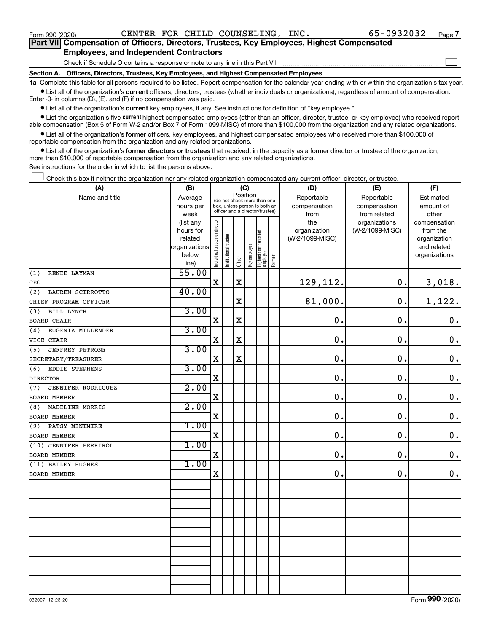$\Box$ 

| Part VII Compensation of Officers, Directors, Trustees, Key Employees, Highest Compensated |
|--------------------------------------------------------------------------------------------|
| <b>Employees, and Independent Contractors</b>                                              |

Check if Schedule O contains a response or note to any line in this Part VII

**Section A. Officers, Directors, Trustees, Key Employees, and Highest Compensated Employees**

**1a**  Complete this table for all persons required to be listed. Report compensation for the calendar year ending with or within the organization's tax year.  $\bullet$  List all of the organization's current officers, directors, trustees (whether individuals or organizations), regardless of amount of compensation.

Enter -0- in columns (D), (E), and (F) if no compensation was paid.

**•** List all of the organization's current key employees, if any. See instructions for definition of "key employee."

• List the organization's five *current* highest compensated employees (other than an officer, director, trustee, or key employee) who received reportable compensation (Box 5 of Form W-2 and/or Box 7 of Form 1099-MISC) of more than \$100,000 from the organization and any related organizations.

 $\bullet$  List all of the organization's former officers, key employees, and highest compensated employees who received more than \$100,000 of reportable compensation from the organization and any related organizations.

**•** List all of the organization's former directors or trustees that received, in the capacity as a former director or trustee of the organization, more than \$10,000 of reportable compensation from the organization and any related organizations.

See instructions for the order in which to list the persons above.

Check this box if neither the organization nor any related organization compensated any current officer, director, or trustee.  $\Box$ 

| (A)                           | (B)                  |                                |                                                                  |             | (C)          |                                 |        | (D)                             | (E)             | (F)                         |
|-------------------------------|----------------------|--------------------------------|------------------------------------------------------------------|-------------|--------------|---------------------------------|--------|---------------------------------|-----------------|-----------------------------|
| Name and title                | Average              |                                | (do not check more than one                                      |             | Position     |                                 |        | Reportable                      | Reportable      | Estimated                   |
|                               | hours per            |                                | box, unless person is both an<br>officer and a director/trustee) |             |              |                                 |        | compensation                    | compensation    | amount of                   |
|                               | week                 |                                |                                                                  |             |              |                                 |        | from                            | from related    | other                       |
|                               | (list any            |                                |                                                                  |             |              |                                 |        | the                             | organizations   | compensation                |
|                               | hours for<br>related |                                |                                                                  |             |              |                                 |        | organization<br>(W-2/1099-MISC) | (W-2/1099-MISC) | from the                    |
|                               | organizations        |                                |                                                                  |             |              |                                 |        |                                 |                 | organization<br>and related |
|                               | below                |                                |                                                                  |             |              |                                 |        |                                 |                 | organizations               |
|                               | line)                | Individual trustee or director | Institutional trustee                                            | Officer     | Key employee | Highest compensated<br>employee | Former |                                 |                 |                             |
| RENEE LAYMAN<br>(1)           | 55.00                |                                |                                                                  |             |              |                                 |        |                                 |                 |                             |
| CEO                           |                      | $\mathbf X$                    |                                                                  | $\mathbf X$ |              |                                 |        | 129,112.                        | 0.              | 3,018.                      |
| (2)<br>LAUREN SCIRROTTO       | 40.00                |                                |                                                                  |             |              |                                 |        |                                 |                 |                             |
| CHIEF PROGRAM OFFICER         |                      |                                |                                                                  | $\mathbf X$ |              |                                 |        | 81,000.                         | $\mathbf 0$ .   | 1,122.                      |
| <b>BILL LYNCH</b><br>(3)      | 3.00                 |                                |                                                                  |             |              |                                 |        |                                 |                 |                             |
| <b>BOARD CHAIR</b>            |                      | $\mathbf X$                    |                                                                  | $\mathbf x$ |              |                                 |        | $\mathbf 0$ .                   | $\mathbf 0$ .   | $\boldsymbol{0}$ .          |
| EUGENIA MILLENDER<br>(4)      | 3.00                 |                                |                                                                  |             |              |                                 |        |                                 |                 |                             |
| VICE CHAIR                    |                      | $\mathbf x$                    |                                                                  | $\mathbf X$ |              |                                 |        | 0.                              | $\mathbf 0$ .   | $\mathbf 0$ .               |
| <b>JEFFREY PETRONE</b><br>(5) | 3.00                 |                                |                                                                  |             |              |                                 |        |                                 |                 |                             |
| SECRETARY/TREASURER           |                      | $\mathbf x$                    |                                                                  | $\mathbf x$ |              |                                 |        | 0.                              | $\mathbf 0$ .   | $\mathbf 0$ .               |
| EDDIE STEPHENS<br>(6)         | 3.00                 |                                |                                                                  |             |              |                                 |        |                                 |                 |                             |
| <b>DIRECTOR</b>               |                      | $\mathbf X$                    |                                                                  |             |              |                                 |        | 0.                              | 0.              | $\mathbf 0$ .               |
| JENNIFER RODRIGUEZ<br>(7)     | 2.00                 |                                |                                                                  |             |              |                                 |        |                                 |                 |                             |
| <b>BOARD MEMBER</b>           |                      | $\mathbf x$                    |                                                                  |             |              |                                 |        | 0.                              | 0.              | $\mathbf 0$ .               |
| MADELINE MORRIS<br>(8)        | 2.00                 |                                |                                                                  |             |              |                                 |        |                                 |                 |                             |
| <b>BOARD MEMBER</b>           |                      | $\mathbf X$                    |                                                                  |             |              |                                 |        | $\mathbf 0$ .                   | 0.              | $\mathbf 0$ .               |
| PATSY MINTMIRE<br>(9)         | 1.00                 |                                |                                                                  |             |              |                                 |        |                                 |                 |                             |
| <b>BOARD MEMBER</b>           |                      | $\mathbf X$                    |                                                                  |             |              |                                 |        | 0.                              | 0.              | $\mathbf 0$ .               |
| (10) JENNIFER FERRIROL        | 1.00                 |                                |                                                                  |             |              |                                 |        |                                 |                 |                             |
| <b>BOARD MEMBER</b>           |                      | $\rm X$                        |                                                                  |             |              |                                 |        | $\mathbf 0$ .                   | 0.              | $\mathbf 0$ .               |
| (11) BAILEY HUGHES            | 1.00                 |                                |                                                                  |             |              |                                 |        |                                 |                 |                             |
| <b>BOARD MEMBER</b>           |                      | $\mathbf X$                    |                                                                  |             |              |                                 |        | 0.                              | 0.              | $0$ .                       |
|                               |                      |                                |                                                                  |             |              |                                 |        |                                 |                 |                             |
|                               |                      |                                |                                                                  |             |              |                                 |        |                                 |                 |                             |
|                               |                      |                                |                                                                  |             |              |                                 |        |                                 |                 |                             |
|                               |                      |                                |                                                                  |             |              |                                 |        |                                 |                 |                             |
|                               |                      |                                |                                                                  |             |              |                                 |        |                                 |                 |                             |
|                               |                      |                                |                                                                  |             |              |                                 |        |                                 |                 |                             |
|                               |                      |                                |                                                                  |             |              |                                 |        |                                 |                 |                             |
|                               |                      |                                |                                                                  |             |              |                                 |        |                                 |                 |                             |
|                               |                      |                                |                                                                  |             |              |                                 |        |                                 |                 |                             |
|                               |                      |                                |                                                                  |             |              |                                 |        |                                 |                 |                             |
|                               |                      |                                |                                                                  |             |              |                                 |        |                                 |                 |                             |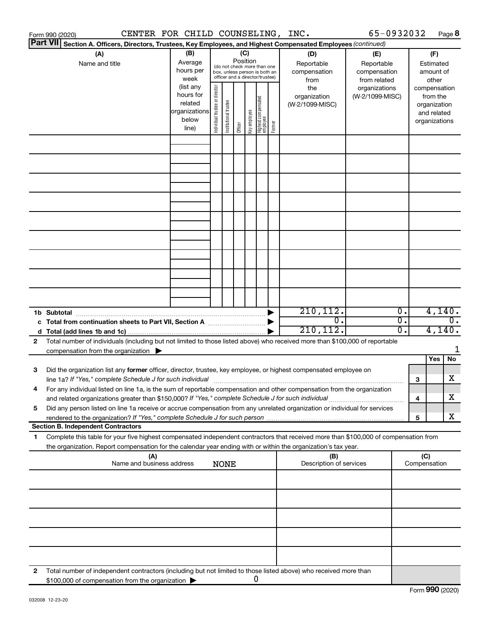| <b>Part VII</b><br>Section A. Officers, Directors, Trustees, Key Employees, and Highest Compensated Employees (continued)<br>(B)<br>(C)<br>(A)<br>(D)<br>(E)<br>Position<br>Average<br>Name and title<br>Reportable<br>Reportable<br>(do not check more than one<br>hours per<br>compensation<br>compensation<br>box, unless person is both an<br>officer and a director/trustee)<br>week<br>from related<br>from<br>(list any<br>Individual trustee or director<br>the<br>organizations<br>hours for<br>(W-2/1099-MISC)<br>organization<br>  Highest compensated<br>  employee<br>Institutional trustee<br>related<br>(W-2/1099-MISC)<br>organizations<br>Key employee<br>below<br>Former<br>Officer<br>line) | (F)<br>Estimated<br>amount of<br>other<br>compensation<br>from the<br>organization<br>and related<br>organizations |
|----------------------------------------------------------------------------------------------------------------------------------------------------------------------------------------------------------------------------------------------------------------------------------------------------------------------------------------------------------------------------------------------------------------------------------------------------------------------------------------------------------------------------------------------------------------------------------------------------------------------------------------------------------------------------------------------------------------|--------------------------------------------------------------------------------------------------------------------|
|                                                                                                                                                                                                                                                                                                                                                                                                                                                                                                                                                                                                                                                                                                                |                                                                                                                    |
|                                                                                                                                                                                                                                                                                                                                                                                                                                                                                                                                                                                                                                                                                                                |                                                                                                                    |
|                                                                                                                                                                                                                                                                                                                                                                                                                                                                                                                                                                                                                                                                                                                |                                                                                                                    |
|                                                                                                                                                                                                                                                                                                                                                                                                                                                                                                                                                                                                                                                                                                                |                                                                                                                    |
|                                                                                                                                                                                                                                                                                                                                                                                                                                                                                                                                                                                                                                                                                                                |                                                                                                                    |
|                                                                                                                                                                                                                                                                                                                                                                                                                                                                                                                                                                                                                                                                                                                |                                                                                                                    |
|                                                                                                                                                                                                                                                                                                                                                                                                                                                                                                                                                                                                                                                                                                                |                                                                                                                    |
|                                                                                                                                                                                                                                                                                                                                                                                                                                                                                                                                                                                                                                                                                                                |                                                                                                                    |
|                                                                                                                                                                                                                                                                                                                                                                                                                                                                                                                                                                                                                                                                                                                |                                                                                                                    |
|                                                                                                                                                                                                                                                                                                                                                                                                                                                                                                                                                                                                                                                                                                                |                                                                                                                    |
|                                                                                                                                                                                                                                                                                                                                                                                                                                                                                                                                                                                                                                                                                                                |                                                                                                                    |
|                                                                                                                                                                                                                                                                                                                                                                                                                                                                                                                                                                                                                                                                                                                |                                                                                                                    |
| 210, 112.<br>$\overline{\mathbf{0}}$ .                                                                                                                                                                                                                                                                                                                                                                                                                                                                                                                                                                                                                                                                         | 4,140.                                                                                                             |
| σ.<br>$\overline{0}$ .<br>210, 112.<br>0.                                                                                                                                                                                                                                                                                                                                                                                                                                                                                                                                                                                                                                                                      | $\overline{0}$ .<br>4,140.                                                                                         |
| Total number of individuals (including but not limited to those listed above) who received more than \$100,000 of reportable<br>2                                                                                                                                                                                                                                                                                                                                                                                                                                                                                                                                                                              |                                                                                                                    |
| compensation from the organization $\blacktriangleright$                                                                                                                                                                                                                                                                                                                                                                                                                                                                                                                                                                                                                                                       |                                                                                                                    |
|                                                                                                                                                                                                                                                                                                                                                                                                                                                                                                                                                                                                                                                                                                                | Yes<br>No                                                                                                          |
| Did the organization list any former officer, director, trustee, key employee, or highest compensated employee on<br>3<br>line 1a? If "Yes," complete Schedule J for such individual manufactured contains and the set of the schedule J<br>З                                                                                                                                                                                                                                                                                                                                                                                                                                                                  | X                                                                                                                  |
| For any individual listed on line 1a, is the sum of reportable compensation and other compensation from the organization<br>and related organizations greater than \$150,000? If "Yes," complete Schedule J for such individual<br>4                                                                                                                                                                                                                                                                                                                                                                                                                                                                           | х                                                                                                                  |
| Did any person listed on line 1a receive or accrue compensation from any unrelated organization or individual for services<br>5                                                                                                                                                                                                                                                                                                                                                                                                                                                                                                                                                                                | X                                                                                                                  |
| 5<br><b>Section B. Independent Contractors</b>                                                                                                                                                                                                                                                                                                                                                                                                                                                                                                                                                                                                                                                                 |                                                                                                                    |
| Complete this table for your five highest compensated independent contractors that received more than \$100,000 of compensation from<br>1.                                                                                                                                                                                                                                                                                                                                                                                                                                                                                                                                                                     |                                                                                                                    |
| the organization. Report compensation for the calendar year ending with or within the organization's tax year.<br>(A)<br>(B)<br>Name and business address                                                                                                                                                                                                                                                                                                                                                                                                                                                                                                                                                      | (C)                                                                                                                |
| Description of services<br><b>NONE</b>                                                                                                                                                                                                                                                                                                                                                                                                                                                                                                                                                                                                                                                                         | Compensation                                                                                                       |
|                                                                                                                                                                                                                                                                                                                                                                                                                                                                                                                                                                                                                                                                                                                |                                                                                                                    |
|                                                                                                                                                                                                                                                                                                                                                                                                                                                                                                                                                                                                                                                                                                                |                                                                                                                    |
|                                                                                                                                                                                                                                                                                                                                                                                                                                                                                                                                                                                                                                                                                                                |                                                                                                                    |
|                                                                                                                                                                                                                                                                                                                                                                                                                                                                                                                                                                                                                                                                                                                |                                                                                                                    |
| Total number of independent contractors (including but not limited to those listed above) who received more than<br>2<br>0<br>\$100,000 of compensation from the organization                                                                                                                                                                                                                                                                                                                                                                                                                                                                                                                                  |                                                                                                                    |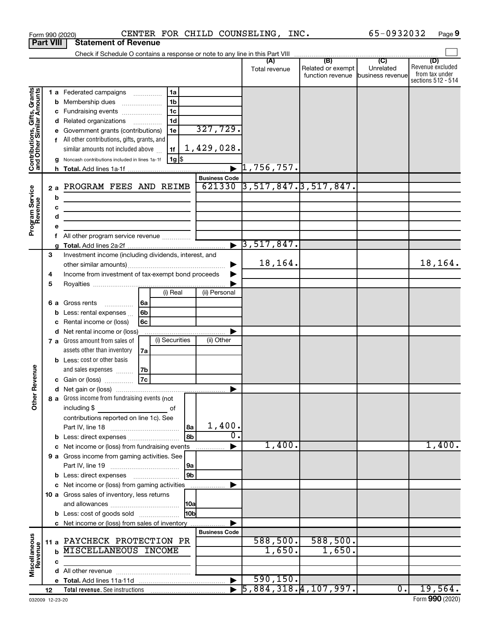|                                                           | <b>Part VIII</b>             | <b>Statement of Revenue</b>                                                                                                                                                                                                                                                                                                                                        |                                                                                  |                                                |                                  |                                                               |                             |                                                                 |
|-----------------------------------------------------------|------------------------------|--------------------------------------------------------------------------------------------------------------------------------------------------------------------------------------------------------------------------------------------------------------------------------------------------------------------------------------------------------------------|----------------------------------------------------------------------------------|------------------------------------------------|----------------------------------|---------------------------------------------------------------|-----------------------------|-----------------------------------------------------------------|
|                                                           |                              | Check if Schedule O contains a response or note to any line in this Part VIII                                                                                                                                                                                                                                                                                      |                                                                                  |                                                |                                  |                                                               |                             |                                                                 |
|                                                           |                              |                                                                                                                                                                                                                                                                                                                                                                    |                                                                                  |                                                | (A)<br>Total revenue             | (B)<br>Related or exempt<br>function revenue business revenue | $\overline{C}$<br>Unrelated | (D)<br>Revenue excluded<br>from tax under<br>sections 512 - 514 |
| Contributions, Gifts, Grants<br>and Other Similar Amounts | a                            | 1 a Federated campaigns<br><b>b</b> Membership dues<br>Fundraising events<br>d Related organizations<br>e Government grants (contributions)<br>f All other contributions, gifts, grants, and<br>similar amounts not included above<br>Noncash contributions included in lines 1a-1f                                                                                | 1a<br>1 <sub>b</sub><br>1 <sub>c</sub><br>1 <sub>d</sub><br>1e<br>1f<br>  1g  \$ | 327,729.<br>1,429,028.<br><b>Business Code</b> | $\blacktriangleright$ 1,756,757. |                                                               |                             |                                                                 |
| Program Service<br>Revenue                                | 2a<br>b<br>с<br>d<br>е<br>f. | PROGRAM FEES AND REIMB<br><u> 1989 - Johann Barbara, martin a bhann an t-Alban an t-Alban an t-Alban an t-Alban an t-Alban an t-Alban an t-Alban an t-Alban an t-Alban an t-Alban an t-Alban an t-Alban an t-Alban an t-Alban an t-Alban an t-Alban an t-A</u><br>the control of the control of the control of the control of<br>All other program service revenue |                                                                                  | 621330                                         | $\blacktriangleright$ 3,517,847. | $\overline{)3,517,847.}$ 3, 517, 847.                         |                             |                                                                 |
|                                                           | З<br>4<br>5                  | Investment income (including dividends, interest, and<br>Income from investment of tax-exempt bond proceeds                                                                                                                                                                                                                                                        |                                                                                  |                                                | 18,164.                          |                                                               |                             | 18,164.                                                         |
| Revenue<br>Ĕ                                              |                              | <b>6 a</b> Gross rents<br>.<br>Less: rental expenses<br>Rental income or (loss)<br>d Net rental income or (loss)<br>7 a Gross amount from sales of<br>assets other than inventory                                                                                                                                                                                  | (i) Real<br> 6a<br>6b<br>6с<br>(i) Securities<br>7a                              | (ii) Personal<br>(ii) Other                    |                                  |                                                               |                             |                                                                 |
|                                                           |                              | <b>b</b> Less: cost or other basis<br>and sales expenses<br>c Gain or (loss)<br>8 a Gross income from fundraising events (not $\begin{bmatrix} \end{bmatrix}$<br>including \$<br><u> 1990 - Johann Barbara, martin a</u>                                                                                                                                           | l 7b<br> 7c <br>of                                                               |                                                |                                  |                                                               |                             |                                                                 |
|                                                           |                              | contributions reported on line 1c). See<br>c Net income or (loss) from fundraising events<br>9 a Gross income from gaming activities. See                                                                                                                                                                                                                          |                                                                                  | 1,400.<br>l 8a<br>0.<br> 9a                    | 1,400.                           |                                                               |                             | 1,400.                                                          |
|                                                           |                              | <b>b</b> Less: direct expenses <b>manually</b><br>c Net income or (loss) from gaming activities<br>10 a Gross sales of inventory, less returns<br><b>b</b> Less: cost of goods sold<br>c Net income or (loss) from sales of inventory                                                                                                                              |                                                                                  | 9 <sub>b</sub><br> 10a <br>l10bl               |                                  |                                                               |                             |                                                                 |
| Miscellaneous<br>Revenue                                  | c                            | 11 a PAYCHECK PROTECTION PR<br><b>b MISCELLANEOUS INCOME</b>                                                                                                                                                                                                                                                                                                       |                                                                                  | <b>Business Code</b>                           | 588,500.<br>1,650.               | 588,500.<br>1,650.                                            |                             |                                                                 |
|                                                           |                              |                                                                                                                                                                                                                                                                                                                                                                    |                                                                                  | $\blacktriangleright$                          | 590, 150.                        |                                                               |                             |                                                                 |
|                                                           | 12                           |                                                                                                                                                                                                                                                                                                                                                                    |                                                                                  |                                                |                                  | $\overline{5,884,318.4,107,997.}$                             | $\overline{\mathbf{0}}$ .   | 19,564.                                                         |

Form 990 (2020) Page CENTER FOR CHILD COUNSELING, INC. 65-0932032

65-0932032 Page 9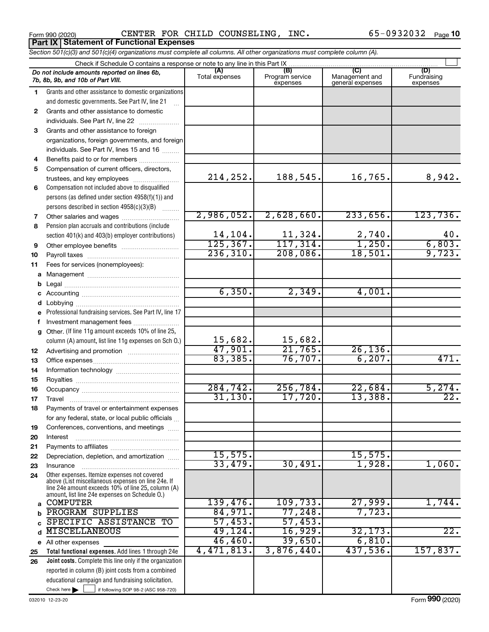Form 990 (2020) Page CENTER FOR CHILD COUNSELING, INC. 65-0932032 Form 990 (2020)<br>**Part IX | Statement of Functional Expenses** 

*Section 501(c)(3) and 501(c)(4) organizations must complete all columns. All other organizations must complete column (A).*

|    | Check if Schedule O contains a response or note to any line in this Part IX.                                                                                                                               |                        |                                    |                                           |                                |
|----|------------------------------------------------------------------------------------------------------------------------------------------------------------------------------------------------------------|------------------------|------------------------------------|-------------------------------------------|--------------------------------|
|    | Do not include amounts reported on lines 6b,<br>7b, 8b, 9b, and 10b of Part VIII.                                                                                                                          | (A)<br>Total expenses  | (B)<br>Program service<br>expenses | (C)<br>Management and<br>general expenses | (D)<br>Fundraising<br>expenses |
| 1. | Grants and other assistance to domestic organizations                                                                                                                                                      |                        |                                    |                                           |                                |
|    | and domestic governments. See Part IV, line 21                                                                                                                                                             |                        |                                    |                                           |                                |
| 2  | Grants and other assistance to domestic                                                                                                                                                                    |                        |                                    |                                           |                                |
|    | individuals. See Part IV, line 22                                                                                                                                                                          |                        |                                    |                                           |                                |
| 3  | Grants and other assistance to foreign                                                                                                                                                                     |                        |                                    |                                           |                                |
|    | organizations, foreign governments, and foreign                                                                                                                                                            |                        |                                    |                                           |                                |
|    | individuals. See Part IV, lines 15 and 16                                                                                                                                                                  |                        |                                    |                                           |                                |
| 4  | Benefits paid to or for members                                                                                                                                                                            |                        |                                    |                                           |                                |
| 5  | Compensation of current officers, directors,                                                                                                                                                               |                        |                                    |                                           |                                |
|    | trustees, and key employees                                                                                                                                                                                | 214,252.               | 188,545.                           | 16,765.                                   | 8,942.                         |
| 6  | Compensation not included above to disqualified                                                                                                                                                            |                        |                                    |                                           |                                |
|    | persons (as defined under section 4958(f)(1)) and                                                                                                                                                          |                        |                                    |                                           |                                |
|    | persons described in section 4958(c)(3)(B)                                                                                                                                                                 |                        |                                    |                                           |                                |
| 7  |                                                                                                                                                                                                            | 2,986,052.             | 2,628,660.                         | 233,656.                                  | 123,736.                       |
| 8  | Pension plan accruals and contributions (include                                                                                                                                                           |                        |                                    |                                           |                                |
|    | section 401(k) and 403(b) employer contributions)                                                                                                                                                          | 14,104.                | 11,324.                            | $\frac{2,740}{1,250}$                     | $40.$                          |
| 9  |                                                                                                                                                                                                            | 125, 367.<br>236, 310. | 117,314.<br>208,086.               | 18,501.                                   | 6,803.<br>9,723.               |
| 10 |                                                                                                                                                                                                            |                        |                                    |                                           |                                |
| 11 | Fees for services (nonemployees):                                                                                                                                                                          |                        |                                    |                                           |                                |
|    |                                                                                                                                                                                                            |                        |                                    |                                           |                                |
|    |                                                                                                                                                                                                            | 6, 350.                | 2,349.                             | 4,001.                                    |                                |
|    |                                                                                                                                                                                                            |                        |                                    |                                           |                                |
|    | e Professional fundraising services. See Part IV, line 17                                                                                                                                                  |                        |                                    |                                           |                                |
|    |                                                                                                                                                                                                            |                        |                                    |                                           |                                |
|    | f Investment management fees<br>g Other. (If line 11g amount exceeds 10% of line 25,                                                                                                                       |                        |                                    |                                           |                                |
|    | column (A) amount, list line 11g expenses on Sch O.)                                                                                                                                                       | 15,682.                | 15,682.                            |                                           |                                |
| 12 |                                                                                                                                                                                                            | 47,901.                | 21,765.                            | 26, 136.                                  |                                |
| 13 |                                                                                                                                                                                                            | 83,385.                | 76,707.                            | 6, 207.                                   | 471.                           |
| 14 |                                                                                                                                                                                                            |                        |                                    |                                           |                                |
| 15 |                                                                                                                                                                                                            |                        |                                    |                                           |                                |
| 16 |                                                                                                                                                                                                            | 284, 742.              | 256, 784.                          | 22,684.                                   | 5,274.                         |
| 17 |                                                                                                                                                                                                            | 31, 130.               | 17,720.                            | 13,388.                                   |                                |
| 18 | Payments of travel or entertainment expenses                                                                                                                                                               |                        |                                    |                                           |                                |
|    | for any federal, state, or local public officials                                                                                                                                                          |                        |                                    |                                           |                                |
| 19 | Conferences, conventions, and meetings                                                                                                                                                                     |                        |                                    |                                           |                                |
| 20 | Interest                                                                                                                                                                                                   |                        |                                    |                                           |                                |
| 21 |                                                                                                                                                                                                            |                        |                                    |                                           |                                |
| 22 | Depreciation, depletion, and amortization                                                                                                                                                                  | 15,575.                |                                    | 15,575.                                   |                                |
| 23 | Insurance                                                                                                                                                                                                  | 33,479.                | 30,491.                            | 1,928.                                    | 1,060.                         |
| 24 | Other expenses. Itemize expenses not covered<br>above (List miscellaneous expenses on line 24e. If<br>line 24e amount exceeds 10% of line 25, column (A)<br>amount, list line 24e expenses on Schedule 0.) |                        |                                    |                                           |                                |
| a  | <b>COMPUTER</b>                                                                                                                                                                                            | 139,476.               | 109,733.                           | 27,999.                                   | 1,744.                         |
|    | PROGRAM SUPPLIES                                                                                                                                                                                           | 84,971.                | 77,248.                            | 7,723.                                    |                                |
|    | SPECIFIC ASSISTANCE TO                                                                                                                                                                                     | 57,453.                | 57,453.                            |                                           |                                |
| d  | <b>MISCELLANEOUS</b>                                                                                                                                                                                       | 49,124.                | 16,929.                            | 32, 173.                                  | $\overline{22}$ .              |
|    | e All other expenses                                                                                                                                                                                       | 46,460.                | 39,650.                            | 6,810.                                    |                                |
| 25 | Total functional expenses. Add lines 1 through 24e                                                                                                                                                         | 4,471,813.             | 3,876,440.                         | 437,536.                                  | 157,837.                       |
| 26 | Joint costs. Complete this line only if the organization                                                                                                                                                   |                        |                                    |                                           |                                |
|    | reported in column (B) joint costs from a combined                                                                                                                                                         |                        |                                    |                                           |                                |
|    | educational campaign and fundraising solicitation.                                                                                                                                                         |                        |                                    |                                           |                                |
|    | Check here $\blacktriangleright$<br>if following SOP 98-2 (ASC 958-720)                                                                                                                                    |                        |                                    |                                           |                                |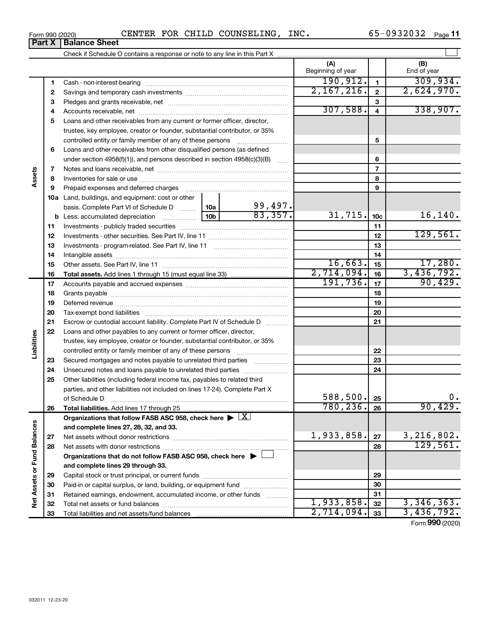| Form 990 (2020) |  |  | CENTER FOR CHILD COUNSELING, INC. |  | 65-0932032 $_{\text{Page}}$ 11 |  |  |
|-----------------|--|--|-----------------------------------|--|--------------------------------|--|--|
|-----------------|--|--|-----------------------------------|--|--------------------------------|--|--|

|                             |    |                                                                                    |                           | (A)<br>Beginning of year |                         | (B)<br>End of year |
|-----------------------------|----|------------------------------------------------------------------------------------|---------------------------|--------------------------|-------------------------|--------------------|
|                             | 1  |                                                                                    |                           | 190, 912.                | $\mathbf{1}$            | 309,934.           |
|                             | 2  |                                                                                    |                           | 2,167,216.               | $\mathbf{2}$            | 2,624,970.         |
|                             | З  |                                                                                    |                           |                          | 3                       |                    |
|                             | 4  |                                                                                    |                           | 307,588.                 | $\overline{\mathbf{4}}$ | 338,907.           |
|                             | 5  | Loans and other receivables from any current or former officer, director,          |                           |                          |                         |                    |
|                             |    | trustee, key employee, creator or founder, substantial contributor, or 35%         |                           |                          |                         |                    |
|                             |    |                                                                                    |                           | 5                        |                         |                    |
|                             | 6  | Loans and other receivables from other disqualified persons (as defined            |                           |                          |                         |                    |
|                             |    | under section $4958(f)(1)$ , and persons described in section $4958(c)(3)(B)$      |                           | 6                        |                         |                    |
|                             | 7  |                                                                                    |                           | $\overline{7}$           |                         |                    |
| Assets                      | 8  |                                                                                    |                           |                          | 8                       |                    |
|                             | 9  | Prepaid expenses and deferred charges                                              |                           | 9                        |                         |                    |
|                             |    | <b>10a</b> Land, buildings, and equipment: cost or other                           |                           |                          |                         |                    |
|                             |    | basis. Complete Part VI of Schedule D  10a                                         | $\frac{99,497.}{83,357.}$ |                          |                         |                    |
|                             |    |                                                                                    | 31,715.                   | 10 <sub>c</sub>          | 16, 140.                |                    |
|                             | 11 |                                                                                    |                           | 11                       |                         |                    |
|                             | 12 |                                                                                    |                           | 12                       | 129,561.                |                    |
|                             | 13 |                                                                                    |                           | 13                       |                         |                    |
|                             | 14 |                                                                                    |                           | 14                       |                         |                    |
|                             | 15 |                                                                                    | 16,663.                   | 15                       | 17,280.                 |                    |
|                             | 16 |                                                                                    | 2,714,094.                | 16                       | 3,436,792.              |                    |
|                             | 17 |                                                                                    |                           | 191, 736.                | 17                      | 90,429.            |
|                             | 18 |                                                                                    |                           | 18                       |                         |                    |
|                             | 19 |                                                                                    |                           |                          | 19                      |                    |
|                             | 20 |                                                                                    |                           |                          | 20                      |                    |
|                             | 21 | Escrow or custodial account liability. Complete Part IV of Schedule D              |                           |                          | 21                      |                    |
|                             | 22 | Loans and other payables to any current or former officer, director,               |                           |                          |                         |                    |
| Liabilities                 |    | trustee, key employee, creator or founder, substantial contributor, or 35%         |                           |                          |                         |                    |
|                             |    |                                                                                    |                           |                          | 22                      |                    |
|                             | 23 | Secured mortgages and notes payable to unrelated third parties                     |                           |                          | 23                      |                    |
|                             | 24 | Unsecured notes and loans payable to unrelated third parties                       |                           |                          | 24                      |                    |
|                             | 25 | Other liabilities (including federal income tax, payables to related third         |                           |                          |                         |                    |
|                             |    | parties, and other liabilities not included on lines 17-24). Complete Part X       |                           |                          |                         |                    |
|                             |    | of Schedule D                                                                      |                           | $588, 500$ $\big $ 25    |                         | 0.                 |
|                             | 26 | Total liabilities. Add lines 17 through 25                                         |                           | $780, 236.$ 26           |                         | 90,429.            |
|                             |    | Organizations that follow FASB ASC 958, check here $\blacktriangleright \boxed{X}$ |                           |                          |                         |                    |
|                             |    | and complete lines 27, 28, 32, and 33.                                             |                           |                          |                         |                    |
|                             | 27 |                                                                                    |                           | 1,933,858.               | 27                      | 3, 216, 802.       |
|                             | 28 | Net assets with donor restrictions                                                 |                           |                          | 28                      | 129,561.           |
|                             |    | Organizations that do not follow FASB ASC 958, check here $\blacktriangleright$    |                           |                          |                         |                    |
|                             |    | and complete lines 29 through 33.                                                  |                           |                          |                         |                    |
|                             | 29 |                                                                                    |                           |                          | 29                      |                    |
|                             | 30 | Paid-in or capital surplus, or land, building, or equipment fund                   |                           |                          | 30                      |                    |
| Net Assets or Fund Balances | 31 | Retained earnings, endowment, accumulated income, or other funds                   |                           |                          | 31                      |                    |
|                             | 32 |                                                                                    |                           | 1,933,858.               | 32                      | 3,346,363.         |
|                             | 33 |                                                                                    |                           | 2,714,094.               | 33                      | 3,436,792.         |
|                             |    |                                                                                    |                           |                          |                         | Form 990 (2020)    |

**Part X** | Balance Sheet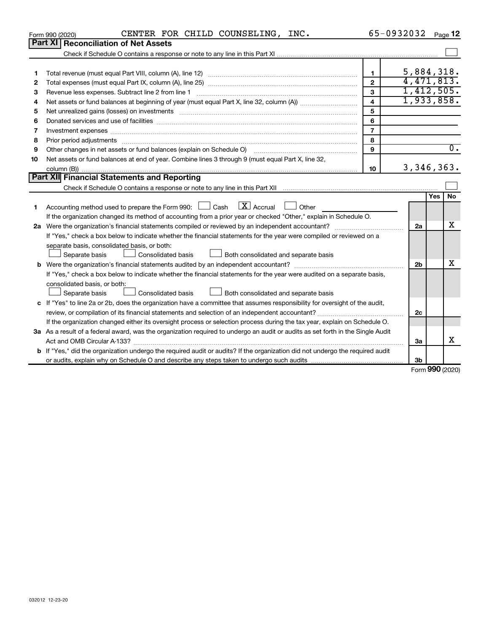|    | CENTER FOR CHILD COUNSELING, INC.<br>Form 990 (2020)                                                                                                                                                                           |                         | 65-0932032     | Page 12                  |
|----|--------------------------------------------------------------------------------------------------------------------------------------------------------------------------------------------------------------------------------|-------------------------|----------------|--------------------------|
|    | Part XI<br><b>Reconciliation of Net Assets</b>                                                                                                                                                                                 |                         |                |                          |
|    |                                                                                                                                                                                                                                |                         |                |                          |
|    |                                                                                                                                                                                                                                |                         |                | 5,884,318.               |
| 1  |                                                                                                                                                                                                                                | $\mathbf{1}$            |                | 4,471,813.               |
| 2  |                                                                                                                                                                                                                                | $\mathbf{2}$<br>3       |                | 1,412,505.               |
| З  |                                                                                                                                                                                                                                | $\overline{\mathbf{4}}$ |                | 1,933,858.               |
| 4  |                                                                                                                                                                                                                                |                         |                |                          |
| 5  |                                                                                                                                                                                                                                | 5                       |                |                          |
| 6  |                                                                                                                                                                                                                                | 6                       |                |                          |
| 7  |                                                                                                                                                                                                                                | $\overline{7}$          |                |                          |
| 8  | Prior period adjustments material contents and content and content and content and content and content and content and content and content and content and content and content and content and content and content and content | 8                       |                |                          |
| 9  | Other changes in net assets or fund balances (explain on Schedule O)                                                                                                                                                           | 9                       |                | $\overline{0}$ .         |
| 10 | Net assets or fund balances at end of year. Combine lines 3 through 9 (must equal Part X, line 32,                                                                                                                             |                         |                |                          |
|    |                                                                                                                                                                                                                                | 10                      |                | 3, 346, 363.             |
|    | Part XII Financial Statements and Reporting                                                                                                                                                                                    |                         |                |                          |
|    |                                                                                                                                                                                                                                |                         |                |                          |
|    |                                                                                                                                                                                                                                |                         |                | No<br><b>Yes</b>         |
| 1. | Accounting method used to prepare the Form 990: $\Box$ Cash $\Box$ Accrual $\Box$ Other                                                                                                                                        |                         |                |                          |
|    | If the organization changed its method of accounting from a prior year or checked "Other," explain in Schedule O.                                                                                                              |                         |                |                          |
|    |                                                                                                                                                                                                                                |                         | 2a             | x                        |
|    | If "Yes," check a box below to indicate whether the financial statements for the year were compiled or reviewed on a                                                                                                           |                         |                |                          |
|    | separate basis, consolidated basis, or both:                                                                                                                                                                                   |                         |                |                          |
|    | Separate basis<br>Consolidated basis<br>Both consolidated and separate basis                                                                                                                                                   |                         |                |                          |
|    |                                                                                                                                                                                                                                |                         | 2 <sub>b</sub> | x                        |
|    | If "Yes," check a box below to indicate whether the financial statements for the year were audited on a separate basis,                                                                                                        |                         |                |                          |
|    | consolidated basis, or both:                                                                                                                                                                                                   |                         |                |                          |
|    | Both consolidated and separate basis<br>Separate basis<br>Consolidated basis                                                                                                                                                   |                         |                |                          |
|    | c If "Yes" to line 2a or 2b, does the organization have a committee that assumes responsibility for oversight of the audit,                                                                                                    |                         |                |                          |
|    | review, or compilation of its financial statements and selection of an independent accountant?                                                                                                                                 |                         | 2c             |                          |
|    | If the organization changed either its oversight process or selection process during the tax year, explain on Schedule O.                                                                                                      |                         |                |                          |
|    | 3a As a result of a federal award, was the organization required to undergo an audit or audits as set forth in the Single Audit                                                                                                |                         |                |                          |
|    |                                                                                                                                                                                                                                |                         | 3a             | х                        |
|    | <b>b</b> If "Yes," did the organization undergo the required audit or audits? If the organization did not undergo the required audit                                                                                           |                         |                |                          |
|    |                                                                                                                                                                                                                                |                         | 3b             |                          |
|    |                                                                                                                                                                                                                                |                         |                | $F_{\rm OCD}$ 990 (2020) |

Form (2020) **990**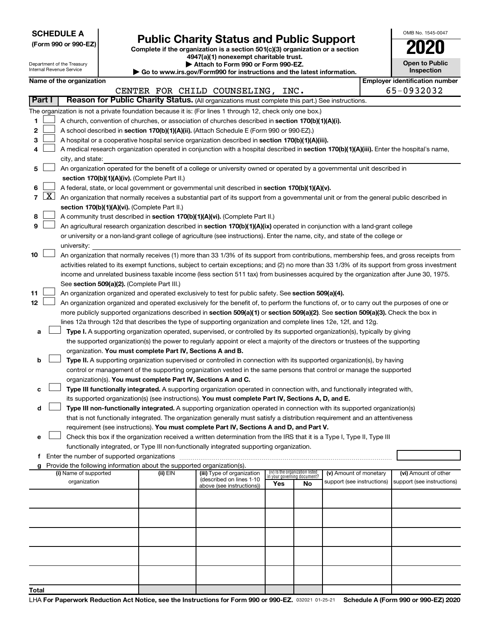|  |  | <b>SCHEDULE A</b> |  |
|--|--|-------------------|--|
|  |  |                   |  |

|  |  |  |  |  | (Form 990 or 990-EZ) |  |
|--|--|--|--|--|----------------------|--|
|--|--|--|--|--|----------------------|--|

# Form 990 or 990-EZ) **Public Charity Status and Public Support**<br>
Complete if the organization is a section 501(c)(3) organization or a section<br> **2020**

**4947(a)(1) nonexempt charitable trust. | Attach to Form 990 or Form 990-EZ.** 

| <b>Open to Public</b><br>Inspection |
|-------------------------------------|

 $\Box$ 

OMB No. 1545-0047

| Department of the Treasury<br>Internal Revenue Service |              |                       |  |                                                                        | Attach to Form 990 or Form 990-EZ.<br>Go to www.irs.gov/Form990 for instructions and the latest information.                                 |                             |                                 |                            | <b>Open to Public</b><br>Inspection   |
|--------------------------------------------------------|--------------|-----------------------|--|------------------------------------------------------------------------|----------------------------------------------------------------------------------------------------------------------------------------------|-----------------------------|---------------------------------|----------------------------|---------------------------------------|
| Name of the organization                               |              |                       |  |                                                                        |                                                                                                                                              |                             |                                 |                            | <b>Employer identification number</b> |
|                                                        |              |                       |  |                                                                        | CENTER FOR CHILD COUNSELING, INC.                                                                                                            |                             |                                 |                            | 65-0932032                            |
|                                                        | Part I       |                       |  |                                                                        | Reason for Public Charity Status. (All organizations must complete this part.) See instructions.                                             |                             |                                 |                            |                                       |
|                                                        |              |                       |  |                                                                        | The organization is not a private foundation because it is: (For lines 1 through 12, check only one box.)                                    |                             |                                 |                            |                                       |
| 1.                                                     |              |                       |  |                                                                        | A church, convention of churches, or association of churches described in section 170(b)(1)(A)(i).                                           |                             |                                 |                            |                                       |
| 2                                                      |              |                       |  |                                                                        | A school described in section 170(b)(1)(A)(ii). (Attach Schedule E (Form 990 or 990-EZ).)                                                    |                             |                                 |                            |                                       |
| з                                                      |              |                       |  |                                                                        | A hospital or a cooperative hospital service organization described in section 170(b)(1)(A)(iii).                                            |                             |                                 |                            |                                       |
| 4                                                      |              |                       |  |                                                                        | A medical research organization operated in conjunction with a hospital described in section 170(b)(1)(A)(iii). Enter the hospital's name,   |                             |                                 |                            |                                       |
|                                                        |              | city, and state:      |  |                                                                        |                                                                                                                                              |                             |                                 |                            |                                       |
| 5                                                      |              |                       |  |                                                                        | An organization operated for the benefit of a college or university owned or operated by a governmental unit described in                    |                             |                                 |                            |                                       |
|                                                        |              |                       |  | section 170(b)(1)(A)(iv). (Complete Part II.)                          |                                                                                                                                              |                             |                                 |                            |                                       |
| 6                                                      |              |                       |  |                                                                        | A federal, state, or local government or governmental unit described in section 170(b)(1)(A)(v).                                             |                             |                                 |                            |                                       |
| $\overline{7}$                                         | $\mathbf{X}$ |                       |  |                                                                        | An organization that normally receives a substantial part of its support from a governmental unit or from the general public described in    |                             |                                 |                            |                                       |
|                                                        |              |                       |  | section 170(b)(1)(A)(vi). (Complete Part II.)                          |                                                                                                                                              |                             |                                 |                            |                                       |
| 8                                                      |              |                       |  |                                                                        | A community trust described in section 170(b)(1)(A)(vi). (Complete Part II.)                                                                 |                             |                                 |                            |                                       |
| 9                                                      |              |                       |  |                                                                        | An agricultural research organization described in section 170(b)(1)(A)(ix) operated in conjunction with a land-grant college                |                             |                                 |                            |                                       |
|                                                        |              |                       |  |                                                                        | or university or a non-land-grant college of agriculture (see instructions). Enter the name, city, and state of the college or               |                             |                                 |                            |                                       |
|                                                        |              | university:           |  |                                                                        |                                                                                                                                              |                             |                                 |                            |                                       |
| 10                                                     |              |                       |  |                                                                        | An organization that normally receives (1) more than 33 1/3% of its support from contributions, membership fees, and gross receipts from     |                             |                                 |                            |                                       |
|                                                        |              |                       |  |                                                                        | activities related to its exempt functions, subject to certain exceptions; and (2) no more than 33 1/3% of its support from gross investment |                             |                                 |                            |                                       |
|                                                        |              |                       |  |                                                                        | income and unrelated business taxable income (less section 511 tax) from businesses acquired by the organization after June 30, 1975.        |                             |                                 |                            |                                       |
|                                                        |              |                       |  | See section 509(a)(2). (Complete Part III.)                            |                                                                                                                                              |                             |                                 |                            |                                       |
| 11                                                     |              |                       |  |                                                                        | An organization organized and operated exclusively to test for public safety. See section 509(a)(4).                                         |                             |                                 |                            |                                       |
| 12                                                     |              |                       |  |                                                                        | An organization organized and operated exclusively for the benefit of, to perform the functions of, or to carry out the purposes of one or   |                             |                                 |                            |                                       |
|                                                        |              |                       |  |                                                                        | more publicly supported organizations described in section 509(a)(1) or section 509(a)(2). See section 509(a)(3). Check the box in           |                             |                                 |                            |                                       |
|                                                        |              |                       |  |                                                                        | lines 12a through 12d that describes the type of supporting organization and complete lines 12e, 12f, and 12g.                               |                             |                                 |                            |                                       |
| а                                                      |              |                       |  |                                                                        | Type I. A supporting organization operated, supervised, or controlled by its supported organization(s), typically by giving                  |                             |                                 |                            |                                       |
|                                                        |              |                       |  |                                                                        | the supported organization(s) the power to regularly appoint or elect a majority of the directors or trustees of the supporting              |                             |                                 |                            |                                       |
|                                                        |              |                       |  | organization. You must complete Part IV, Sections A and B.             |                                                                                                                                              |                             |                                 |                            |                                       |
| b                                                      |              |                       |  |                                                                        | Type II. A supporting organization supervised or controlled in connection with its supported organization(s), by having                      |                             |                                 |                            |                                       |
|                                                        |              |                       |  | organization(s). You must complete Part IV, Sections A and C.          | control or management of the supporting organization vested in the same persons that control or manage the supported                         |                             |                                 |                            |                                       |
| с                                                      |              |                       |  |                                                                        | Type III functionally integrated. A supporting organization operated in connection with, and functionally integrated with,                   |                             |                                 |                            |                                       |
|                                                        |              |                       |  |                                                                        | its supported organization(s) (see instructions). You must complete Part IV, Sections A, D, and E.                                           |                             |                                 |                            |                                       |
| d                                                      |              |                       |  |                                                                        | Type III non-functionally integrated. A supporting organization operated in connection with its supported organization(s)                    |                             |                                 |                            |                                       |
|                                                        |              |                       |  |                                                                        | that is not functionally integrated. The organization generally must satisfy a distribution requirement and an attentiveness                 |                             |                                 |                            |                                       |
|                                                        |              |                       |  |                                                                        | requirement (see instructions). You must complete Part IV, Sections A and D, and Part V.                                                     |                             |                                 |                            |                                       |
| е                                                      |              |                       |  |                                                                        | Check this box if the organization received a written determination from the IRS that it is a Type I, Type II, Type III                      |                             |                                 |                            |                                       |
|                                                        |              |                       |  |                                                                        | functionally integrated, or Type III non-functionally integrated supporting organization.                                                    |                             |                                 |                            |                                       |
|                                                        |              |                       |  |                                                                        |                                                                                                                                              |                             |                                 |                            |                                       |
|                                                        |              |                       |  | Provide the following information about the supported organization(s). |                                                                                                                                              |                             |                                 |                            |                                       |
|                                                        |              | (i) Name of supported |  | (ii) EIN                                                               | (iii) Type of organization                                                                                                                   | in your governing document? | (iv) Is the organization listed | (v) Amount of monetary     | (vi) Amount of other                  |
|                                                        |              | organization          |  |                                                                        | (described on lines 1-10<br>above (see instructions))                                                                                        | Yes                         | No                              | support (see instructions) | support (see instructions)            |
|                                                        |              |                       |  |                                                                        |                                                                                                                                              |                             |                                 |                            |                                       |
|                                                        |              |                       |  |                                                                        |                                                                                                                                              |                             |                                 |                            |                                       |
|                                                        |              |                       |  |                                                                        |                                                                                                                                              |                             |                                 |                            |                                       |
|                                                        |              |                       |  |                                                                        |                                                                                                                                              |                             |                                 |                            |                                       |
|                                                        |              |                       |  |                                                                        |                                                                                                                                              |                             |                                 |                            |                                       |
|                                                        |              |                       |  |                                                                        |                                                                                                                                              |                             |                                 |                            |                                       |
|                                                        |              |                       |  |                                                                        |                                                                                                                                              |                             |                                 |                            |                                       |
|                                                        |              |                       |  |                                                                        |                                                                                                                                              |                             |                                 |                            |                                       |
|                                                        |              |                       |  |                                                                        |                                                                                                                                              |                             |                                 |                            |                                       |
|                                                        |              |                       |  |                                                                        |                                                                                                                                              |                             |                                 |                            |                                       |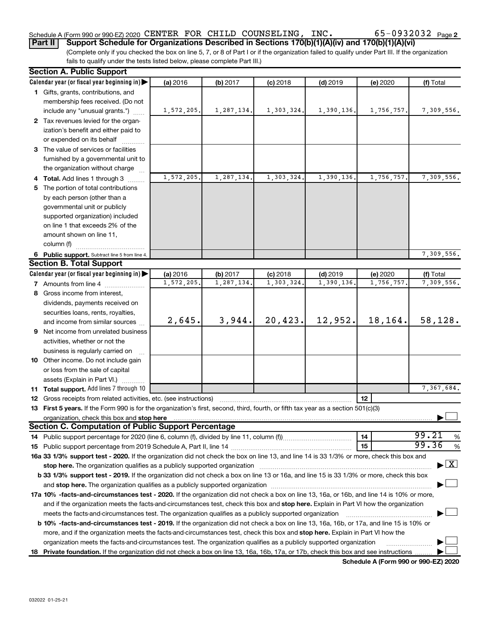# Schedule A (Form 990 or 990-EZ) 2020 CENTER FOR CHILD COUNSELING, INC.  $65-0932032$   $_{\rm Page}$

**Part II Support Schedule for Organizations Described in Sections 170(b)(1)(A)(iv) and 170(b)(1)(A)(vi)**

(Complete only if you checked the box on line 5, 7, or 8 of Part I or if the organization failed to qualify under Part III. If the organization fails to qualify under the tests listed below, please complete Part III.)

| <b>Section A. Public Support</b>                                                                                                                                                                                               |            |            |            |            |            |                                          |
|--------------------------------------------------------------------------------------------------------------------------------------------------------------------------------------------------------------------------------|------------|------------|------------|------------|------------|------------------------------------------|
| Calendar year (or fiscal year beginning in)                                                                                                                                                                                    | (a) 2016   | (b) 2017   | $(c)$ 2018 | $(d)$ 2019 | (e) 2020   | (f) Total                                |
| 1 Gifts, grants, contributions, and                                                                                                                                                                                            |            |            |            |            |            |                                          |
| membership fees received. (Do not                                                                                                                                                                                              |            |            |            |            |            |                                          |
| include any "unusual grants.")                                                                                                                                                                                                 | 1,572,205. | 1,287,134. | 1,303,324. | 1,390,136. | 1,756,757. | 7,309,556.                               |
| 2 Tax revenues levied for the organ-                                                                                                                                                                                           |            |            |            |            |            |                                          |
| ization's benefit and either paid to                                                                                                                                                                                           |            |            |            |            |            |                                          |
| or expended on its behalf                                                                                                                                                                                                      |            |            |            |            |            |                                          |
| 3 The value of services or facilities                                                                                                                                                                                          |            |            |            |            |            |                                          |
| furnished by a governmental unit to                                                                                                                                                                                            |            |            |            |            |            |                                          |
| the organization without charge                                                                                                                                                                                                |            |            |            |            |            |                                          |
| 4 Total. Add lines 1 through 3                                                                                                                                                                                                 | 1,572,205  | 1,287,134. | 1,303,324  | 1,390,136. | 1,756,757  | 7,309,556.                               |
| 5 The portion of total contributions                                                                                                                                                                                           |            |            |            |            |            |                                          |
| by each person (other than a                                                                                                                                                                                                   |            |            |            |            |            |                                          |
| governmental unit or publicly                                                                                                                                                                                                  |            |            |            |            |            |                                          |
| supported organization) included                                                                                                                                                                                               |            |            |            |            |            |                                          |
| on line 1 that exceeds 2% of the                                                                                                                                                                                               |            |            |            |            |            |                                          |
| amount shown on line 11,                                                                                                                                                                                                       |            |            |            |            |            |                                          |
| column (f)                                                                                                                                                                                                                     |            |            |            |            |            |                                          |
| 6 Public support. Subtract line 5 from line 4.                                                                                                                                                                                 |            |            |            |            |            | 7,309,556.                               |
| <b>Section B. Total Support</b>                                                                                                                                                                                                |            |            |            |            |            |                                          |
| Calendar year (or fiscal year beginning in)                                                                                                                                                                                    | (a) 2016   | (b) 2017   | $(c)$ 2018 | $(d)$ 2019 | (e) 2020   | (f) Total                                |
| 7 Amounts from line 4                                                                                                                                                                                                          | 1,572,205  | 1,287,134. | 1,303,324  | 1,390,136  | 1,756,757  | 7,309,556.                               |
| 8 Gross income from interest,                                                                                                                                                                                                  |            |            |            |            |            |                                          |
| dividends, payments received on                                                                                                                                                                                                |            |            |            |            |            |                                          |
| securities loans, rents, royalties,                                                                                                                                                                                            |            |            |            |            |            |                                          |
| and income from similar sources                                                                                                                                                                                                | 2,645.     | 3,944.     | 20,423.    | 12,952.    | 18,164.    | 58,128.                                  |
| 9 Net income from unrelated business                                                                                                                                                                                           |            |            |            |            |            |                                          |
| activities, whether or not the                                                                                                                                                                                                 |            |            |            |            |            |                                          |
| business is regularly carried on                                                                                                                                                                                               |            |            |            |            |            |                                          |
| 10 Other income. Do not include gain                                                                                                                                                                                           |            |            |            |            |            |                                          |
| or loss from the sale of capital                                                                                                                                                                                               |            |            |            |            |            |                                          |
| assets (Explain in Part VI.)                                                                                                                                                                                                   |            |            |            |            |            |                                          |
| 11 Total support. Add lines 7 through 10                                                                                                                                                                                       |            |            |            |            |            | 7,367,684.                               |
| <b>12</b> Gross receipts from related activities, etc. (see instructions)                                                                                                                                                      |            |            |            |            | 12         |                                          |
| 13 First 5 years. If the Form 990 is for the organization's first, second, third, fourth, or fifth tax year as a section 501(c)(3)                                                                                             |            |            |            |            |            |                                          |
| organization, check this box and stop here material content to the content of the content of the content of the content of the content of the content of the content of the content of the content of the content of the conte |            |            |            |            |            |                                          |
| <b>Section C. Computation of Public Support Percentage</b>                                                                                                                                                                     |            |            |            |            |            |                                          |
|                                                                                                                                                                                                                                |            |            |            |            | 14         | 99.21<br>%                               |
|                                                                                                                                                                                                                                |            |            |            |            | 15         | 99.36<br>%                               |
| 16a 33 1/3% support test - 2020. If the organization did not check the box on line 13, and line 14 is 33 1/3% or more, check this box and                                                                                      |            |            |            |            |            |                                          |
| stop here. The organization qualifies as a publicly supported organization manufactured content and the support of the state of the state of the state of the state of the state of the state of the state of the state of the |            |            |            |            |            | $\blacktriangleright$ $\boxed{\text{X}}$ |
| b 33 1/3% support test - 2019. If the organization did not check a box on line 13 or 16a, and line 15 is 33 1/3% or more, check this box                                                                                       |            |            |            |            |            |                                          |
|                                                                                                                                                                                                                                |            |            |            |            |            |                                          |
| 17a 10% -facts-and-circumstances test - 2020. If the organization did not check a box on line 13, 16a, or 16b, and line 14 is 10% or more,                                                                                     |            |            |            |            |            |                                          |
| and if the organization meets the facts-and-circumstances test, check this box and stop here. Explain in Part VI how the organization                                                                                          |            |            |            |            |            |                                          |
| meets the facts-and-circumstances test. The organization qualifies as a publicly supported organization                                                                                                                        |            |            |            |            |            |                                          |
| b 10% -facts-and-circumstances test - 2019. If the organization did not check a box on line 13, 16a, 16b, or 17a, and line 15 is 10% or                                                                                        |            |            |            |            |            |                                          |
| more, and if the organization meets the facts-and-circumstances test, check this box and stop here. Explain in Part VI how the                                                                                                 |            |            |            |            |            |                                          |
| organization meets the facts-and-circumstances test. The organization qualifies as a publicly supported organization                                                                                                           |            |            |            |            |            |                                          |
|                                                                                                                                                                                                                                |            |            |            |            |            |                                          |
| 18 Private foundation. If the organization did not check a box on line 13, 16a, 16b, 17a, or 17b, check this box and see instructions                                                                                          |            |            |            |            |            |                                          |

**Schedule A (Form 990 or 990-EZ) 2020**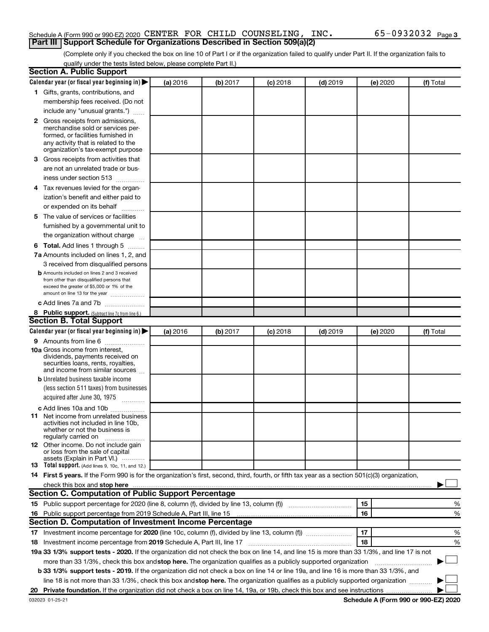### Schedule A (Form 990 or 990-EZ) 2020 CENTER FOR CHILD COUNSELING, INC.  $65-0932032$   $_{\rm Page}$ **Part III Support Schedule for Organizations Described in Section 509(a)(2)**

(Complete only if you checked the box on line 10 of Part I or if the organization failed to qualify under Part II. If the organization fails to qualify under the tests listed below, please complete Part II.)

| <b>Section A. Public Support</b>                                                                                                                                                                                                         |          |          |            |            |          |           |
|------------------------------------------------------------------------------------------------------------------------------------------------------------------------------------------------------------------------------------------|----------|----------|------------|------------|----------|-----------|
| Calendar year (or fiscal year beginning in)                                                                                                                                                                                              | (a) 2016 | (b) 2017 | $(c)$ 2018 | $(d)$ 2019 | (e) 2020 | (f) Total |
| 1 Gifts, grants, contributions, and                                                                                                                                                                                                      |          |          |            |            |          |           |
| membership fees received. (Do not                                                                                                                                                                                                        |          |          |            |            |          |           |
| include any "unusual grants.")                                                                                                                                                                                                           |          |          |            |            |          |           |
| <b>2</b> Gross receipts from admissions,                                                                                                                                                                                                 |          |          |            |            |          |           |
| merchandise sold or services per-                                                                                                                                                                                                        |          |          |            |            |          |           |
| formed, or facilities furnished in<br>any activity that is related to the                                                                                                                                                                |          |          |            |            |          |           |
| organization's tax-exempt purpose                                                                                                                                                                                                        |          |          |            |            |          |           |
| 3 Gross receipts from activities that                                                                                                                                                                                                    |          |          |            |            |          |           |
| are not an unrelated trade or bus-                                                                                                                                                                                                       |          |          |            |            |          |           |
| iness under section 513                                                                                                                                                                                                                  |          |          |            |            |          |           |
| 4 Tax revenues levied for the organ-                                                                                                                                                                                                     |          |          |            |            |          |           |
| ization's benefit and either paid to                                                                                                                                                                                                     |          |          |            |            |          |           |
| or expended on its behalf                                                                                                                                                                                                                |          |          |            |            |          |           |
| 5 The value of services or facilities                                                                                                                                                                                                    |          |          |            |            |          |           |
| furnished by a governmental unit to                                                                                                                                                                                                      |          |          |            |            |          |           |
| the organization without charge                                                                                                                                                                                                          |          |          |            |            |          |           |
| 6 Total. Add lines 1 through 5                                                                                                                                                                                                           |          |          |            |            |          |           |
| 7a Amounts included on lines 1, 2, and                                                                                                                                                                                                   |          |          |            |            |          |           |
| 3 received from disqualified persons                                                                                                                                                                                                     |          |          |            |            |          |           |
| <b>b</b> Amounts included on lines 2 and 3 received                                                                                                                                                                                      |          |          |            |            |          |           |
| from other than disqualified persons that                                                                                                                                                                                                |          |          |            |            |          |           |
| exceed the greater of \$5,000 or 1% of the<br>amount on line 13 for the year                                                                                                                                                             |          |          |            |            |          |           |
| c Add lines 7a and 7b                                                                                                                                                                                                                    |          |          |            |            |          |           |
| 8 Public support. (Subtract line 7c from line 6.)                                                                                                                                                                                        |          |          |            |            |          |           |
| <b>Section B. Total Support</b>                                                                                                                                                                                                          |          |          |            |            |          |           |
| Calendar year (or fiscal year beginning in)                                                                                                                                                                                              | (a) 2016 | (b) 2017 | $(c)$ 2018 | $(d)$ 2019 | (e) 2020 | (f) Total |
| 9 Amounts from line 6                                                                                                                                                                                                                    |          |          |            |            |          |           |
| <b>10a</b> Gross income from interest,                                                                                                                                                                                                   |          |          |            |            |          |           |
| dividends, payments received on                                                                                                                                                                                                          |          |          |            |            |          |           |
| securities loans, rents, royalties,<br>and income from similar sources                                                                                                                                                                   |          |          |            |            |          |           |
| <b>b</b> Unrelated business taxable income                                                                                                                                                                                               |          |          |            |            |          |           |
| (less section 511 taxes) from businesses                                                                                                                                                                                                 |          |          |            |            |          |           |
| acquired after June 30, 1975                                                                                                                                                                                                             |          |          |            |            |          |           |
| c Add lines 10a and 10b                                                                                                                                                                                                                  |          |          |            |            |          |           |
| <b>11</b> Net income from unrelated business                                                                                                                                                                                             |          |          |            |            |          |           |
| activities not included in line 10b.                                                                                                                                                                                                     |          |          |            |            |          |           |
| whether or not the business is<br>regularly carried on                                                                                                                                                                                   |          |          |            |            |          |           |
| 12 Other income. Do not include gain                                                                                                                                                                                                     |          |          |            |            |          |           |
| or loss from the sale of capital                                                                                                                                                                                                         |          |          |            |            |          |           |
| assets (Explain in Part VI.)<br><b>13</b> Total support. (Add lines 9, 10c, 11, and 12.)                                                                                                                                                 |          |          |            |            |          |           |
| 14 First 5 years. If the Form 990 is for the organization's first, second, third, fourth, or fifth tax year as a section 501(c)(3) organization,                                                                                         |          |          |            |            |          |           |
| check this box and stop here <b>construction and construction</b> and check this box and stop here <b>construction</b> and construction and construction and construction and construction and construction and construction and constru |          |          |            |            |          |           |
| Section C. Computation of Public Support Percentage                                                                                                                                                                                      |          |          |            |            |          |           |
|                                                                                                                                                                                                                                          |          |          |            |            | 15       | ℅         |
| 16 Public support percentage from 2019 Schedule A, Part III, line 15                                                                                                                                                                     |          |          |            |            | 16       | %         |
| Section D. Computation of Investment Income Percentage                                                                                                                                                                                   |          |          |            |            |          |           |
|                                                                                                                                                                                                                                          |          |          |            |            | 17       | %         |
| 18 Investment income percentage from 2019 Schedule A, Part III, line 17                                                                                                                                                                  |          |          |            |            | 18       | %         |
| 19a 33 1/3% support tests - 2020. If the organization did not check the box on line 14, and line 15 is more than 33 1/3%, and line 17 is not                                                                                             |          |          |            |            |          |           |
| more than 33 1/3%, check this box and stop here. The organization qualifies as a publicly supported organization                                                                                                                         |          |          |            |            |          |           |
| b 33 1/3% support tests - 2019. If the organization did not check a box on line 14 or line 19a, and line 16 is more than 33 1/3%, and                                                                                                    |          |          |            |            |          |           |
| line 18 is not more than 33 1/3%, check this box and stop here. The organization qualifies as a publicly supported organization                                                                                                          |          |          |            |            |          |           |
|                                                                                                                                                                                                                                          |          |          |            |            |          |           |
|                                                                                                                                                                                                                                          |          |          |            |            |          |           |

**Schedule A (Form 990 or 990-EZ) 2020**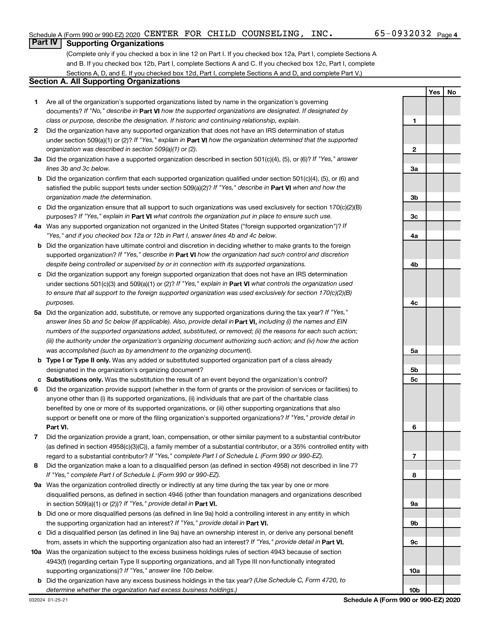### **Part IV Supporting Organizations**

(Complete only if you checked a box in line 12 on Part I. If you checked box 12a, Part I, complete Sections A and B. If you checked box 12b, Part I, complete Sections A and C. If you checked box 12c, Part I, complete Sections A, D, and E. If you checked box 12d, Part I, complete Sections A and D, and complete Part V.)

### **Section A. All Supporting Organizations**

- **1** Are all of the organization's supported organizations listed by name in the organization's governing documents? If "No," describe in Part VI how the supported organizations are designated. If designated by *class or purpose, describe the designation. If historic and continuing relationship, explain.*
- **2** Did the organization have any supported organization that does not have an IRS determination of status under section 509(a)(1) or (2)? If "Yes," explain in Part **VI** how the organization determined that the supported *organization was described in section 509(a)(1) or (2).*
- **3a** Did the organization have a supported organization described in section 501(c)(4), (5), or (6)? If "Yes," answer *lines 3b and 3c below.*
- **b** Did the organization confirm that each supported organization qualified under section 501(c)(4), (5), or (6) and satisfied the public support tests under section 509(a)(2)? If "Yes," describe in Part VI when and how the *organization made the determination.*
- **c** Did the organization ensure that all support to such organizations was used exclusively for section 170(c)(2)(B) purposes? If "Yes," explain in Part VI what controls the organization put in place to ensure such use.
- **4 a** *If* Was any supported organization not organized in the United States ("foreign supported organization")? *"Yes," and if you checked box 12a or 12b in Part I, answer lines 4b and 4c below.*
- **b** Did the organization have ultimate control and discretion in deciding whether to make grants to the foreign supported organization? If "Yes," describe in Part VI how the organization had such control and discretion *despite being controlled or supervised by or in connection with its supported organizations.*
- **c** Did the organization support any foreign supported organization that does not have an IRS determination under sections 501(c)(3) and 509(a)(1) or (2)? If "Yes," explain in Part VI what controls the organization used *to ensure that all support to the foreign supported organization was used exclusively for section 170(c)(2)(B) purposes.*
- **5a** Did the organization add, substitute, or remove any supported organizations during the tax year? If "Yes," answer lines 5b and 5c below (if applicable). Also, provide detail in **Part VI,** including (i) the names and EIN *numbers of the supported organizations added, substituted, or removed; (ii) the reasons for each such action; (iii) the authority under the organization's organizing document authorizing such action; and (iv) how the action was accomplished (such as by amendment to the organizing document).*
- **b Type I or Type II only.** Was any added or substituted supported organization part of a class already designated in the organization's organizing document?
- **c Substitutions only.**  Was the substitution the result of an event beyond the organization's control?
- **6** Did the organization provide support (whether in the form of grants or the provision of services or facilities) to **Part VI.** support or benefit one or more of the filing organization's supported organizations? If "Yes," provide detail in anyone other than (i) its supported organizations, (ii) individuals that are part of the charitable class benefited by one or more of its supported organizations, or (iii) other supporting organizations that also
- **7** Did the organization provide a grant, loan, compensation, or other similar payment to a substantial contributor regard to a substantial contributor? If "Yes," complete Part I of Schedule L (Form 990 or 990-EZ). (as defined in section 4958(c)(3)(C)), a family member of a substantial contributor, or a 35% controlled entity with
- **8** Did the organization make a loan to a disqualified person (as defined in section 4958) not described in line 7? *If "Yes," complete Part I of Schedule L (Form 990 or 990-EZ).*
- **9 a** Was the organization controlled directly or indirectly at any time during the tax year by one or more in section 509(a)(1) or (2))? If "Yes," provide detail in **Part VI.** disqualified persons, as defined in section 4946 (other than foundation managers and organizations described
- **b** Did one or more disqualified persons (as defined in line 9a) hold a controlling interest in any entity in which the supporting organization had an interest? If "Yes," provide detail in Part VI.
- **c** Did a disqualified person (as defined in line 9a) have an ownership interest in, or derive any personal benefit from, assets in which the supporting organization also had an interest? If "Yes," provide detail in Part VI.
- **10 a** Was the organization subject to the excess business holdings rules of section 4943 because of section supporting organizations)? If "Yes," answer line 10b below. 4943(f) (regarding certain Type II supporting organizations, and all Type III non-functionally integrated
	- **b** Did the organization have any excess business holdings in the tax year? (Use Schedule C, Form 4720, to *determine whether the organization had excess business holdings.)*

**Yes No 1 2 3a 3b 3c 4a 4b 4c 5a 5b 5c 6 7 8 9a 9b 9c 10a 10b**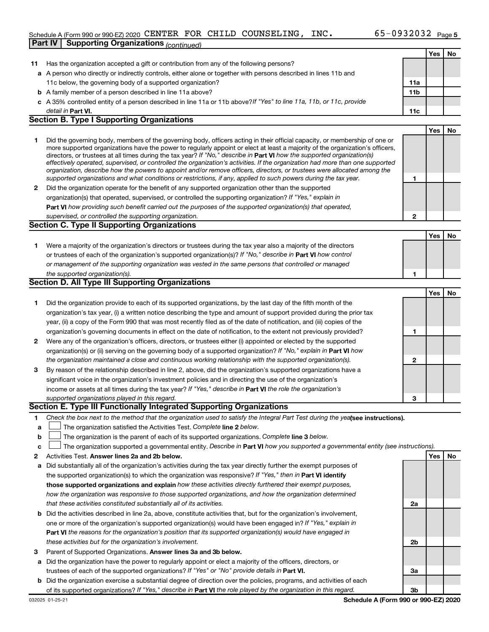### Schedule A (Form 990 or 990-EZ) 2020 CENTER FOR CHILD COUNSELING, INC.  $65-0932032$   $_{\rm Page}$ **Part IV | Supporting Organizations** *(continued)*

|              |                                                                                                                                                                                                                                                           |                 | Yes | No        |
|--------------|-----------------------------------------------------------------------------------------------------------------------------------------------------------------------------------------------------------------------------------------------------------|-----------------|-----|-----------|
| 11           | Has the organization accepted a gift or contribution from any of the following persons?                                                                                                                                                                   |                 |     |           |
|              | a A person who directly or indirectly controls, either alone or together with persons described in lines 11b and                                                                                                                                          |                 |     |           |
|              | 11c below, the governing body of a supported organization?                                                                                                                                                                                                | 11a             |     |           |
|              | <b>b</b> A family member of a person described in line 11a above?                                                                                                                                                                                         | 11 <sub>b</sub> |     |           |
|              | c A 35% controlled entity of a person described in line 11a or 11b above?If "Yes" to line 11a, 11b, or 11c, provide                                                                                                                                       |                 |     |           |
|              | detail in Part VI.                                                                                                                                                                                                                                        | 11c             |     |           |
|              | <b>Section B. Type I Supporting Organizations</b>                                                                                                                                                                                                         |                 |     |           |
|              |                                                                                                                                                                                                                                                           |                 | Yes | <b>No</b> |
| 1            | Did the governing body, members of the governing body, officers acting in their official capacity, or membership of one or                                                                                                                                |                 |     |           |
|              | more supported organizations have the power to regularly appoint or elect at least a majority of the organization's officers,                                                                                                                             |                 |     |           |
|              | directors, or trustees at all times during the tax year? If "No," describe in Part VI how the supported organization(s)<br>effectively operated, supervised, or controlled the organization's activities. If the organization had more than one supported |                 |     |           |
|              | organization, describe how the powers to appoint and/or remove officers, directors, or trustees were allocated among the                                                                                                                                  |                 |     |           |
|              | supported organizations and what conditions or restrictions, if any, applied to such powers during the tax year.                                                                                                                                          | 1               |     |           |
| 2            | Did the organization operate for the benefit of any supported organization other than the supported                                                                                                                                                       |                 |     |           |
|              | organization(s) that operated, supervised, or controlled the supporting organization? If "Yes," explain in                                                                                                                                                |                 |     |           |
|              | Part VI how providing such benefit carried out the purposes of the supported organization(s) that operated,                                                                                                                                               |                 |     |           |
|              | supervised, or controlled the supporting organization.                                                                                                                                                                                                    | $\mathbf{2}$    |     |           |
|              | Section C. Type II Supporting Organizations                                                                                                                                                                                                               |                 |     |           |
|              |                                                                                                                                                                                                                                                           |                 | Yes | <b>No</b> |
| 1.           | Were a majority of the organization's directors or trustees during the tax year also a majority of the directors                                                                                                                                          |                 |     |           |
|              | or trustees of each of the organization's supported organization(s)? If "No," describe in Part VI how control                                                                                                                                             |                 |     |           |
|              | or management of the supporting organization was vested in the same persons that controlled or managed                                                                                                                                                    |                 |     |           |
|              | the supported organization(s).                                                                                                                                                                                                                            | 1               |     |           |
|              | Section D. All Type III Supporting Organizations                                                                                                                                                                                                          |                 |     |           |
|              |                                                                                                                                                                                                                                                           |                 | Yes | No        |
| 1.           | Did the organization provide to each of its supported organizations, by the last day of the fifth month of the                                                                                                                                            |                 |     |           |
|              | organization's tax year, (i) a written notice describing the type and amount of support provided during the prior tax                                                                                                                                     |                 |     |           |
|              | year, (ii) a copy of the Form 990 that was most recently filed as of the date of notification, and (iii) copies of the                                                                                                                                    |                 |     |           |
|              | organization's governing documents in effect on the date of notification, to the extent not previously provided?                                                                                                                                          | 1               |     |           |
| $\mathbf{2}$ | Were any of the organization's officers, directors, or trustees either (i) appointed or elected by the supported                                                                                                                                          |                 |     |           |
|              | organization(s) or (ii) serving on the governing body of a supported organization? If "No," explain in <b>Part VI</b> how                                                                                                                                 |                 |     |           |
|              | the organization maintained a close and continuous working relationship with the supported organization(s).                                                                                                                                               | 2               |     |           |
| 3            | By reason of the relationship described in line 2, above, did the organization's supported organizations have a                                                                                                                                           |                 |     |           |
|              | significant voice in the organization's investment policies and in directing the use of the organization's                                                                                                                                                |                 |     |           |
|              | income or assets at all times during the tax year? If "Yes," describe in Part VI the role the organization's                                                                                                                                              | 3               |     |           |
|              | supported organizations played in this regard.<br>Section E. Type III Functionally Integrated Supporting Organizations                                                                                                                                    |                 |     |           |
| 1            | Check the box next to the method that the organization used to satisfy the Integral Part Test during the yealsee instructions).                                                                                                                           |                 |     |           |
| а            | The organization satisfied the Activities Test. Complete line 2 below.                                                                                                                                                                                    |                 |     |           |
| b            | The organization is the parent of each of its supported organizations. Complete line 3 below.                                                                                                                                                             |                 |     |           |
| с            | The organization supported a governmental entity. Describe in Part VI how you supported a governmental entity (see instructions).                                                                                                                         |                 |     |           |
| 2            | Activities Test. Answer lines 2a and 2b below.                                                                                                                                                                                                            |                 | Yes | No        |
| а            | Did substantially all of the organization's activities during the tax year directly further the exempt purposes of                                                                                                                                        |                 |     |           |
|              | the supported organization(s) to which the organization was responsive? If "Yes," then in Part VI identify                                                                                                                                                |                 |     |           |
|              | those supported organizations and explain how these activities directly furthered their exempt purposes,                                                                                                                                                  |                 |     |           |
|              | how the organization was responsive to those supported organizations, and how the organization determined                                                                                                                                                 |                 |     |           |
|              | that these activities constituted substantially all of its activities.                                                                                                                                                                                    | 2a              |     |           |
|              | <b>b</b> Did the activities described in line 2a, above, constitute activities that, but for the organization's involvement,                                                                                                                              |                 |     |           |
|              | one or more of the organization's supported organization(s) would have been engaged in? If "Yes," explain in                                                                                                                                              |                 |     |           |
|              | Part VI the reasons for the organization's position that its supported organization(s) would have engaged in                                                                                                                                              |                 |     |           |
|              | these activities but for the organization's involvement.                                                                                                                                                                                                  | 2b              |     |           |
| 3            | Parent of Supported Organizations. Answer lines 3a and 3b below.                                                                                                                                                                                          |                 |     |           |
|              | a Did the organization have the power to regularly appoint or elect a majority of the officers, directors, or                                                                                                                                             |                 |     |           |
|              | trustees of each of the supported organizations? If "Yes" or "No" provide details in Part VI.                                                                                                                                                             | За              |     |           |
|              | <b>b</b> Did the organization exercise a substantial degree of direction over the policies, programs, and activities of each                                                                                                                              |                 |     |           |
|              | of its supported organizations? If "Yes," describe in Part VI the role played by the organization in this regard.                                                                                                                                         | 3b              |     |           |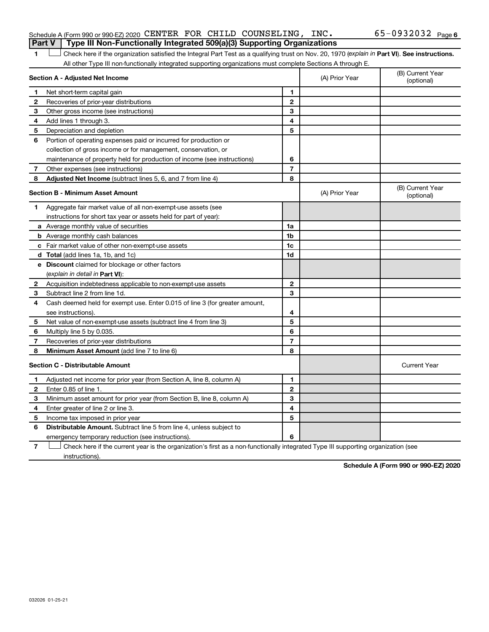### Schedule A (Form 990 or 990-EZ) 2020 CENTER FOR CHILD COUNSELING, INC.  $65-0932032$   $_{\rm Page}$ **Part V Type III Non-Functionally Integrated 509(a)(3) Supporting Organizations**

1 **Letter See instructions.** Check here if the organization satisfied the Integral Part Test as a qualifying trust on Nov. 20, 1970 (*explain in* Part **VI**). See instructions. All other Type III non-functionally integrated supporting organizations must complete Sections A through E.

|    | Section A - Adjusted Net Income                                             | (A) Prior Year | (B) Current Year<br>(optional) |                                |
|----|-----------------------------------------------------------------------------|----------------|--------------------------------|--------------------------------|
| 1  | Net short-term capital gain                                                 | 1              |                                |                                |
| 2  | Recoveries of prior-year distributions                                      | $\overline{2}$ |                                |                                |
| 3  | Other gross income (see instructions)                                       | 3              |                                |                                |
| 4  | Add lines 1 through 3.                                                      | 4              |                                |                                |
| 5  | Depreciation and depletion                                                  | 5              |                                |                                |
| 6  | Portion of operating expenses paid or incurred for production or            |                |                                |                                |
|    | collection of gross income or for management, conservation, or              |                |                                |                                |
|    | maintenance of property held for production of income (see instructions)    | 6              |                                |                                |
| 7  | Other expenses (see instructions)                                           | $\overline{7}$ |                                |                                |
| 8  | Adjusted Net Income (subtract lines 5, 6, and 7 from line 4)                | 8              |                                |                                |
|    | <b>Section B - Minimum Asset Amount</b>                                     |                | (A) Prior Year                 | (B) Current Year<br>(optional) |
| 1. | Aggregate fair market value of all non-exempt-use assets (see               |                |                                |                                |
|    | instructions for short tax year or assets held for part of year):           |                |                                |                                |
|    | a Average monthly value of securities                                       | 1a             |                                |                                |
|    | <b>b</b> Average monthly cash balances                                      | 1 <sub>b</sub> |                                |                                |
|    | c Fair market value of other non-exempt-use assets                          | 1c             |                                |                                |
|    | <b>d</b> Total (add lines 1a, 1b, and 1c)                                   | 1d             |                                |                                |
|    | e Discount claimed for blockage or other factors                            |                |                                |                                |
|    | (explain in detail in Part VI):                                             |                |                                |                                |
| 2  | Acquisition indebtedness applicable to non-exempt-use assets                | $\mathbf{2}$   |                                |                                |
| 3  | Subtract line 2 from line 1d.                                               | 3              |                                |                                |
| 4  | Cash deemed held for exempt use. Enter 0.015 of line 3 (for greater amount, |                |                                |                                |
|    | see instructions).                                                          | 4              |                                |                                |
| 5  | Net value of non-exempt-use assets (subtract line 4 from line 3)            | 5              |                                |                                |
| 6  | Multiply line 5 by 0.035.                                                   | 6              |                                |                                |
| 7  | Recoveries of prior-year distributions                                      | $\overline{7}$ |                                |                                |
| 8  | Minimum Asset Amount (add line 7 to line 6)                                 | 8              |                                |                                |
|    | <b>Section C - Distributable Amount</b>                                     |                |                                | <b>Current Year</b>            |
| 1  | Adjusted net income for prior year (from Section A, line 8, column A)       | $\mathbf{1}$   |                                |                                |
| 2  | Enter 0.85 of line 1.                                                       | $\mathbf{2}$   |                                |                                |
| З  | Minimum asset amount for prior year (from Section B, line 8, column A)      | 3              |                                |                                |
| 4  | Enter greater of line 2 or line 3.                                          | 4              |                                |                                |
| 5  | Income tax imposed in prior year                                            | 5              |                                |                                |
| 6  | Distributable Amount. Subtract line 5 from line 4, unless subject to        |                |                                |                                |
|    | emergency temporary reduction (see instructions).                           | 6              |                                |                                |
|    |                                                                             |                |                                |                                |

**7** Let Check here if the current year is the organization's first as a non-functionally integrated Type III supporting organization (see instructions).

**Schedule A (Form 990 or 990-EZ) 2020**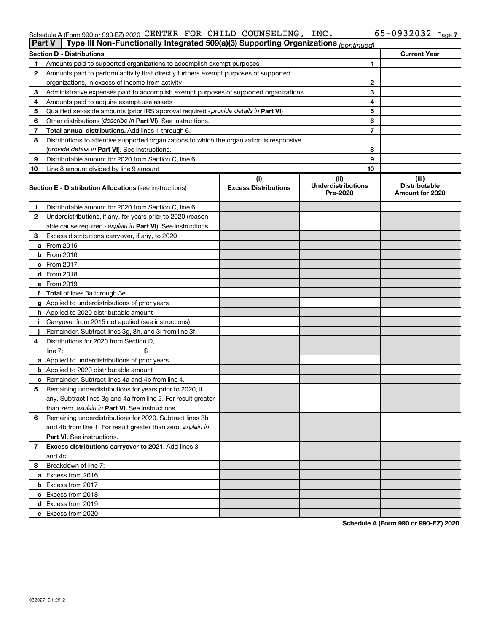#### Schedule A (Form 990 or 990-EZ) 2020 <code>CENTER FOR CHILD</code> COUNSELING , INC .  $65-0932032$  Page CENTER FOR CHILD COUNSELING, INC. 65-0932032

|    | Type III Non-Functionally Integrated 509(a)(3) Supporting Organizations (continued)<br>Part V |                                    |                                               |    |                                                  |  |  |
|----|-----------------------------------------------------------------------------------------------|------------------------------------|-----------------------------------------------|----|--------------------------------------------------|--|--|
|    | <b>Section D - Distributions</b>                                                              |                                    |                                               |    | <b>Current Year</b>                              |  |  |
| 1  | Amounts paid to supported organizations to accomplish exempt purposes                         |                                    | 1                                             |    |                                                  |  |  |
| 2  | Amounts paid to perform activity that directly furthers exempt purposes of supported          |                                    |                                               |    |                                                  |  |  |
|    | organizations, in excess of income from activity                                              |                                    |                                               | 2  |                                                  |  |  |
| 3  | Administrative expenses paid to accomplish exempt purposes of supported organizations         |                                    |                                               | 3  |                                                  |  |  |
| 4  | Amounts paid to acquire exempt-use assets                                                     |                                    |                                               | 4  |                                                  |  |  |
| 5  | Qualified set-aside amounts (prior IRS approval required - provide details in Part VI)        |                                    |                                               | 5  |                                                  |  |  |
| 6  | Other distributions (describe in Part VI). See instructions.                                  |                                    |                                               | 6  |                                                  |  |  |
| 7  | Total annual distributions. Add lines 1 through 6.                                            |                                    |                                               | 7  |                                                  |  |  |
| 8  | Distributions to attentive supported organizations to which the organization is responsive    |                                    |                                               |    |                                                  |  |  |
|    | ( <i>provide details in Part VI</i> ). See instructions.                                      |                                    |                                               | 8  |                                                  |  |  |
| 9  | Distributable amount for 2020 from Section C, line 6                                          |                                    |                                               | 9  |                                                  |  |  |
| 10 | Line 8 amount divided by line 9 amount                                                        |                                    |                                               | 10 |                                                  |  |  |
|    | <b>Section E - Distribution Allocations (see instructions)</b>                                | (i)<br><b>Excess Distributions</b> | (ii)<br><b>Underdistributions</b><br>Pre-2020 |    | (iii)<br><b>Distributable</b><br>Amount for 2020 |  |  |
| 1  | Distributable amount for 2020 from Section C, line 6                                          |                                    |                                               |    |                                                  |  |  |
| 2  | Underdistributions, if any, for years prior to 2020 (reason-                                  |                                    |                                               |    |                                                  |  |  |
|    | able cause required - explain in Part VI). See instructions.                                  |                                    |                                               |    |                                                  |  |  |
| З  | Excess distributions carryover, if any, to 2020                                               |                                    |                                               |    |                                                  |  |  |
|    | a From 2015                                                                                   |                                    |                                               |    |                                                  |  |  |
|    | $b$ From 2016                                                                                 |                                    |                                               |    |                                                  |  |  |
|    | c From 2017                                                                                   |                                    |                                               |    |                                                  |  |  |
|    | <b>d</b> From 2018                                                                            |                                    |                                               |    |                                                  |  |  |
|    | e From 2019                                                                                   |                                    |                                               |    |                                                  |  |  |
|    | f Total of lines 3a through 3e                                                                |                                    |                                               |    |                                                  |  |  |
|    | g Applied to underdistributions of prior years                                                |                                    |                                               |    |                                                  |  |  |
|    | <b>h</b> Applied to 2020 distributable amount                                                 |                                    |                                               |    |                                                  |  |  |
| Ť. | Carryover from 2015 not applied (see instructions)                                            |                                    |                                               |    |                                                  |  |  |
|    | Remainder. Subtract lines 3g, 3h, and 3i from line 3f.                                        |                                    |                                               |    |                                                  |  |  |
| 4  | Distributions for 2020 from Section D,                                                        |                                    |                                               |    |                                                  |  |  |
|    | line 7:                                                                                       |                                    |                                               |    |                                                  |  |  |
|    | a Applied to underdistributions of prior years                                                |                                    |                                               |    |                                                  |  |  |
|    | <b>b</b> Applied to 2020 distributable amount                                                 |                                    |                                               |    |                                                  |  |  |
|    | c Remainder. Subtract lines 4a and 4b from line 4.                                            |                                    |                                               |    |                                                  |  |  |
| 5  | Remaining underdistributions for years prior to 2020, if                                      |                                    |                                               |    |                                                  |  |  |
|    | any. Subtract lines 3g and 4a from line 2. For result greater                                 |                                    |                                               |    |                                                  |  |  |
|    | than zero, explain in Part VI. See instructions.                                              |                                    |                                               |    |                                                  |  |  |
| 6  | Remaining underdistributions for 2020. Subtract lines 3h                                      |                                    |                                               |    |                                                  |  |  |
|    | and 4b from line 1. For result greater than zero, explain in                                  |                                    |                                               |    |                                                  |  |  |
|    | <b>Part VI.</b> See instructions.                                                             |                                    |                                               |    |                                                  |  |  |
| 7  | Excess distributions carryover to 2021. Add lines 3j                                          |                                    |                                               |    |                                                  |  |  |
|    | and 4c.                                                                                       |                                    |                                               |    |                                                  |  |  |
| 8  | Breakdown of line 7:                                                                          |                                    |                                               |    |                                                  |  |  |
|    | a Excess from 2016                                                                            |                                    |                                               |    |                                                  |  |  |
|    | <b>b</b> Excess from 2017                                                                     |                                    |                                               |    |                                                  |  |  |
|    | c Excess from 2018                                                                            |                                    |                                               |    |                                                  |  |  |
|    | d Excess from 2019<br>e Excess from 2020                                                      |                                    |                                               |    |                                                  |  |  |
|    |                                                                                               |                                    |                                               |    |                                                  |  |  |

**Schedule A (Form 990 or 990-EZ) 2020**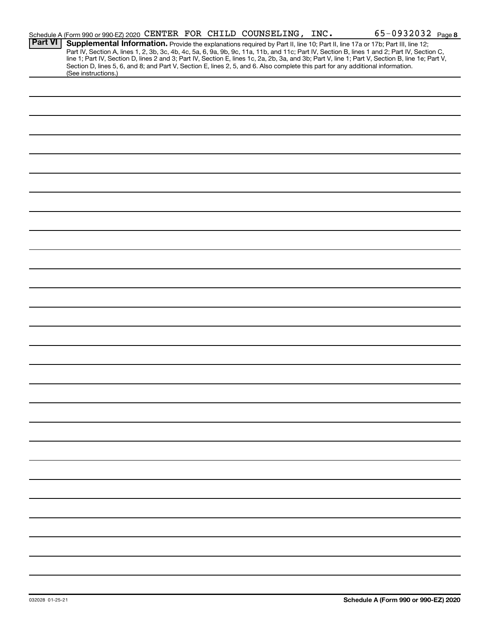|                | Schedule A (Form 990 or 990-EZ) 2020 CENTER FOR CHILD COUNSELING, INC.                                                                                                                                                                                                                  |  |  | 65-0932032 Page 8                                                                                                                                                                                                                |
|----------------|-----------------------------------------------------------------------------------------------------------------------------------------------------------------------------------------------------------------------------------------------------------------------------------------|--|--|----------------------------------------------------------------------------------------------------------------------------------------------------------------------------------------------------------------------------------|
| <b>Part VI</b> | Supplemental Information. Provide the explanations required by Part II, line 10; Part II, line 17a or 17b; Part III, line 12;<br>Section D, lines 5, 6, and 8; and Part V, Section E, lines 2, 5, and 6. Also complete this part for any additional information.<br>(See instructions.) |  |  | Part IV, Section A, lines 1, 2, 3b, 3c, 4b, 4c, 5a, 6, 9a, 9b, 9c, 11a, 11b, and 11c; Part IV, Section B, lines 1 and 2; Part IV, Section C,<br>line 1; Part IV, Section D, lines 2 and 3; Part IV, Section E, lines 1c, 2a, 2b, |
|                |                                                                                                                                                                                                                                                                                         |  |  |                                                                                                                                                                                                                                  |
|                |                                                                                                                                                                                                                                                                                         |  |  |                                                                                                                                                                                                                                  |
|                |                                                                                                                                                                                                                                                                                         |  |  |                                                                                                                                                                                                                                  |
|                |                                                                                                                                                                                                                                                                                         |  |  |                                                                                                                                                                                                                                  |
|                |                                                                                                                                                                                                                                                                                         |  |  |                                                                                                                                                                                                                                  |
|                |                                                                                                                                                                                                                                                                                         |  |  |                                                                                                                                                                                                                                  |
|                |                                                                                                                                                                                                                                                                                         |  |  |                                                                                                                                                                                                                                  |
|                |                                                                                                                                                                                                                                                                                         |  |  |                                                                                                                                                                                                                                  |
|                |                                                                                                                                                                                                                                                                                         |  |  |                                                                                                                                                                                                                                  |
|                |                                                                                                                                                                                                                                                                                         |  |  |                                                                                                                                                                                                                                  |
|                |                                                                                                                                                                                                                                                                                         |  |  |                                                                                                                                                                                                                                  |
|                |                                                                                                                                                                                                                                                                                         |  |  |                                                                                                                                                                                                                                  |
|                |                                                                                                                                                                                                                                                                                         |  |  |                                                                                                                                                                                                                                  |
|                |                                                                                                                                                                                                                                                                                         |  |  |                                                                                                                                                                                                                                  |
|                |                                                                                                                                                                                                                                                                                         |  |  |                                                                                                                                                                                                                                  |
|                |                                                                                                                                                                                                                                                                                         |  |  |                                                                                                                                                                                                                                  |
|                |                                                                                                                                                                                                                                                                                         |  |  |                                                                                                                                                                                                                                  |
|                |                                                                                                                                                                                                                                                                                         |  |  |                                                                                                                                                                                                                                  |
|                |                                                                                                                                                                                                                                                                                         |  |  |                                                                                                                                                                                                                                  |
|                |                                                                                                                                                                                                                                                                                         |  |  |                                                                                                                                                                                                                                  |
|                |                                                                                                                                                                                                                                                                                         |  |  |                                                                                                                                                                                                                                  |
|                |                                                                                                                                                                                                                                                                                         |  |  |                                                                                                                                                                                                                                  |
|                |                                                                                                                                                                                                                                                                                         |  |  |                                                                                                                                                                                                                                  |
|                |                                                                                                                                                                                                                                                                                         |  |  |                                                                                                                                                                                                                                  |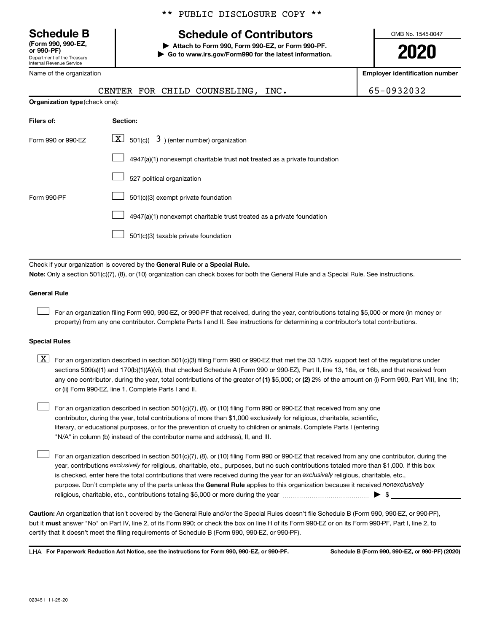**(Form 990, 990-EZ,**

Department of the Treasury Internal Revenue Service

|  |  | ** PUBLIC DISCLOSURE COPY ** |  |  |
|--|--|------------------------------|--|--|
|--|--|------------------------------|--|--|

# **Schedule B Schedule of Contributors**

**or 990-PF) | Attach to Form 990, Form 990-EZ, or Form 990-PF. | Go to www.irs.gov/Form990 for the latest information.** OMB No. 1545-0047

**2020**

| Name of the organization                                                                                                                                                                                                                                                                                                                                                                                                                                                                                        | <b>Employer identification number</b>                                                                                                     |            |  |  |  |  |  |
|-----------------------------------------------------------------------------------------------------------------------------------------------------------------------------------------------------------------------------------------------------------------------------------------------------------------------------------------------------------------------------------------------------------------------------------------------------------------------------------------------------------------|-------------------------------------------------------------------------------------------------------------------------------------------|------------|--|--|--|--|--|
|                                                                                                                                                                                                                                                                                                                                                                                                                                                                                                                 | CENTER FOR CHILD COUNSELING, INC.                                                                                                         | 65-0932032 |  |  |  |  |  |
| Organization type (check one):                                                                                                                                                                                                                                                                                                                                                                                                                                                                                  |                                                                                                                                           |            |  |  |  |  |  |
| Filers of:                                                                                                                                                                                                                                                                                                                                                                                                                                                                                                      | Section:                                                                                                                                  |            |  |  |  |  |  |
| Form 990 or 990-EZ                                                                                                                                                                                                                                                                                                                                                                                                                                                                                              | $\boxed{\mathbf{X}}$ 501(c)( 3) (enter number) organization                                                                               |            |  |  |  |  |  |
|                                                                                                                                                                                                                                                                                                                                                                                                                                                                                                                 | 4947(a)(1) nonexempt charitable trust not treated as a private foundation                                                                 |            |  |  |  |  |  |
|                                                                                                                                                                                                                                                                                                                                                                                                                                                                                                                 | 527 political organization                                                                                                                |            |  |  |  |  |  |
| Form 990-PF                                                                                                                                                                                                                                                                                                                                                                                                                                                                                                     | 501(c)(3) exempt private foundation                                                                                                       |            |  |  |  |  |  |
|                                                                                                                                                                                                                                                                                                                                                                                                                                                                                                                 | 4947(a)(1) nonexempt charitable trust treated as a private foundation                                                                     |            |  |  |  |  |  |
|                                                                                                                                                                                                                                                                                                                                                                                                                                                                                                                 | 501(c)(3) taxable private foundation                                                                                                      |            |  |  |  |  |  |
|                                                                                                                                                                                                                                                                                                                                                                                                                                                                                                                 | Check if your organization is covered by the General Rule or a Special Rule.                                                              |            |  |  |  |  |  |
|                                                                                                                                                                                                                                                                                                                                                                                                                                                                                                                 | Note: Only a section 501(c)(7), (8), or (10) organization can check boxes for both the General Rule and a Special Rule. See instructions. |            |  |  |  |  |  |
| <b>General Rule</b>                                                                                                                                                                                                                                                                                                                                                                                                                                                                                             |                                                                                                                                           |            |  |  |  |  |  |
| For an organization filing Form 990, 990-EZ, or 990-PF that received, during the year, contributions totaling \$5,000 or more (in money or<br>property) from any one contributor. Complete Parts I and II. See instructions for determining a contributor's total contributions.                                                                                                                                                                                                                                |                                                                                                                                           |            |  |  |  |  |  |
| <b>Special Rules</b>                                                                                                                                                                                                                                                                                                                                                                                                                                                                                            |                                                                                                                                           |            |  |  |  |  |  |
| X <br>For an organization described in section 501(c)(3) filing Form 990 or 990-EZ that met the 33 1/3% support test of the regulations under<br>sections 509(a)(1) and 170(b)(1)(A)(vi), that checked Schedule A (Form 990 or 990-EZ), Part II, line 13, 16a, or 16b, and that received from<br>any one contributor, during the year, total contributions of the greater of (1) \$5,000; or (2) 2% of the amount on (i) Form 990, Part VIII, line 1h;<br>or (ii) Form 990-EZ, line 1. Complete Parts I and II. |                                                                                                                                           |            |  |  |  |  |  |

For an organization described in section 501(c)(7), (8), or (10) filing Form 990 or 990-EZ that received from any one contributor, during the year, total contributions of more than \$1,000 exclusively for religious, charitable, scientific, literary, or educational purposes, or for the prevention of cruelty to children or animals. Complete Parts I (entering "N/A" in column (b) instead of the contributor name and address), II, and III.

purpose. Don't complete any of the parts unless the General Rule applies to this organization because it received nonexclusively year, contributions exclusively for religious, charitable, etc., purposes, but no such contributions totaled more than \$1,000. If this box is checked, enter here the total contributions that were received during the year for an exclusively religious, charitable, etc., For an organization described in section 501(c)(7), (8), or (10) filing Form 990 or 990-EZ that received from any one contributor, during the religious, charitable, etc., contributions totaling \$5,000 or more during the year  $\ldots$  $\ldots$  $\ldots$  $\ldots$  $\ldots$  $\ldots$ 

**Caution:**  An organization that isn't covered by the General Rule and/or the Special Rules doesn't file Schedule B (Form 990, 990-EZ, or 990-PF),  **must** but it answer "No" on Part IV, line 2, of its Form 990; or check the box on line H of its Form 990-EZ or on its Form 990-PF, Part I, line 2, to certify that it doesn't meet the filing requirements of Schedule B (Form 990, 990-EZ, or 990-PF).

**For Paperwork Reduction Act Notice, see the instructions for Form 990, 990-EZ, or 990-PF. Schedule B (Form 990, 990-EZ, or 990-PF) (2020)** LHA

 $\Box$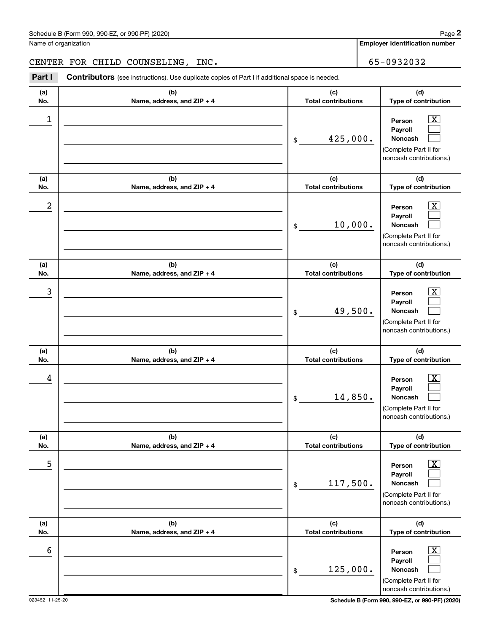**Employer identification number**

CENTER FOR CHILD COUNSELING, INC. 65-0932032

| (a)<br>No. | (b)<br>Name, address, and ZIP + 4 | (c)<br><b>Total contributions</b> | (d)<br>Type of contribution                                                                                 |
|------------|-----------------------------------|-----------------------------------|-------------------------------------------------------------------------------------------------------------|
| 1          |                                   | 425,000.<br>\$                    | $\overline{\mathbf{X}}$<br>Person<br>Payroll<br>Noncash<br>(Complete Part II for<br>noncash contributions.) |
| (a)<br>No. | (b)<br>Name, address, and ZIP + 4 | (c)<br><b>Total contributions</b> | (d)<br>Type of contribution                                                                                 |
| 2          |                                   | 10,000.<br>\$                     | $\overline{\mathbf{X}}$<br>Person<br>Payroll<br>Noncash<br>(Complete Part II for<br>noncash contributions.) |
| (a)<br>No. | (b)<br>Name, address, and ZIP + 4 | (c)<br><b>Total contributions</b> | (d)<br>Type of contribution                                                                                 |
| 3          |                                   | 49,500.<br>\$                     | $\overline{\mathbf{X}}$<br>Person<br>Payroll<br>Noncash<br>(Complete Part II for<br>noncash contributions.) |
| (a)<br>No. | (b)<br>Name, address, and ZIP + 4 | (c)<br><b>Total contributions</b> | (d)<br>Type of contribution                                                                                 |
| 4          |                                   | 14,850.<br>\$                     | $\overline{\mathbf{X}}$<br>Person<br>Payroll<br>Noncash<br>(Complete Part II for<br>noncash contributions.) |
| (a)<br>No. | (b)<br>Name, address, and ZIP + 4 | (c)<br><b>Total contributions</b> | (d)<br>Type of contribution                                                                                 |
| 5          |                                   | 117,500.<br>\$                    | $\boxed{\text{X}}$<br>Person<br>Payroll<br>Noncash<br>(Complete Part II for<br>noncash contributions.)      |
| (a)<br>No. | (b)<br>Name, address, and ZIP + 4 | (c)<br><b>Total contributions</b> | (d)<br>Type of contribution                                                                                 |
| 6          |                                   | 125,000.<br>\$                    | $\boxed{\text{X}}$<br>Person<br>Payroll<br>Noncash<br>(Complete Part II for<br>noncash contributions.)      |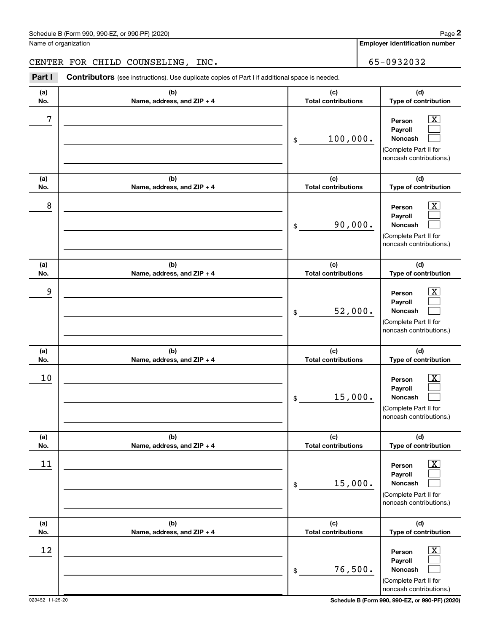**Employer identification number**

CENTER FOR CHILD COUNSELING, INC. 65-0932032

| (a)<br>No. | (b)<br>Name, address, and ZIP + 4 | (c)<br><b>Total contributions</b> | (d)<br>Type of contribution                                                                                     |
|------------|-----------------------------------|-----------------------------------|-----------------------------------------------------------------------------------------------------------------|
| 7          |                                   | 100,000.<br>\$                    | $\boxed{\textbf{X}}$<br>Person<br>Payroll<br><b>Noncash</b><br>(Complete Part II for<br>noncash contributions.) |
| (a)<br>No. | (b)<br>Name, address, and ZIP + 4 | (c)<br><b>Total contributions</b> | (d)<br>Type of contribution                                                                                     |
| 8          |                                   | 90,000.<br>\$                     | $\boxed{\mathbf{X}}$<br>Person<br>Payroll<br>Noncash<br>(Complete Part II for<br>noncash contributions.)        |
| (a)<br>No. | (b)<br>Name, address, and ZIP + 4 | (c)<br><b>Total contributions</b> | (d)<br>Type of contribution                                                                                     |
| 9          |                                   | 52,000.<br>\$                     | $\boxed{\mathbf{X}}$<br>Person<br>Payroll<br><b>Noncash</b><br>(Complete Part II for<br>noncash contributions.) |
| (a)<br>No. | (b)<br>Name, address, and ZIP + 4 | (c)<br><b>Total contributions</b> | (d)<br>Type of contribution                                                                                     |
| 10         |                                   | 15,000.<br>\$                     | $\boxed{\mathbf{X}}$<br>Person<br>Payroll<br><b>Noncash</b><br>(Complete Part II for<br>noncash contributions.) |
| (a)<br>No. | (b)<br>Name, address, and ZIP + 4 | (c)<br><b>Total contributions</b> | (d)<br>Type of contribution                                                                                     |
| 11         |                                   | 15,000.<br>\$                     | $\boxed{\textbf{X}}$<br>Person<br>Payroll<br>Noncash<br>(Complete Part II for<br>noncash contributions.)        |
| (a)<br>No. | (b)<br>Name, address, and ZIP + 4 | (c)<br><b>Total contributions</b> | (d)<br>Type of contribution                                                                                     |
| 12         |                                   | 76,500.<br>\$                     | $\boxed{\text{X}}$<br>Person<br>Payroll<br>Noncash<br>(Complete Part II for<br>noncash contributions.)          |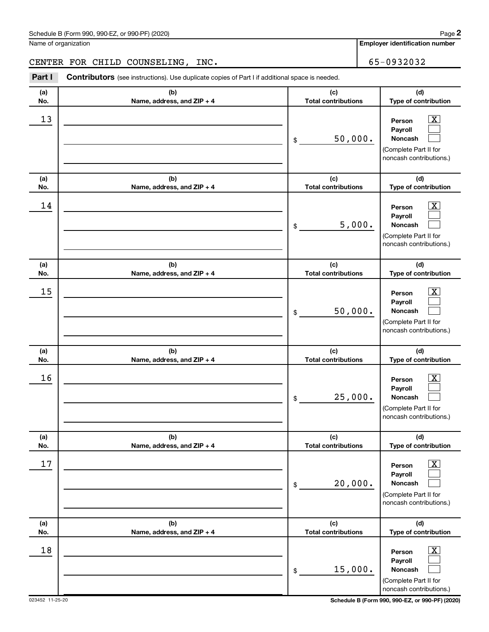**Employer identification number**

# CENTER FOR CHILD COUNSELING, INC. 65-0932032

| (a)<br>No. | (b)<br>Name, address, and ZIP + 4 | (c)<br><b>Total contributions</b> | (d)<br>Type of contribution                                                                                        |
|------------|-----------------------------------|-----------------------------------|--------------------------------------------------------------------------------------------------------------------|
| 13         |                                   | 50,000.<br>\$                     | $\overline{\mathbf{X}}$<br>Person<br>Payroll<br>Noncash<br>(Complete Part II for<br>noncash contributions.)        |
| (a)<br>No. | (b)<br>Name, address, and ZIP + 4 | (c)<br><b>Total contributions</b> | (d)<br>Type of contribution                                                                                        |
| 14         |                                   | 5,000.<br>\$                      | $\overline{\mathbf{X}}$<br>Person<br>Payroll<br><b>Noncash</b><br>(Complete Part II for<br>noncash contributions.) |
| (a)<br>No. | (b)<br>Name, address, and ZIP + 4 | (c)<br><b>Total contributions</b> | (d)<br>Type of contribution                                                                                        |
| 15         |                                   | 50,000.<br>\$                     | $\overline{\mathbf{X}}$<br>Person<br>Payroll<br><b>Noncash</b><br>(Complete Part II for<br>noncash contributions.) |
| (a)<br>No. | (b)<br>Name, address, and ZIP + 4 | (c)<br><b>Total contributions</b> | (d)<br>Type of contribution                                                                                        |
| 16         |                                   | 25,000.<br>\$                     | $\overline{\mathbf{X}}$<br>Person<br>Payroll<br><b>Noncash</b><br>(Complete Part II for<br>noncash contributions.) |
| (a)<br>No. | (b)<br>Name, address, and ZIP + 4 | (c)<br><b>Total contributions</b> | (d)<br>Type of contribution                                                                                        |
| 17         |                                   | 20,000.<br>$\,$                   | $\boxed{\text{X}}$<br>Person<br>Payroll<br>Noncash<br>(Complete Part II for<br>noncash contributions.)             |
| (a)<br>No. | (b)<br>Name, address, and ZIP + 4 | (c)<br><b>Total contributions</b> | (d)<br>Type of contribution                                                                                        |
| 18         |                                   | 15,000.<br>$\$$                   | $\boxed{\textbf{X}}$<br>Person<br>Payroll<br>Noncash<br>(Complete Part II for<br>noncash contributions.)           |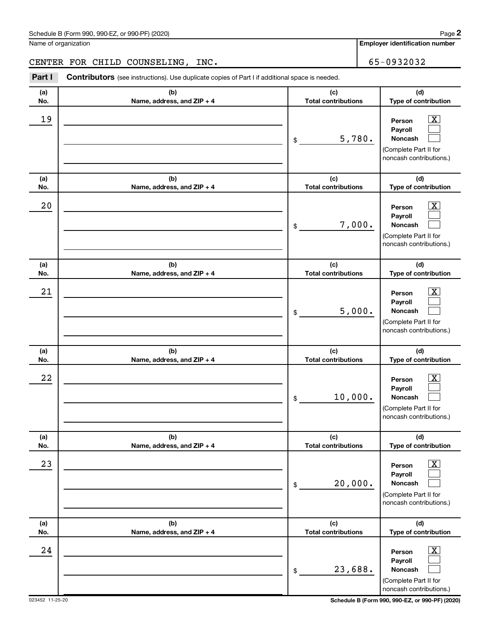**Employer identification number**

# CENTER FOR CHILD COUNSELING, INC. 65-0932032

| (a)<br>No. | (b)<br>Name, address, and ZIP + 4 | (c)<br><b>Total contributions</b> | (d)<br>Type of contribution                                                                                   |
|------------|-----------------------------------|-----------------------------------|---------------------------------------------------------------------------------------------------------------|
| 19         |                                   | 5,780.<br>\$                      | $\boxed{\textbf{X}}$<br>Person<br>Payroll<br>Noncash<br>(Complete Part II for<br>noncash contributions.)      |
| (a)<br>No. | (b)<br>Name, address, and ZIP + 4 | (c)<br><b>Total contributions</b> | (d)<br>Type of contribution                                                                                   |
| 20         |                                   | 7,000.<br>\$                      | $\boxed{\textbf{X}}$<br>Person<br>Payroll<br>Noncash<br>(Complete Part II for<br>noncash contributions.)      |
| (a)<br>No. | (b)<br>Name, address, and ZIP + 4 | (c)<br><b>Total contributions</b> | (d)<br>Type of contribution                                                                                   |
| 21         |                                   | 5,000.<br>\$                      | $\boxed{\textbf{X}}$<br>Person<br>Payroll<br>Noncash<br>(Complete Part II for<br>noncash contributions.)      |
| (a)<br>No. | (b)<br>Name, address, and ZIP + 4 | (c)<br><b>Total contributions</b> | (d)<br>Type of contribution                                                                                   |
| 22         |                                   | 10,000.<br>\$                     | $\mathbf{X}$<br>Person<br>Payroll<br>Noncash<br>(Complete Part II for<br>noncash contributions.)              |
| (a)<br>No. | (b)<br>Name, address, and ZIP + 4 | (c)<br><b>Total contributions</b> | (d)<br>Type of contribution                                                                                   |
| 23         |                                   | 20,000.<br>$\$$                   | $\boxed{\text{X}}$<br>Person<br>Payroll<br><b>Noncash</b><br>(Complete Part II for<br>noncash contributions.) |
| (a)<br>No. | (b)<br>Name, address, and ZIP + 4 | (c)<br><b>Total contributions</b> | (d)<br>Type of contribution                                                                                   |
| 24         |                                   | 23,688.<br>\$                     | $\boxed{\text{X}}$<br>Person<br>Payroll<br>Noncash<br>(Complete Part II for<br>noncash contributions.)        |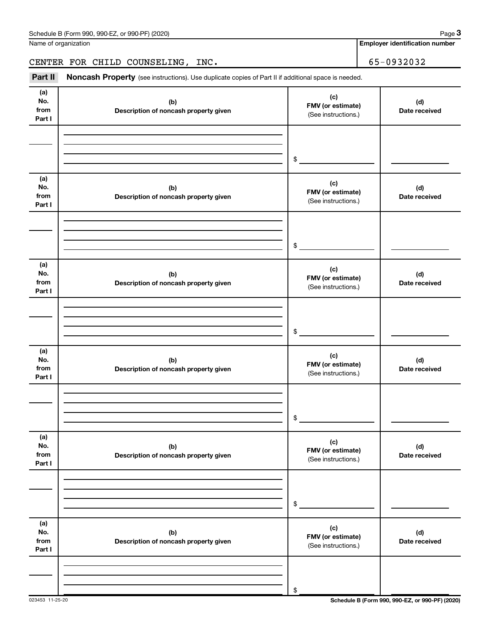**Employer identification number**

# CENTER FOR CHILD COUNSELING, INC. 65-0932032

| (a)<br>No.<br>from<br>Part I | (b)<br>Description of noncash property given | (c)<br>FMV (or estimate)<br>(See instructions.) | (d)<br>Date received |
|------------------------------|----------------------------------------------|-------------------------------------------------|----------------------|
|                              |                                              | \$                                              |                      |
| (a)<br>No.<br>from<br>Part I | (b)<br>Description of noncash property given | (c)<br>FMV (or estimate)<br>(See instructions.) | (d)<br>Date received |
|                              |                                              | \$                                              |                      |
| (a)<br>No.<br>from<br>Part I | (b)<br>Description of noncash property given | (c)<br>FMV (or estimate)<br>(See instructions.) | (d)<br>Date received |
|                              |                                              | \$                                              |                      |
| (a)<br>No.<br>from<br>Part I | (b)<br>Description of noncash property given | (c)<br>FMV (or estimate)<br>(See instructions.) | (d)<br>Date received |
|                              |                                              | \$                                              |                      |
| (a)<br>No.<br>from<br>Part I | (b)<br>Description of noncash property given | (c)<br>FMV (or estimate)<br>(See instructions.) | (d)<br>Date received |
|                              |                                              | \$                                              |                      |
| (a)<br>No.<br>from<br>Part I | (b)<br>Description of noncash property given | (c)<br>FMV (or estimate)<br>(See instructions.) | (d)<br>Date received |
|                              |                                              | \$                                              |                      |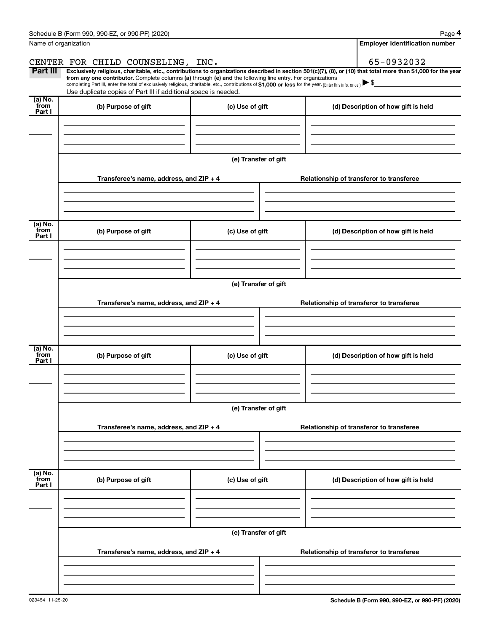|                           | Schedule B (Form 990, 990-EZ, or 990-PF) (2020)                                                                                                                                                                                                                                                 |                      | Page 4                                                                                                                                                         |
|---------------------------|-------------------------------------------------------------------------------------------------------------------------------------------------------------------------------------------------------------------------------------------------------------------------------------------------|----------------------|----------------------------------------------------------------------------------------------------------------------------------------------------------------|
|                           | Name of organization                                                                                                                                                                                                                                                                            |                      | <b>Employer identification number</b>                                                                                                                          |
|                           | CENTER FOR CHILD COUNSELING, INC.                                                                                                                                                                                                                                                               |                      | 65-0932032                                                                                                                                                     |
| Part III                  | from any one contributor. Complete columns (a) through (e) and the following line entry. For organizations<br>completing Part III, enter the total of exclusively religious, charitable, etc., contributions of \$1,000 or less for the year. (Enter this info. once.) $\blacktriangleright$ \$ |                      | Exclusively religious, charitable, etc., contributions to organizations described in section 501(c)(7), (8), or (10) that total more than \$1,000 for the year |
|                           | Use duplicate copies of Part III if additional space is needed.                                                                                                                                                                                                                                 |                      |                                                                                                                                                                |
| (a) No.<br>from<br>Part I | (b) Purpose of gift                                                                                                                                                                                                                                                                             | (c) Use of gift      | (d) Description of how gift is held                                                                                                                            |
|                           |                                                                                                                                                                                                                                                                                                 |                      |                                                                                                                                                                |
|                           |                                                                                                                                                                                                                                                                                                 | (e) Transfer of gift |                                                                                                                                                                |
|                           | Transferee's name, address, and ZIP + 4                                                                                                                                                                                                                                                         |                      | Relationship of transferor to transferee                                                                                                                       |
| (a) No.                   |                                                                                                                                                                                                                                                                                                 |                      |                                                                                                                                                                |
| from<br>Part I            | (b) Purpose of gift                                                                                                                                                                                                                                                                             | (c) Use of gift      | (d) Description of how gift is held                                                                                                                            |
|                           |                                                                                                                                                                                                                                                                                                 |                      |                                                                                                                                                                |
|                           |                                                                                                                                                                                                                                                                                                 | (e) Transfer of gift |                                                                                                                                                                |
|                           | Transferee's name, address, and ZIP + 4                                                                                                                                                                                                                                                         |                      | Relationship of transferor to transferee                                                                                                                       |
|                           |                                                                                                                                                                                                                                                                                                 |                      |                                                                                                                                                                |
| (a) No.<br>from<br>Part I | (b) Purpose of gift                                                                                                                                                                                                                                                                             | (c) Use of gift      | (d) Description of how gift is held                                                                                                                            |
|                           |                                                                                                                                                                                                                                                                                                 |                      |                                                                                                                                                                |
|                           |                                                                                                                                                                                                                                                                                                 | (e) Transfer of gift |                                                                                                                                                                |
|                           | Transferee's name, address, and ZIP + 4                                                                                                                                                                                                                                                         |                      | Relationship of transferor to transferee                                                                                                                       |
|                           |                                                                                                                                                                                                                                                                                                 |                      |                                                                                                                                                                |
| (a) No.<br>from<br>Part I | (b) Purpose of gift                                                                                                                                                                                                                                                                             | (c) Use of gift      | (d) Description of how gift is held                                                                                                                            |
|                           |                                                                                                                                                                                                                                                                                                 |                      |                                                                                                                                                                |
|                           |                                                                                                                                                                                                                                                                                                 | (e) Transfer of gift |                                                                                                                                                                |
|                           | Transferee's name, address, and ZIP + 4                                                                                                                                                                                                                                                         |                      | Relationship of transferor to transferee                                                                                                                       |
|                           |                                                                                                                                                                                                                                                                                                 |                      |                                                                                                                                                                |
|                           |                                                                                                                                                                                                                                                                                                 |                      |                                                                                                                                                                |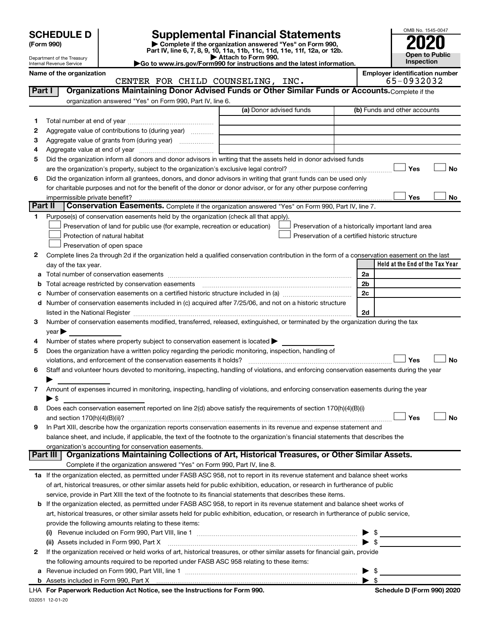| <b>SCHEDULE D</b> |  |
|-------------------|--|
|-------------------|--|

| (Form 990) |  |
|------------|--|
|------------|--|

# **SCHEDULE D Supplemental Financial Statements**<br> **Form 990 2020**<br> **Part IV** line 6.7.8.9.10, 11a, 11b, 11d, 11d, 11d, 11d, 11d, 12a, 0r, 12b

**(Form 990) | Complete if the organization answered "Yes" on Form 990, Part IV, line 6, 7, 8, 9, 10, 11a, 11b, 11c, 11d, 11e, 11f, 12a, or 12b.**

**Open to Public Inspection**

OMB No. 1545-0047

Department of the Treasury Internal Revenue Service

**| Attach to Form 990. |Go to www.irs.gov/Form990 for instructions and the latest information.**

|         | Name of the organization<br>CENTER FOR CHILD COUNSELING, INC.                                                                                  | <b>Employer identification number</b><br>65-0932032 |
|---------|------------------------------------------------------------------------------------------------------------------------------------------------|-----------------------------------------------------|
| Part I  | Organizations Maintaining Donor Advised Funds or Other Similar Funds or Accounts. Complete if the                                              |                                                     |
|         | organization answered "Yes" on Form 990, Part IV, line 6.                                                                                      |                                                     |
|         | (a) Donor advised funds                                                                                                                        | (b) Funds and other accounts                        |
|         |                                                                                                                                                |                                                     |
| 1       |                                                                                                                                                |                                                     |
| 2       | Aggregate value of contributions to (during year)                                                                                              |                                                     |
| 3       | Aggregate value of grants from (during year)                                                                                                   |                                                     |
| 4       |                                                                                                                                                |                                                     |
| 5       | Did the organization inform all donors and donor advisors in writing that the assets held in donor advised funds                               |                                                     |
|         |                                                                                                                                                | Yes<br><b>No</b>                                    |
| 6       | Did the organization inform all grantees, donors, and donor advisors in writing that grant funds can be used only                              |                                                     |
|         | for charitable purposes and not for the benefit of the donor or donor advisor, or for any other purpose conferring                             |                                                     |
|         |                                                                                                                                                | Yes<br>No                                           |
| Part II | Conservation Easements. Complete if the organization answered "Yes" on Form 990, Part IV, line 7.                                              |                                                     |
| 1       | Purpose(s) of conservation easements held by the organization (check all that apply).                                                          |                                                     |
|         | Preservation of land for public use (for example, recreation or education)                                                                     | Preservation of a historically important land area  |
|         | Protection of natural habitat                                                                                                                  | Preservation of a certified historic structure      |
|         | Preservation of open space                                                                                                                     |                                                     |
| 2       | Complete lines 2a through 2d if the organization held a qualified conservation contribution in the form of a conservation easement on the last |                                                     |
|         | day of the tax year.                                                                                                                           | Held at the End of the Tax Year                     |
|         |                                                                                                                                                | 2a                                                  |
| b       |                                                                                                                                                | 2 <sub>b</sub>                                      |
| с       |                                                                                                                                                | 2c                                                  |
|         | d Number of conservation easements included in (c) acquired after 7/25/06, and not on a historic structure                                     |                                                     |
|         |                                                                                                                                                | 2d                                                  |
| 3       | Number of conservation easements modified, transferred, released, extinguished, or terminated by the organization during the tax               |                                                     |
|         | year                                                                                                                                           |                                                     |
| 4       | Number of states where property subject to conservation easement is located $\blacktriangleright$                                              |                                                     |
| 5       | Does the organization have a written policy regarding the periodic monitoring, inspection, handling of                                         |                                                     |
|         | violations, and enforcement of the conservation easements it holds?                                                                            | Yes<br><b>No</b>                                    |
| 6       | Staff and volunteer hours devoted to monitoring, inspecting, handling of violations, and enforcing conservation easements during the year      |                                                     |
|         |                                                                                                                                                |                                                     |
| 7       | Amount of expenses incurred in monitoring, inspecting, handling of violations, and enforcing conservation easements during the year            |                                                     |
|         | $\blacktriangleright$ \$                                                                                                                       |                                                     |
| 8       | Does each conservation easement reported on line $2(d)$ above satisfy the requirements of section 170(h)(4)(B)(i)                              |                                                     |
|         |                                                                                                                                                | Yes<br>No                                           |
|         | In Part XIII, describe how the organization reports conservation easements in its revenue and expense statement and                            |                                                     |
|         | balance sheet, and include, if applicable, the text of the footnote to the organization's financial statements that describes the              |                                                     |
|         | organization's accounting for conservation easements.                                                                                          |                                                     |
|         | Organizations Maintaining Collections of Art, Historical Treasures, or Other Similar Assets.<br>Part III                                       |                                                     |
|         | Complete if the organization answered "Yes" on Form 990, Part IV, line 8.                                                                      |                                                     |
|         | 1a If the organization elected, as permitted under FASB ASC 958, not to report in its revenue statement and balance sheet works                |                                                     |
|         | of art, historical treasures, or other similar assets held for public exhibition, education, or research in furtherance of public              |                                                     |
|         | service, provide in Part XIII the text of the footnote to its financial statements that describes these items.                                 |                                                     |
|         | <b>b</b> If the organization elected, as permitted under FASB ASC 958, to report in its revenue statement and balance sheet works of           |                                                     |
|         | art, historical treasures, or other similar assets held for public exhibition, education, or research in furtherance of public service,        |                                                     |
|         | provide the following amounts relating to these items:                                                                                         |                                                     |
|         |                                                                                                                                                |                                                     |
|         | (ii) Assets included in Form 990, Part X                                                                                                       | $\blacktriangleright$ s                             |
| 2       | If the organization received or held works of art, historical treasures, or other similar assets for financial gain, provide                   |                                                     |
|         | the following amounts required to be reported under FASB ASC 958 relating to these items:                                                      |                                                     |
| a       |                                                                                                                                                | $\blacktriangleright$ s                             |
|         |                                                                                                                                                |                                                     |
|         |                                                                                                                                                |                                                     |

| Schedule D (Form 990) 2020 |  |  |
|----------------------------|--|--|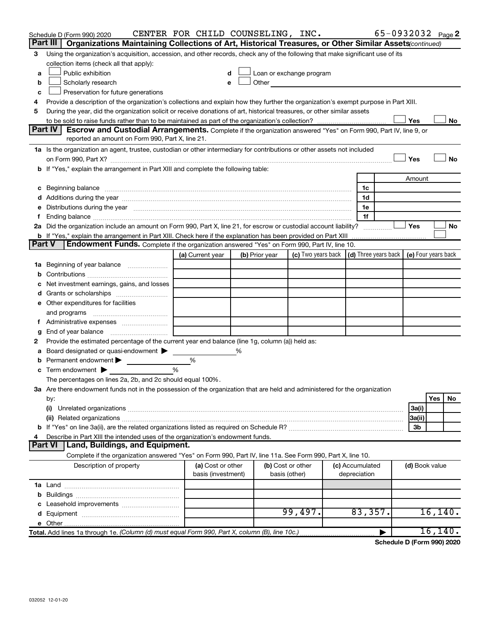|               | Schedule D (Form 990) 2020                                                                                                                                                                                                     | CENTER FOR CHILD COUNSELING, INC.       |                |                                    |                                                                             |                                 | 65-0932032 Page 2 |                |          |    |
|---------------|--------------------------------------------------------------------------------------------------------------------------------------------------------------------------------------------------------------------------------|-----------------------------------------|----------------|------------------------------------|-----------------------------------------------------------------------------|---------------------------------|-------------------|----------------|----------|----|
|               | Part III  <br>Organizations Maintaining Collections of Art, Historical Treasures, or Other Similar Assets (continued)                                                                                                          |                                         |                |                                    |                                                                             |                                 |                   |                |          |    |
| 3             | Using the organization's acquisition, accession, and other records, check any of the following that make significant use of its                                                                                                |                                         |                |                                    |                                                                             |                                 |                   |                |          |    |
|               | collection items (check all that apply):                                                                                                                                                                                       |                                         |                |                                    |                                                                             |                                 |                   |                |          |    |
| a             | Public exhibition                                                                                                                                                                                                              |                                         |                |                                    | Loan or exchange program                                                    |                                 |                   |                |          |    |
| b             | Scholarly research                                                                                                                                                                                                             | e                                       |                |                                    | <b>Other Community</b>                                                      |                                 |                   |                |          |    |
| c             | Preservation for future generations                                                                                                                                                                                            |                                         |                |                                    |                                                                             |                                 |                   |                |          |    |
| 4             | Provide a description of the organization's collections and explain how they further the organization's exempt purpose in Part XIII.                                                                                           |                                         |                |                                    |                                                                             |                                 |                   |                |          |    |
| 5             | During the year, did the organization solicit or receive donations of art, historical treasures, or other similar assets                                                                                                       |                                         |                |                                    |                                                                             |                                 |                   |                |          |    |
|               | Part IV                                                                                                                                                                                                                        |                                         |                |                                    |                                                                             |                                 |                   | Yes            |          | No |
|               | Escrow and Custodial Arrangements. Complete if the organization answered "Yes" on Form 990, Part IV, line 9, or<br>reported an amount on Form 990, Part X, line 21.                                                            |                                         |                |                                    |                                                                             |                                 |                   |                |          |    |
|               | 1a Is the organization an agent, trustee, custodian or other intermediary for contributions or other assets not included                                                                                                       |                                         |                |                                    |                                                                             |                                 |                   |                |          |    |
|               |                                                                                                                                                                                                                                |                                         |                |                                    |                                                                             |                                 |                   | Yes            |          | No |
|               | b If "Yes," explain the arrangement in Part XIII and complete the following table:                                                                                                                                             |                                         |                |                                    |                                                                             |                                 |                   |                |          |    |
|               |                                                                                                                                                                                                                                |                                         |                |                                    |                                                                             |                                 |                   | Amount         |          |    |
|               | c Beginning balance measurements and the contract of the contract of the contract of the contract of the contract of the contract of the contract of the contract of the contract of the contract of the contract of the contr |                                         |                |                                    |                                                                             | 1c                              |                   |                |          |    |
|               |                                                                                                                                                                                                                                |                                         |                |                                    |                                                                             | 1d                              |                   |                |          |    |
|               | e Distributions during the year manufactured and continuum control of the control of the control of the state of the control of the control of the control of the control of the control of the control of the control of the  |                                         |                |                                    |                                                                             | 1e                              |                   |                |          |    |
| f.            |                                                                                                                                                                                                                                |                                         |                |                                    |                                                                             | 1f                              |                   |                |          |    |
|               | 2a Did the organization include an amount on Form 990, Part X, line 21, for escrow or custodial account liability?                                                                                                             |                                         |                |                                    |                                                                             |                                 |                   | Yes            |          | No |
|               |                                                                                                                                                                                                                                |                                         |                |                                    |                                                                             |                                 |                   |                |          |    |
| <b>Part V</b> | Endowment Funds. Complete if the organization answered "Yes" on Form 990, Part IV, line 10.                                                                                                                                    |                                         |                |                                    |                                                                             |                                 |                   |                |          |    |
|               |                                                                                                                                                                                                                                | (a) Current year                        | (b) Prior year |                                    | (c) Two years back $\vert$ (d) Three years back $\vert$ (e) Four years back |                                 |                   |                |          |    |
|               | 1a Beginning of year balance                                                                                                                                                                                                   |                                         |                |                                    |                                                                             |                                 |                   |                |          |    |
|               |                                                                                                                                                                                                                                |                                         |                |                                    |                                                                             |                                 |                   |                |          |    |
|               | c Net investment earnings, gains, and losses                                                                                                                                                                                   |                                         |                |                                    |                                                                             |                                 |                   |                |          |    |
|               |                                                                                                                                                                                                                                |                                         |                |                                    |                                                                             |                                 |                   |                |          |    |
|               | e Other expenditures for facilities                                                                                                                                                                                            |                                         |                |                                    |                                                                             |                                 |                   |                |          |    |
|               | and programs                                                                                                                                                                                                                   |                                         |                |                                    |                                                                             |                                 |                   |                |          |    |
| f.            | Administrative expenses <i></i>                                                                                                                                                                                                |                                         |                |                                    |                                                                             |                                 |                   |                |          |    |
| g             | End of year balance <i>manually contained</i>                                                                                                                                                                                  |                                         |                |                                    |                                                                             |                                 |                   |                |          |    |
| 2             | Provide the estimated percentage of the current year end balance (line 1g, column (a)) held as:                                                                                                                                |                                         |                |                                    |                                                                             |                                 |                   |                |          |    |
| a             | Board designated or quasi-endowment                                                                                                                                                                                            |                                         | %              |                                    |                                                                             |                                 |                   |                |          |    |
|               | <b>b</b> Permanent endowment $\blacktriangleright$                                                                                                                                                                             | %                                       |                |                                    |                                                                             |                                 |                   |                |          |    |
|               | <b>c</b> Term endowment $\blacktriangleright$                                                                                                                                                                                  | %                                       |                |                                    |                                                                             |                                 |                   |                |          |    |
|               | The percentages on lines 2a, 2b, and 2c should equal 100%.                                                                                                                                                                     |                                         |                |                                    |                                                                             |                                 |                   |                |          |    |
|               | 3a Are there endowment funds not in the possession of the organization that are held and administered for the organization                                                                                                     |                                         |                |                                    |                                                                             |                                 |                   |                |          |    |
|               | by:                                                                                                                                                                                                                            |                                         |                |                                    |                                                                             |                                 |                   |                | Yes      | No |
|               | (i)                                                                                                                                                                                                                            |                                         |                |                                    |                                                                             |                                 |                   | 3a(i)          |          |    |
|               |                                                                                                                                                                                                                                |                                         |                |                                    |                                                                             |                                 |                   | 3a(ii)         |          |    |
|               |                                                                                                                                                                                                                                |                                         |                |                                    |                                                                             |                                 |                   | 3b             |          |    |
| 4             | Describe in Part XIII the intended uses of the organization's endowment funds.                                                                                                                                                 |                                         |                |                                    |                                                                             |                                 |                   |                |          |    |
|               | Land, Buildings, and Equipment.<br><b>Part VI</b>                                                                                                                                                                              |                                         |                |                                    |                                                                             |                                 |                   |                |          |    |
|               | Complete if the organization answered "Yes" on Form 990, Part IV, line 11a. See Form 990, Part X, line 10.                                                                                                                     |                                         |                |                                    |                                                                             |                                 |                   |                |          |    |
|               | Description of property                                                                                                                                                                                                        | (a) Cost or other<br>basis (investment) |                | (b) Cost or other<br>basis (other) |                                                                             | (c) Accumulated<br>depreciation |                   | (d) Book value |          |    |
|               |                                                                                                                                                                                                                                |                                         |                |                                    |                                                                             |                                 |                   |                |          |    |
|               |                                                                                                                                                                                                                                |                                         |                |                                    |                                                                             |                                 |                   |                |          |    |
|               |                                                                                                                                                                                                                                |                                         |                |                                    |                                                                             |                                 |                   |                |          |    |
|               |                                                                                                                                                                                                                                |                                         |                |                                    | 99,497.                                                                     | 83,357.                         |                   |                | 16, 140. |    |
|               |                                                                                                                                                                                                                                |                                         |                |                                    |                                                                             |                                 |                   |                |          |    |
|               | Total. Add lines 1a through 1e. (Column (d) must equal Form 990, Part X, column (B), line 10c.)                                                                                                                                |                                         |                |                                    |                                                                             |                                 |                   |                | 16, 140. |    |

**Schedule D (Form 990) 2020**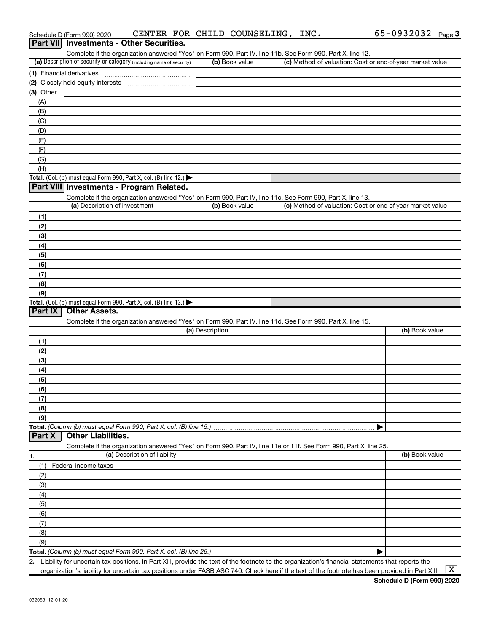|                  | Schedule D (Form 990) 2020    | CENTER FOR CHILD COUNSELING, INC.                                    |                 |                |                                                                                                                   | $65 - 0932032$ Page 3 |  |
|------------------|-------------------------------|----------------------------------------------------------------------|-----------------|----------------|-------------------------------------------------------------------------------------------------------------------|-----------------------|--|
| <b>Part VIII</b> |                               | <b>Investments - Other Securities.</b>                               |                 |                |                                                                                                                   |                       |  |
|                  |                               |                                                                      |                 |                | Complete if the organization answered "Yes" on Form 990, Part IV, line 11b. See Form 990, Part X, line 12.        |                       |  |
|                  |                               | (a) Description of security or category (including name of security) |                 | (b) Book value | (c) Method of valuation: Cost or end-of-year market value                                                         |                       |  |
|                  | (1) Financial derivatives     |                                                                      |                 |                |                                                                                                                   |                       |  |
|                  |                               |                                                                      |                 |                |                                                                                                                   |                       |  |
| $(3)$ Other      |                               |                                                                      |                 |                |                                                                                                                   |                       |  |
| (A)              |                               |                                                                      |                 |                |                                                                                                                   |                       |  |
| (B)              |                               |                                                                      |                 |                |                                                                                                                   |                       |  |
| (C)              |                               |                                                                      |                 |                |                                                                                                                   |                       |  |
| (D)              |                               |                                                                      |                 |                |                                                                                                                   |                       |  |
| (E)              |                               |                                                                      |                 |                |                                                                                                                   |                       |  |
| (F)              |                               |                                                                      |                 |                |                                                                                                                   |                       |  |
| (G)              |                               |                                                                      |                 |                |                                                                                                                   |                       |  |
| (H)              |                               |                                                                      |                 |                |                                                                                                                   |                       |  |
|                  |                               | Total. (Col. (b) must equal Form 990, Part X, col. (B) line 12.)     |                 |                |                                                                                                                   |                       |  |
|                  |                               | Part VIII Investments - Program Related.                             |                 |                |                                                                                                                   |                       |  |
|                  |                               |                                                                      |                 |                | Complete if the organization answered "Yes" on Form 990, Part IV, line 11c. See Form 990, Part X, line 13.        |                       |  |
|                  | (a) Description of investment |                                                                      |                 | (b) Book value | (c) Method of valuation: Cost or end-of-year market value                                                         |                       |  |
| (1)              |                               |                                                                      |                 |                |                                                                                                                   |                       |  |
| (2)              |                               |                                                                      |                 |                |                                                                                                                   |                       |  |
| (3)              |                               |                                                                      |                 |                |                                                                                                                   |                       |  |
| (4)              |                               |                                                                      |                 |                |                                                                                                                   |                       |  |
| (5)              |                               |                                                                      |                 |                |                                                                                                                   |                       |  |
| (6)              |                               |                                                                      |                 |                |                                                                                                                   |                       |  |
| (7)              |                               |                                                                      |                 |                |                                                                                                                   |                       |  |
| (8)              |                               |                                                                      |                 |                |                                                                                                                   |                       |  |
| (9)              |                               |                                                                      |                 |                |                                                                                                                   |                       |  |
|                  |                               | Total. (Col. (b) must equal Form 990, Part X, col. (B) line 13.)     |                 |                |                                                                                                                   |                       |  |
| Part IX          | <b>Other Assets.</b>          |                                                                      |                 |                |                                                                                                                   |                       |  |
|                  |                               |                                                                      |                 |                | Complete if the organization answered "Yes" on Form 990, Part IV, line 11d. See Form 990, Part X, line 15.        |                       |  |
|                  |                               |                                                                      | (a) Description |                |                                                                                                                   | (b) Book value        |  |
| (1)              |                               |                                                                      |                 |                |                                                                                                                   |                       |  |
| (2)              |                               |                                                                      |                 |                |                                                                                                                   |                       |  |
| (3)              |                               |                                                                      |                 |                |                                                                                                                   |                       |  |
| (4)              |                               |                                                                      |                 |                |                                                                                                                   |                       |  |
| (5)              |                               |                                                                      |                 |                |                                                                                                                   |                       |  |
| (6)              |                               |                                                                      |                 |                |                                                                                                                   |                       |  |
| (7)              |                               |                                                                      |                 |                |                                                                                                                   |                       |  |
| (8)              |                               |                                                                      |                 |                |                                                                                                                   |                       |  |
| (9)              |                               |                                                                      |                 |                |                                                                                                                   |                       |  |
|                  |                               | Total. (Column (b) must equal Form 990, Part X, col. (B) line 15.)   |                 |                |                                                                                                                   |                       |  |
| Part X           | <b>Other Liabilities.</b>     |                                                                      |                 |                |                                                                                                                   |                       |  |
|                  |                               |                                                                      |                 |                | Complete if the organization answered "Yes" on Form 990, Part IV, line 11e or 11f. See Form 990, Part X, line 25. |                       |  |
| <u>1.</u>        |                               | (a) Description of liability                                         |                 |                |                                                                                                                   | (b) Book value        |  |
| (1)              | Federal income taxes          |                                                                      |                 |                |                                                                                                                   |                       |  |
| (2)              |                               |                                                                      |                 |                |                                                                                                                   |                       |  |
| (3)              |                               |                                                                      |                 |                |                                                                                                                   |                       |  |
| (4)              |                               |                                                                      |                 |                |                                                                                                                   |                       |  |
| (5)              |                               |                                                                      |                 |                |                                                                                                                   |                       |  |
| (6)              |                               |                                                                      |                 |                |                                                                                                                   |                       |  |
| (7)              |                               |                                                                      |                 |                |                                                                                                                   |                       |  |
| (8)              |                               |                                                                      |                 |                |                                                                                                                   |                       |  |
| (9)              |                               |                                                                      |                 |                |                                                                                                                   |                       |  |
|                  |                               | Total. (Column (b) must equal Form 990, Part X, col. (B) line 25.)   |                 |                |                                                                                                                   |                       |  |
|                  |                               |                                                                      |                 |                |                                                                                                                   |                       |  |

**2.** Liability for uncertain tax positions. In Part XIII, provide the text of the footnote to the organization's financial statements that reports the organization's liability for uncertain tax positions under FASB ASC 740. Check here if the text of the footnote has been provided in Part XIII...

 $\boxed{\text{X}}$ 

65-0932032 Page 3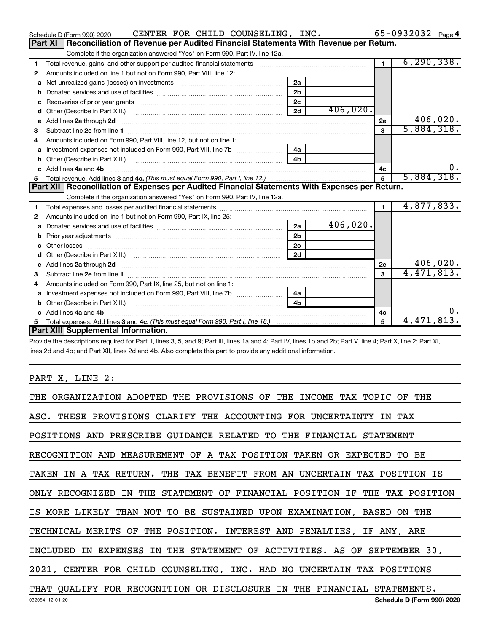|    | CENTER FOR CHILD COUNSELING, INC.<br>Schedule D (Form 990) 2020                                                                                                                                                                      |                |          |                | 65-0932032 Page 4 |
|----|--------------------------------------------------------------------------------------------------------------------------------------------------------------------------------------------------------------------------------------|----------------|----------|----------------|-------------------|
|    | Reconciliation of Revenue per Audited Financial Statements With Revenue per Return.<br>Part XI                                                                                                                                       |                |          |                |                   |
|    | Complete if the organization answered "Yes" on Form 990, Part IV, line 12a.                                                                                                                                                          |                |          |                |                   |
| 1  |                                                                                                                                                                                                                                      |                |          | $\blacksquare$ | 6, 290, 338.      |
| 2  | Amounts included on line 1 but not on Form 990, Part VIII, line 12:                                                                                                                                                                  |                |          |                |                   |
| a  |                                                                                                                                                                                                                                      | 2a             |          |                |                   |
|    |                                                                                                                                                                                                                                      | 2 <sub>b</sub> |          |                |                   |
| с  |                                                                                                                                                                                                                                      | 2c             |          |                |                   |
| d  |                                                                                                                                                                                                                                      | 2d             | 406,020. |                |                   |
| е  | Add lines 2a through 2d <b>Martin Martin Martin Martin Martin Martin Martin Martin Martin Martin Martin Martin Martin Martin Martin Martin Martin Martin Martin Martin Martin Martin Martin Martin Martin Martin Martin Martin M</b> |                |          | 2e             | 406,020.          |
| 3  |                                                                                                                                                                                                                                      |                |          | $\mathbf{3}$   | 5,884,318.        |
|    | Amounts included on Form 990, Part VIII, line 12, but not on line 1:                                                                                                                                                                 |                |          |                |                   |
|    | Investment expenses not included on Form 990, Part VIII, line 7b [11, 111, 111, 111]                                                                                                                                                 | 4a             |          |                |                   |
| b  |                                                                                                                                                                                                                                      | 4 <sub>h</sub> |          |                |                   |
| C. | Add lines 4a and 4b                                                                                                                                                                                                                  |                |          | 4c             | υ.                |
| 5  |                                                                                                                                                                                                                                      |                |          | 5              | 5,884,318.        |
|    | Part XII   Reconciliation of Expenses per Audited Financial Statements With Expenses per Return.                                                                                                                                     |                |          |                |                   |
|    |                                                                                                                                                                                                                                      |                |          |                |                   |
|    | Complete if the organization answered "Yes" on Form 990, Part IV, line 12a.                                                                                                                                                          |                |          |                |                   |
| 1  |                                                                                                                                                                                                                                      |                |          | $\blacksquare$ | 4,877,833.        |
| 2  | Amounts included on line 1 but not on Form 990, Part IX, line 25:                                                                                                                                                                    |                |          |                |                   |
| a  |                                                                                                                                                                                                                                      | 2a             | 406,020. |                |                   |
| b  |                                                                                                                                                                                                                                      | 2 <sub>b</sub> |          |                |                   |
| c  |                                                                                                                                                                                                                                      | 2 <sub>c</sub> |          |                |                   |
|    |                                                                                                                                                                                                                                      | 2d             |          |                |                   |
| е  | Add lines 2a through 2d <b>[10]</b> University of the state of the state of the state of the state of the state of the state of the state of the state of the state of the state of the state of the state of the state of the stat  |                |          | 2e             | 406,020.          |
| 3  |                                                                                                                                                                                                                                      |                |          | $\mathbf{a}$   | 4,471,813.        |
| 4  | Amounts included on Form 990, Part IX, line 25, but not on line 1:                                                                                                                                                                   |                |          |                |                   |
| a  | Investment expenses not included on Form 990, Part VIII, line 7b [                                                                                                                                                                   | 4a             |          |                |                   |
| b  |                                                                                                                                                                                                                                      | 4 <sub>h</sub> |          |                |                   |
| C. | Add lines 4a and 4b                                                                                                                                                                                                                  |                |          | 4с             | о.                |
|    | Part XIII Supplemental Information.                                                                                                                                                                                                  |                |          | $\mathbf{F}$   | 4,471,813.        |

Provide the descriptions required for Part II, lines 3, 5, and 9; Part III, lines 1a and 4; Part IV, lines 1b and 2b; Part V, line 4; Part X, line 2; Part XI, lines 2d and 4b; and Part XII, lines 2d and 4b. Also complete this part to provide any additional information.

# PART X, LINE 2:

| THE ORGANIZATION ADOPTED THE PROVISIONS OF THE INCOME TAX TOPIC OF THE     |
|----------------------------------------------------------------------------|
| ASC. THESE PROVISIONS CLARIFY THE ACCOUNTING FOR UNCERTAINTY IN TAX        |
| POSITIONS AND PRESCRIBE GUIDANCE RELATED TO THE FINANCIAL STATEMENT        |
| RECOGNITION AND MEASUREMENT OF A TAX POSITION TAKEN OR EXPECTED TO BE      |
| TAKEN IN A TAX RETURN. THE TAX BENEFIT FROM AN UNCERTAIN TAX POSITION IS   |
| ONLY RECOGNIZED IN THE STATEMENT OF FINANCIAL POSITION IF THE TAX POSITION |
| IS MORE LIKELY THAN NOT TO BE SUSTAINED UPON EXAMINATION, BASED ON THE     |
| TECHNICAL MERITS OF THE POSITION. INTEREST AND PENALTIES, IF ANY, ARE      |
| INCLUDED IN EXPENSES IN THE STATEMENT OF ACTIVITIES. AS OF SEPTEMBER 30,   |
| 2021, CENTER FOR CHILD COUNSELING, INC. HAD NO UNCERTAIN TAX POSITIONS     |
| THAT QUALIFY FOR RECOGNITION OR DISCLOSURE IN THE FINANCIAL STATEMENTS.    |
| Schedule D (Form 990) 2020<br>032054 12-01-20                              |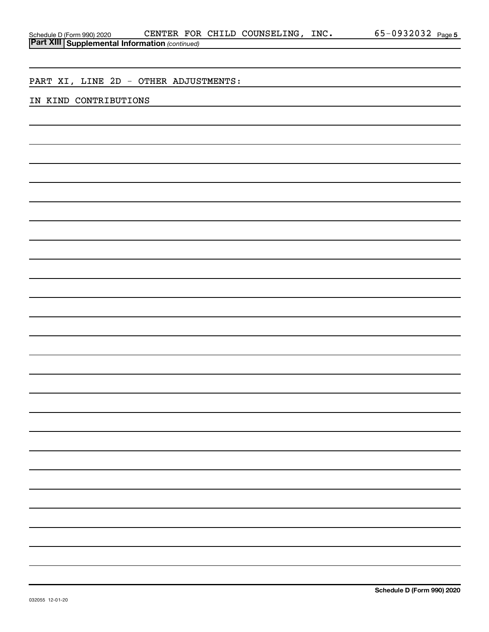| <b>Part XIII Supplemental Information (continued)</b> |  |  |
|-------------------------------------------------------|--|--|
|                                                       |  |  |
| PART XI, LINE 2D - OTHER ADJUSTMENTS:                 |  |  |
| IN KIND CONTRIBUTIONS                                 |  |  |
|                                                       |  |  |
|                                                       |  |  |
|                                                       |  |  |
|                                                       |  |  |
|                                                       |  |  |
|                                                       |  |  |
|                                                       |  |  |
|                                                       |  |  |
|                                                       |  |  |
|                                                       |  |  |
|                                                       |  |  |
|                                                       |  |  |
|                                                       |  |  |
|                                                       |  |  |
|                                                       |  |  |
|                                                       |  |  |
|                                                       |  |  |
|                                                       |  |  |
|                                                       |  |  |
|                                                       |  |  |
|                                                       |  |  |
|                                                       |  |  |
|                                                       |  |  |
|                                                       |  |  |
|                                                       |  |  |

Schedule D (Form 990) 2020  $\,$  CENTER FOR CHILD COUNSELING, INC.  $\,$  65-0932032  $_{\rm Page}$ 

65-0932032 Page 5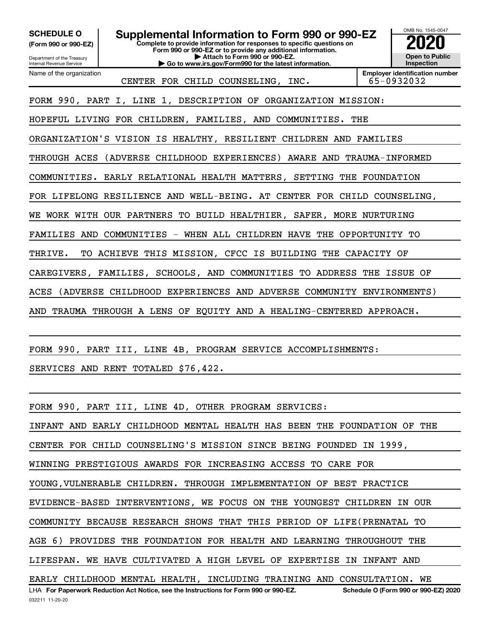Internal Revenue Service

Department of the Treasury **(Form 990 or 990-EZ)**

Name of the organization

**SCHEDULE O** Supplemental Information to Form 990 or 990-EZ 2020<br>(Form 990 or 990-EZ) Complete to provide information for responses to specific questions on

**Complete to provide information for responses to specific questions on Form 990 or 990-EZ or to provide any additional information. | Attach to Form 990 or 990-EZ.**

**| Go to www.irs.gov/Form990 for the latest information.**



CENTER FOR CHILD COUNSELING, INC. | 65-0932032

**Employer identification number**

FORM 990, PART I, LINE 1, DESCRIPTION OF ORGANIZATION MISSION:

HOPEFUL LIVING FOR CHILDREN, FAMILIES, AND COMMUNITIES. THE

ORGANIZATION'S VISION IS HEALTHY, RESILIENT CHILDREN AND FAMILIES

THROUGH ACES (ADVERSE CHILDHOOD EXPERIENCES) AWARE AND TRAUMA-INFORMED

COMMUNITIES. EARLY RELATIONAL HEALTH MATTERS, SETTING THE FOUNDATION

FOR LIFELONG RESILIENCE AND WELL-BEING. AT CENTER FOR CHILD COUNSELING,

WE WORK WITH OUR PARTNERS TO BUILD HEALTHIER, SAFER, MORE NURTURING

FAMILIES AND COMMUNITIES - WHEN ALL CHILDREN HAVE THE OPPORTUNITY TO

THRIVE. TO ACHIEVE THIS MISSION, CFCC IS BUILDING THE CAPACITY OF

CAREGIVERS, FAMILIES, SCHOOLS, AND COMMUNITIES TO ADDRESS THE ISSUE OF

ACES (ADVERSE CHILDHOOD EXPERIENCES AND ADVERSE COMMUNITY ENVIRONMENTS)

AND TRAUMA THROUGH A LENS OF EQUITY AND A HEALING-CENTERED APPROACH.

FORM 990, PART III, LINE 4B, PROGRAM SERVICE ACCOMPLISHMENTS:

SERVICES AND RENT TOTALED \$76,422.

FORM 990, PART III, LINE 4D, OTHER PROGRAM SERVICES:

INFANT AND EARLY CHILDHOOD MENTAL HEALTH HAS BEEN THE FOUNDATION OF THE

CENTER FOR CHILD COUNSELING'S MISSION SINCE BEING FOUNDED IN 1999,

WINNING PRESTIGIOUS AWARDS FOR INCREASING ACCESS TO CARE FOR

YOUNG,VULNERABLE CHILDREN. THROUGH IMPLEMENTATION OF BEST PRACTICE

EVIDENCE-BASED INTERVENTIONS, WE FOCUS ON THE YOUNGEST CHILDREN IN OUR

COMMUNITY BECAUSE RESEARCH SHOWS THAT THIS PERIOD OF LIFE(PRENATAL TO

AGE 6) PROVIDES THE FOUNDATION FOR HEALTH AND LEARNING THROUGHOUT THE

LIFESPAN. WE HAVE CULTIVATED A HIGH LEVEL OF EXPERTISE IN INFANT AND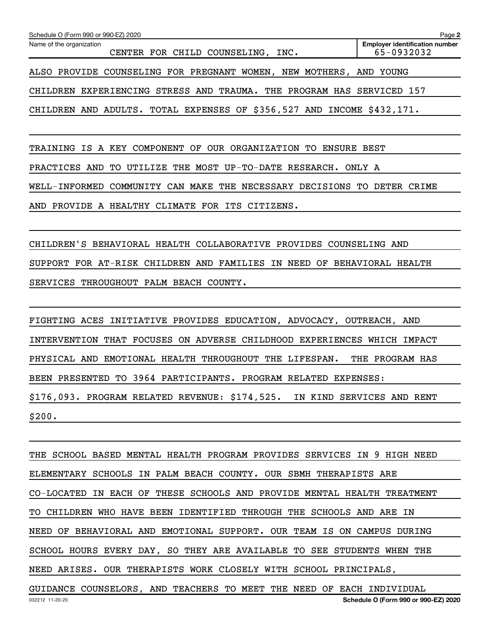| Schedule O (Form 990 or 990-EZ) 2020                                   | Page 2                                              |
|------------------------------------------------------------------------|-----------------------------------------------------|
| Name of the organization<br>CENTER FOR CHILD COUNSELING, INC.          | <b>Employer identification number</b><br>65-0932032 |
| ALSO PROVIDE COUNSELING FOR PREGNANT WOMEN, NEW MOTHERS,               | AND YOUNG                                           |
| CHILDREN EXPERIENCING STRESS AND TRAUMA. THE PROGRAM HAS SERVICED 157  |                                                     |
| CHILDREN AND ADULTS. TOTAL EXPENSES OF \$356,527 AND INCOME \$432,171. |                                                     |
|                                                                        |                                                     |

TRAINING IS A KEY COMPONENT OF OUR ORGANIZATION TO ENSURE BEST

PRACTICES AND TO UTILIZE THE MOST UP-TO-DATE RESEARCH. ONLY A

WELL-INFORMED COMMUNITY CAN MAKE THE NECESSARY DECISIONS TO DETER CRIME

AND PROVIDE A HEALTHY CLIMATE FOR ITS CITIZENS.

CHILDREN'S BEHAVIORAL HEALTH COLLABORATIVE PROVIDES COUNSELING AND SUPPORT FOR AT-RISK CHILDREN AND FAMILIES IN NEED OF BEHAVIORAL HEALTH SERVICES THROUGHOUT PALM BEACH COUNTY.

FIGHTING ACES INITIATIVE PROVIDES EDUCATION, ADVOCACY, OUTREACH, AND INTERVENTION THAT FOCUSES ON ADVERSE CHILDHOOD EXPERIENCES WHICH IMPACT PHYSICAL AND EMOTIONAL HEALTH THROUGHOUT THE LIFESPAN. THE PROGRAM HAS BEEN PRESENTED TO 3964 PARTICIPANTS. PROGRAM RELATED EXPENSES: \$176,093. PROGRAM RELATED REVENUE: \$174,525. IN KIND SERVICES AND RENT \$200.

THE SCHOOL BASED MENTAL HEALTH PROGRAM PROVIDES SERVICES IN 9 HIGH NEED ELEMENTARY SCHOOLS IN PALM BEACH COUNTY. OUR SBMH THERAPISTS ARE CO-LOCATED IN EACH OF THESE SCHOOLS AND PROVIDE MENTAL HEALTH TREATMENT TO CHILDREN WHO HAVE BEEN IDENTIFIED THROUGH THE SCHOOLS AND ARE IN NEED OF BEHAVIORAL AND EMOTIONAL SUPPORT. OUR TEAM IS ON CAMPUS DURING SCHOOL HOURS EVERY DAY, SO THEY ARE AVAILABLE TO SEE STUDENTS WHEN THE NEED ARISES. OUR THERAPISTS WORK CLOSELY WITH SCHOOL PRINCIPALS, GUIDANCE COUNSELORS, AND TEACHERS TO MEET THE NEED OF EACH INDIVIDUAL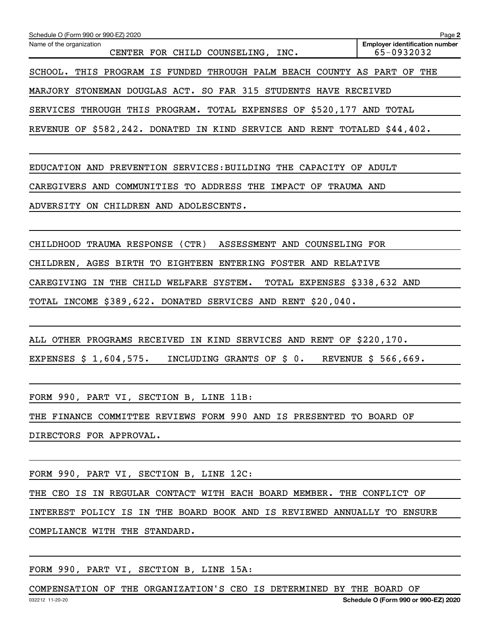| Schedule O (Form 990 or 990-EZ) 2020                                           | Page 2                                              |
|--------------------------------------------------------------------------------|-----------------------------------------------------|
| Name of the organization<br>CENTER FOR CHILD COUNSELING, INC.                  | <b>Employer identification number</b><br>65-0932032 |
| THIS PROGRAM IS FUNDED THROUGH PALM BEACH COUNTY AS PART<br>SCHOOL.            | THE<br>OF                                           |
| STONEMAN DOUGLAS ACT. SO FAR 315 STUDENTS HAVE RECEIVED<br>MARJORY             |                                                     |
| THROUGH THIS PROGRAM. TOTAL EXPENSES OF \$520,177 AND TOTAL<br><b>SERVICES</b> |                                                     |
| REVENUE OF \$582,242. DONATED IN KIND SERVICE AND RENT TOTALED \$44,402.       |                                                     |
|                                                                                |                                                     |
| CAPACITY<br>EDUCATION AND PREVENTION SERVICES: BUILDING THE<br>OF              | ADULT                                               |
| CAREGIVERS AND COMMUNITIES TO ADDRESS<br>IMPACT<br>THE<br>OF                   | <b>TRAUMA AND</b>                                   |
| ADVERSITY<br>ON CHILDREN AND ADOLESCENTS.                                      |                                                     |
|                                                                                |                                                     |
| CHILDHOOD TRAUMA RESPONSE<br>(CTR)<br>ASSESSMENT AND<br>COUNSELING FOR         |                                                     |
| CHILDREN, AGES BIRTH TO EIGHTEEN ENTERING FOSTER AND RELATIVE                  |                                                     |

TOTAL INCOME \$389,622. DONATED SERVICES AND RENT \$20,040.

CAREGIVING IN THE CHILD WELFARE SYSTEM. TOTAL EXPENSES \$338,632 AND

ALL OTHER PROGRAMS RECEIVED IN KIND SERVICES AND RENT OF \$220,170.

EXPENSES \$ 1,604,575. INCLUDING GRANTS OF \$ 0. REVENUE \$ 566,669.

FORM 990, PART VI, SECTION B, LINE 11B:

THE FINANCE COMMITTEE REVIEWS FORM 990 AND IS PRESENTED TO BOARD OF

DIRECTORS FOR APPROVAL.

FORM 990, PART VI, SECTION B, LINE 12C:

THE CEO IS IN REGULAR CONTACT WITH EACH BOARD MEMBER. THE CONFLICT OF

INTEREST POLICY IS IN THE BOARD BOOK AND IS REVIEWED ANNUALLY TO ENSURE

COMPLIANCE WITH THE STANDARD.

FORM 990, PART VI, SECTION B, LINE 15A:

032212 11-20-20 **Schedule O (Form 990 or 990-EZ) 2020** COMPENSATION OF THE ORGANIZATION'S CEO IS DETERMINED BY THE BOARD OF